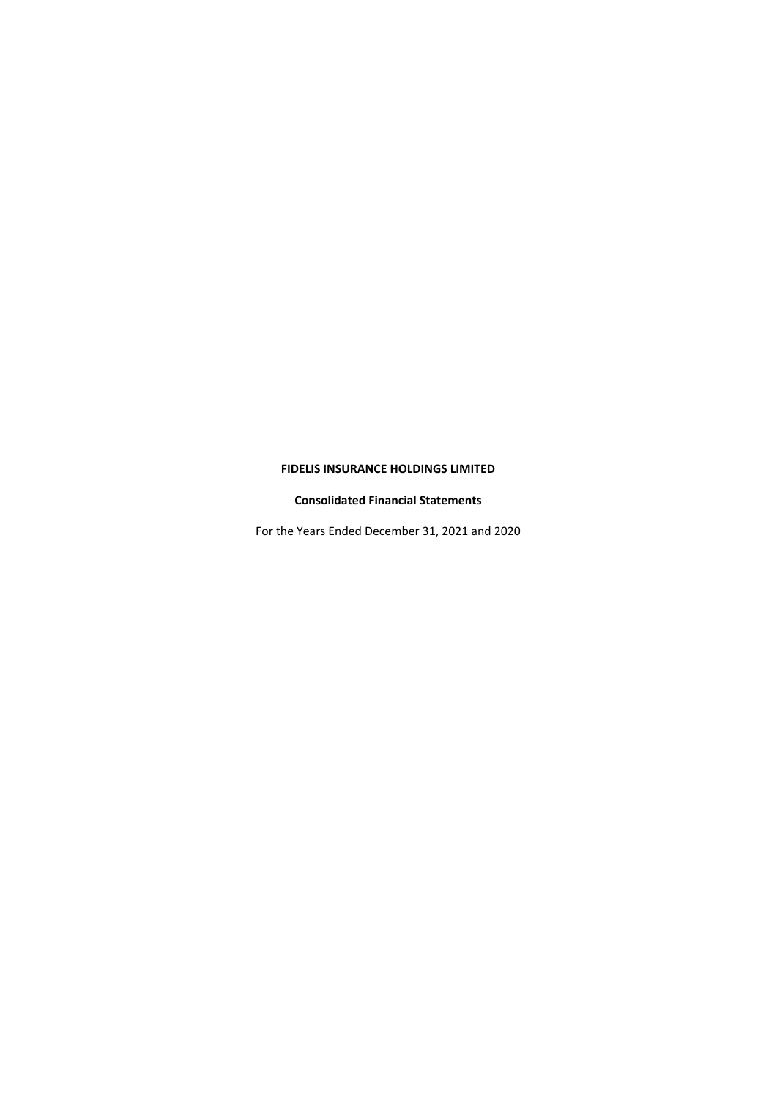## **FIDELIS INSURANCE HOLDINGS LIMITED**

### **Consolidated Financial Statements**

For the Years Ended December 31, 2021 and 2020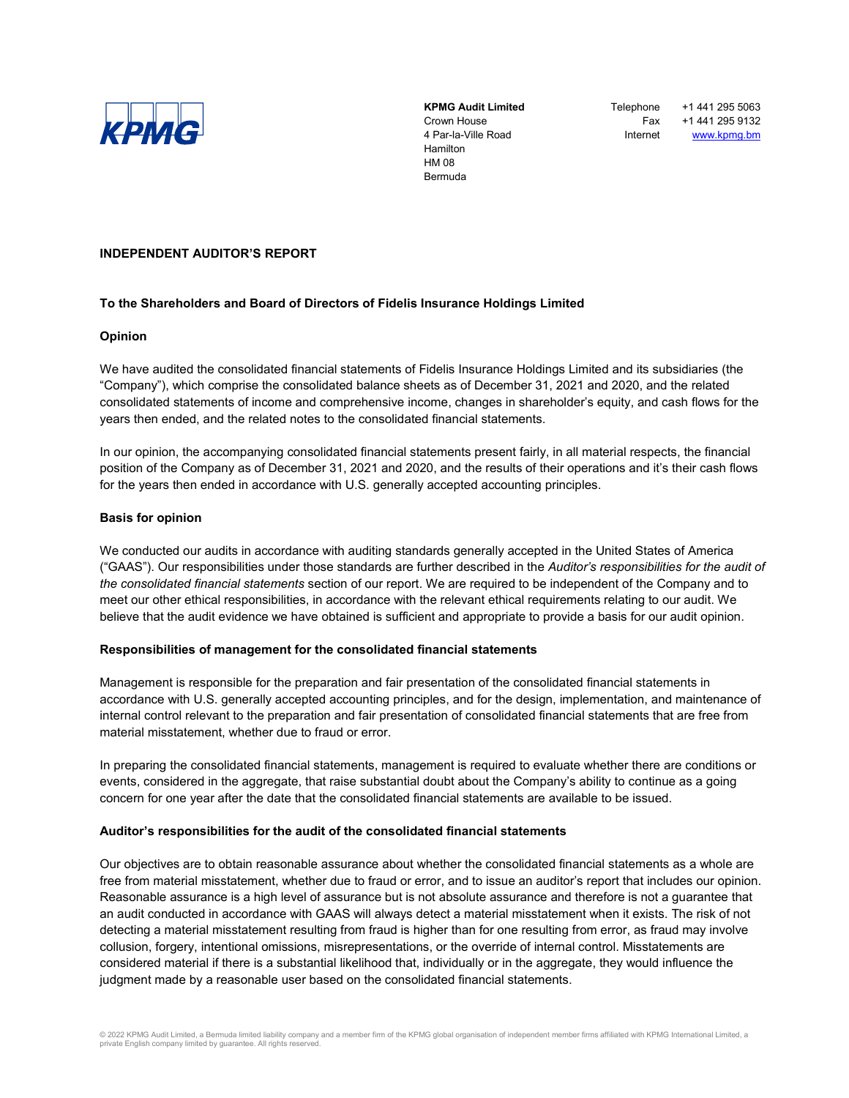

**KPMG Audit Limited** Crown House 4 Par-la-Ville Road Hamilton HM 08 Bermuda

**Telephone** Fax Internet +1 441 295 5063 +1 441 295 9132 [www.kpmg.bm](http://www.kpmg.bm/)

### **INDEPENDENT AUDITOR'S REPORT**

#### **To the Shareholders and Board of Directors of Fidelis Insurance Holdings Limited**

#### **Opinion**

We have audited the consolidated financial statements of Fidelis Insurance Holdings Limited and its subsidiaries (the "Company"), which comprise the consolidated balance sheets as of December 31, 2021 and 2020, and the related consolidated statements of income and comprehensive income, changes in shareholder's equity, and cash flows for the years then ended, and the related notes to the consolidated financial statements.

In our opinion, the accompanying consolidated financial statements present fairly, in all material respects, the financial position of the Company as of December 31, 2021 and 2020, and the results of their operations and it's their cash flows for the years then ended in accordance with U.S. generally accepted accounting principles.

#### **Basis for opinion**

We conducted our audits in accordance with auditing standards generally accepted in the United States of America ("GAAS"). Our responsibilities under those standards are further described in the *Auditor's responsibilities for the audit of the consolidated financial statements* section of our report. We are required to be independent of the Company and to meet our other ethical responsibilities, in accordance with the relevant ethical requirements relating to our audit. We believe that the audit evidence we have obtained is sufficient and appropriate to provide a basis for our audit opinion.

#### **Responsibilities of management for the consolidated financial statements**

Management is responsible for the preparation and fair presentation of the consolidated financial statements in accordance with U.S. generally accepted accounting principles, and for the design, implementation, and maintenance of internal control relevant to the preparation and fair presentation of consolidated financial statements that are free from material misstatement, whether due to fraud or error.

In preparing the consolidated financial statements, management is required to evaluate whether there are conditions or events, considered in the aggregate, that raise substantial doubt about the Company's ability to continue as a going concern for one year after the date that the consolidated financial statements are available to be issued.

#### **Auditor's responsibilities for the audit of the consolidated financial statements**

Our objectives are to obtain reasonable assurance about whether the consolidated financial statements as a whole are free from material misstatement, whether due to fraud or error, and to issue an auditor's report that includes our opinion. Reasonable assurance is a high level of assurance but is not absolute assurance and therefore is not a guarantee that an audit conducted in accordance with GAAS will always detect a material misstatement when it exists. The risk of not detecting a material misstatement resulting from fraud is higher than for one resulting from error, as fraud may involve collusion, forgery, intentional omissions, misrepresentations, or the override of internal control. Misstatements are considered material if there is a substantial likelihood that, individually or in the aggregate, they would influence the judgment made by a reasonable user based on the consolidated financial statements.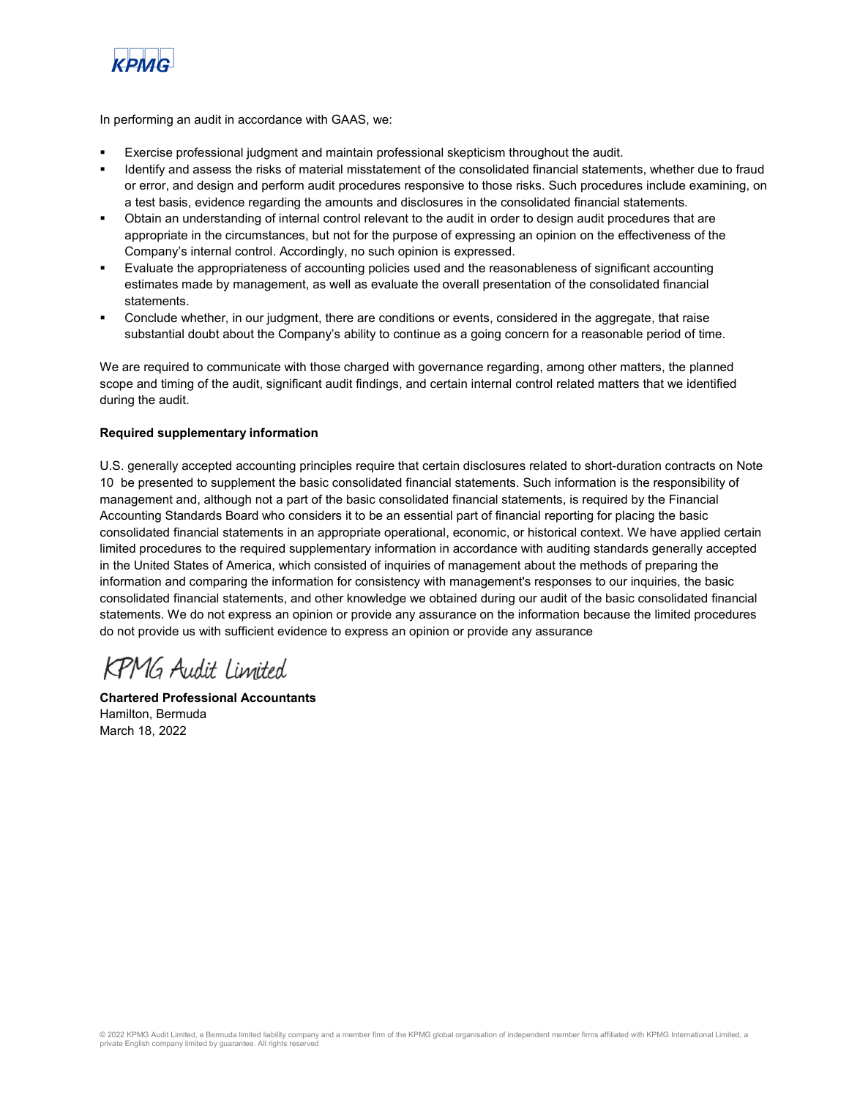

In performing an audit in accordance with GAAS, we:

- Exercise professional judgment and maintain professional skepticism throughout the audit.
- Identify and assess the risks of material misstatement of the consolidated financial statements, whether due to fraud or error, and design and perform audit procedures responsive to those risks. Such procedures include examining, on a test basis, evidence regarding the amounts and disclosures in the consolidated financial statements.
- Obtain an understanding of internal control relevant to the audit in order to design audit procedures that are appropriate in the circumstances, but not for the purpose of expressing an opinion on the effectiveness of the Company's internal control. Accordingly, no such opinion is expressed.
- Evaluate the appropriateness of accounting policies used and the reasonableness of significant accounting estimates made by management, as well as evaluate the overall presentation of the consolidated financial statements.
- Conclude whether, in our judgment, there are conditions or events, considered in the aggregate, that raise substantial doubt about the Company's ability to continue as a going concern for a reasonable period of time.

We are required to communicate with those charged with governance regarding, among other matters, the planned scope and timing of the audit, significant audit findings, and certain internal control related matters that we identified during the audit.

### **Required supplementary information**

U.S. generally accepted accounting principles require that certain disclosures related to short-duration contracts on Note 10 be presented to supplement the basic consolidated financial statements. Such information is the responsibility of management and, although not a part of the basic consolidated financial statements, is required by the Financial Accounting Standards Board who considers it to be an essential part of financial reporting for placing the basic consolidated financial statements in an appropriate operational, economic, or historical context. We have applied certain limited procedures to the required supplementary information in accordance with auditing standards generally accepted in the United States of America, which consisted of inquiries of management about the methods of preparing the information and comparing the information for consistency with management's responses to our inquiries, the basic consolidated financial statements, and other knowledge we obtained during our audit of the basic consolidated financial statements. We do not express an opinion or provide any assurance on the information because the limited procedures do not provide us with sufficient evidence to express an opinion or provide any assurance

KPMG Audit Limited

**Chartered Professional Accountants** Hamilton, Bermuda March 18, 2022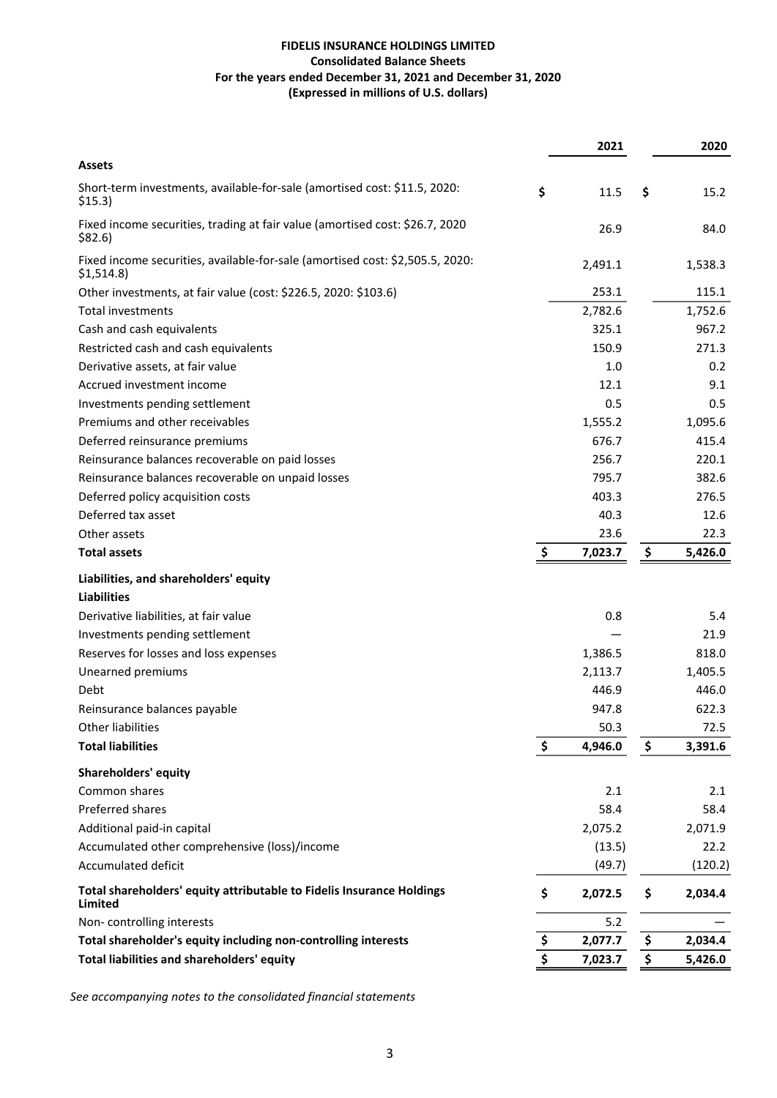|                                                                                            | 2021          | 2020          |
|--------------------------------------------------------------------------------------------|---------------|---------------|
| <b>Assets</b>                                                                              |               |               |
| Short-term investments, available-for-sale (amortised cost: \$11.5, 2020:<br>\$15.3)       | \$<br>11.5    | \$<br>15.2    |
| Fixed income securities, trading at fair value (amortised cost: \$26.7, 2020<br>\$82.6\$   | 26.9          | 84.0          |
| Fixed income securities, available-for-sale (amortised cost: \$2,505.5, 2020:<br>\$1,514.8 | 2,491.1       | 1,538.3       |
| Other investments, at fair value (cost: \$226.5, 2020: \$103.6)                            | 253.1         | 115.1         |
| Total investments                                                                          | 2,782.6       | 1,752.6       |
| Cash and cash equivalents                                                                  | 325.1         | 967.2         |
| Restricted cash and cash equivalents                                                       | 150.9         | 271.3         |
| Derivative assets, at fair value                                                           | 1.0           | 0.2           |
| Accrued investment income                                                                  | 12.1          | 9.1           |
| Investments pending settlement                                                             | 0.5           | 0.5           |
| Premiums and other receivables                                                             | 1,555.2       | 1,095.6       |
| Deferred reinsurance premiums                                                              | 676.7         | 415.4         |
| Reinsurance balances recoverable on paid losses                                            | 256.7         | 220.1         |
| Reinsurance balances recoverable on unpaid losses                                          | 795.7         | 382.6         |
| Deferred policy acquisition costs                                                          | 403.3         | 276.5         |
| Deferred tax asset                                                                         | 40.3          | 12.6          |
| Other assets                                                                               | 23.6          | 22.3          |
| <b>Total assets</b>                                                                        | 7,023.7       | \$<br>5,426.0 |
| Liabilities, and shareholders' equity                                                      |               |               |
| <b>Liabilities</b>                                                                         |               |               |
| Derivative liabilities, at fair value                                                      | 0.8           | 5.4           |
| Investments pending settlement                                                             |               | 21.9          |
| Reserves for losses and loss expenses                                                      | 1,386.5       | 818.0         |
| Unearned premiums                                                                          | 2,113.7       | 1,405.5       |
| Debt                                                                                       | 446.9         | 446.0         |
| Reinsurance balances payable                                                               | 947.8         | 622.3         |
| Other liabilities                                                                          | 50.3          | 72.5          |
| <b>Total liabilities</b>                                                                   | \$<br>4,946.0 | \$<br>3,391.6 |
| <b>Shareholders' equity</b>                                                                |               |               |
| Common shares                                                                              | 2.1           | 2.1           |
| Preferred shares                                                                           | 58.4          | 58.4          |
| Additional paid-in capital                                                                 | 2,075.2       | 2,071.9       |
| Accumulated other comprehensive (loss)/income                                              | (13.5)        | 22.2          |
| Accumulated deficit                                                                        | (49.7)        | (120.2)       |
| Total shareholders' equity attributable to Fidelis Insurance Holdings<br><b>Limited</b>    | \$<br>2,072.5 | \$<br>2,034.4 |
| Non-controlling interests                                                                  | 5.2           |               |
| Total shareholder's equity including non-controlling interests                             | \$<br>2,077.7 | \$<br>2,034.4 |
| Total liabilities and shareholders' equity                                                 | \$<br>7,023.7 | \$<br>5,426.0 |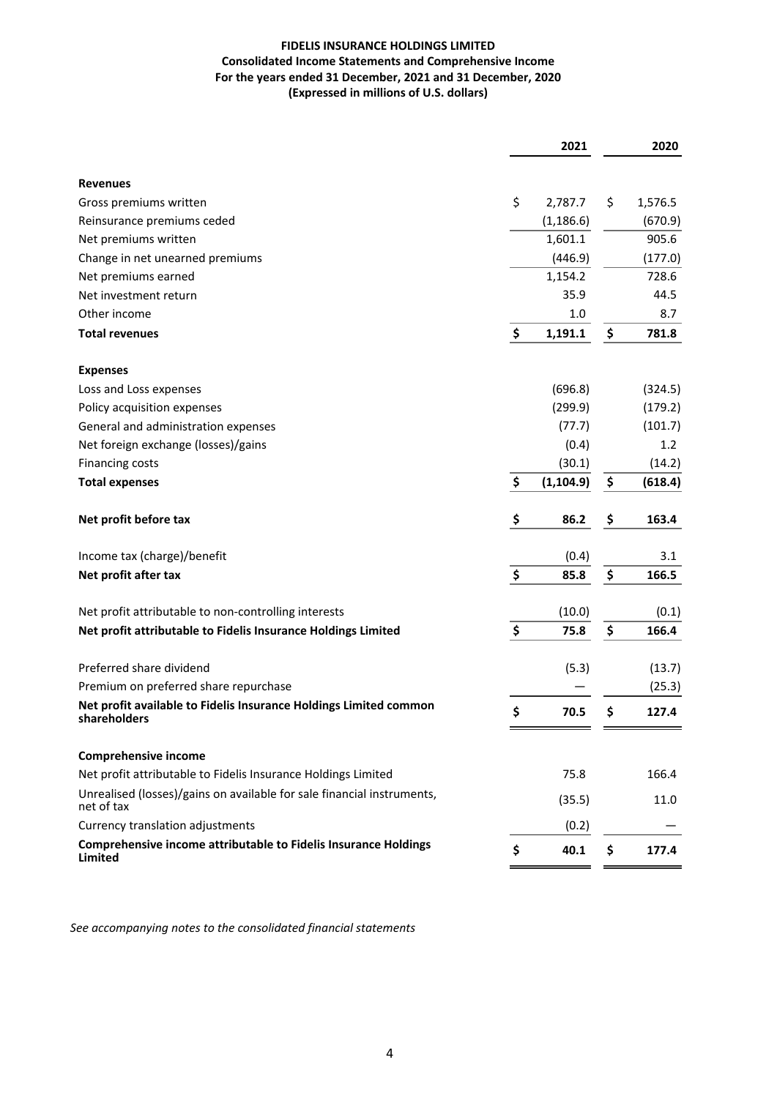## **FIDELIS INSURANCE HOLDINGS LIMITED Consolidated Income Statements and Comprehensive Income** For the years ended 31 December, 2021 and 31 December, 2020 **(Expressed in millions of U.S. dollars)**

|                                                                                      | 2021             | 2020          |
|--------------------------------------------------------------------------------------|------------------|---------------|
| <b>Revenues</b>                                                                      |                  |               |
| Gross premiums written                                                               | \$<br>2,787.7    | \$<br>1,576.5 |
| Reinsurance premiums ceded                                                           | (1, 186.6)       | (670.9)       |
| Net premiums written                                                                 | 1,601.1          | 905.6         |
| Change in net unearned premiums                                                      | (446.9)          | (177.0)       |
| Net premiums earned                                                                  | 1,154.2          | 728.6         |
| Net investment return                                                                | 35.9             | 44.5          |
| Other income                                                                         | 1.0              | 8.7           |
| <b>Total revenues</b>                                                                | \$<br>1,191.1    | \$<br>781.8   |
| <b>Expenses</b>                                                                      |                  |               |
| Loss and Loss expenses                                                               | (696.8)          | (324.5)       |
| Policy acquisition expenses                                                          | (299.9)          | (179.2)       |
| General and administration expenses                                                  | (77.7)           | (101.7)       |
| Net foreign exchange (losses)/gains                                                  | (0.4)            | 1.2           |
| <b>Financing costs</b>                                                               | (30.1)           | (14.2)        |
| <b>Total expenses</b>                                                                | \$<br>(1, 104.9) | \$<br>(618.4) |
| Net profit before tax                                                                | \$<br>86.2       | \$<br>163.4   |
| Income tax (charge)/benefit                                                          | (0.4)            | 3.1           |
| Net profit after tax                                                                 | \$<br>85.8       | \$<br>166.5   |
| Net profit attributable to non-controlling interests                                 | (10.0)           | (0.1)         |
| Net profit attributable to Fidelis Insurance Holdings Limited                        | \$<br>75.8       | \$<br>166.4   |
| Preferred share dividend                                                             | (5.3)            | (13.7)        |
| Premium on preferred share repurchase                                                |                  | (25.3)        |
| Net profit available to Fidelis Insurance Holdings Limited common<br>shareholders    | \$<br>70.5       | \$<br>127.4   |
| <b>Comprehensive income</b>                                                          |                  |               |
| Net profit attributable to Fidelis Insurance Holdings Limited                        | 75.8             | 166.4         |
| Unrealised (losses)/gains on available for sale financial instruments,<br>net of tax | (35.5)           | 11.0          |
| Currency translation adjustments                                                     | (0.2)            |               |
| Comprehensive income attributable to Fidelis Insurance Holdings<br>Limited           | \$<br>40.1       | \$<br>177.4   |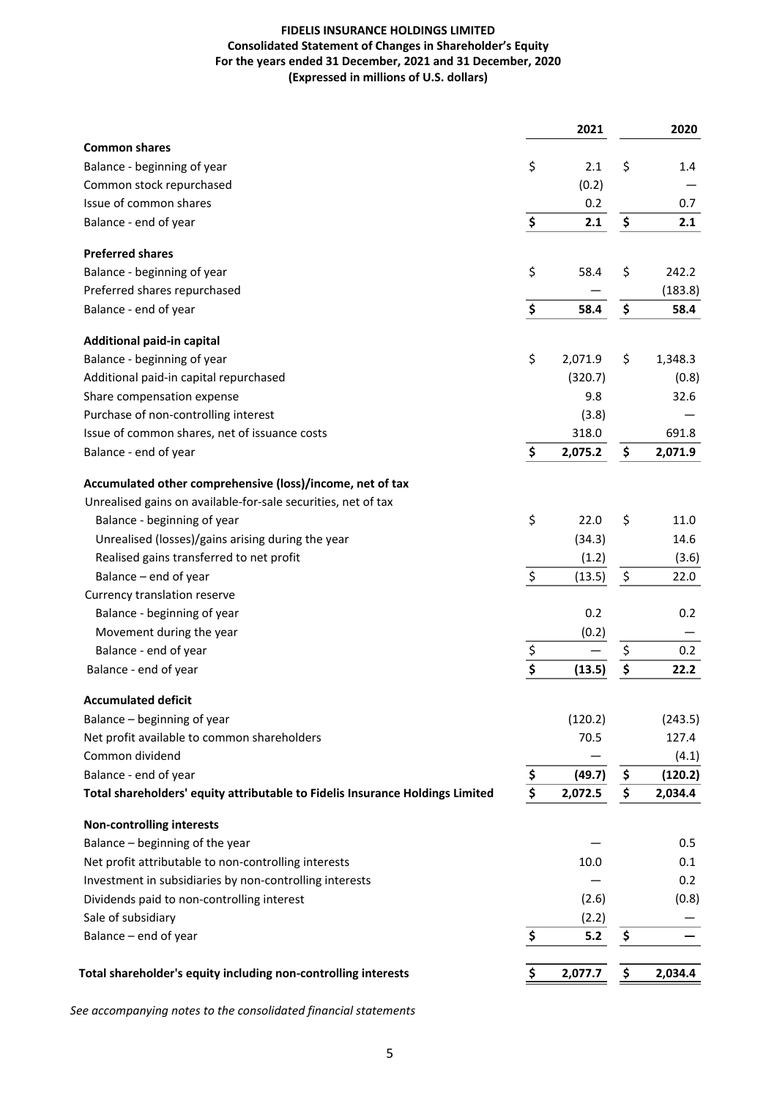## **FIDELIS INSURANCE HOLDINGS LIMITED Consolidated Statement of Changes in Shareholder's Equity** For the years ended 31 December, 2021 and 31 December, 2020 **(Expressed in millions of U.S. dollars)**

|                                                                               |                                     | 2021    |                                 | 2020    |
|-------------------------------------------------------------------------------|-------------------------------------|---------|---------------------------------|---------|
| <b>Common shares</b>                                                          |                                     |         |                                 |         |
| Balance - beginning of year                                                   | \$                                  | 2.1     | \$                              | 1.4     |
| Common stock repurchased                                                      |                                     | (0.2)   |                                 |         |
| Issue of common shares                                                        |                                     | 0.2     |                                 | 0.7     |
| Balance - end of year                                                         | \$                                  | 2.1     | \$                              | 2.1     |
| <b>Preferred shares</b>                                                       |                                     |         |                                 |         |
| Balance - beginning of year                                                   | \$                                  | 58.4    | \$                              | 242.2   |
| Preferred shares repurchased                                                  |                                     |         |                                 | (183.8) |
| Balance - end of year                                                         | \$                                  | 58.4    | \$                              | 58.4    |
| Additional paid-in capital                                                    |                                     |         |                                 |         |
| Balance - beginning of year                                                   | \$                                  | 2,071.9 | \$                              | 1,348.3 |
| Additional paid-in capital repurchased                                        |                                     | (320.7) |                                 | (0.8)   |
| Share compensation expense                                                    |                                     | 9.8     |                                 | 32.6    |
| Purchase of non-controlling interest                                          |                                     | (3.8)   |                                 |         |
| Issue of common shares, net of issuance costs                                 |                                     | 318.0   |                                 | 691.8   |
| Balance - end of year                                                         | \$                                  | 2,075.2 | \$                              | 2,071.9 |
| Accumulated other comprehensive (loss)/income, net of tax                     |                                     |         |                                 |         |
| Unrealised gains on available-for-sale securities, net of tax                 |                                     |         |                                 |         |
| Balance - beginning of year                                                   | \$                                  | 22.0    | \$                              | 11.0    |
| Unrealised (losses)/gains arising during the year                             |                                     | (34.3)  |                                 | 14.6    |
| Realised gains transferred to net profit                                      |                                     | (1.2)   |                                 | (3.6)   |
| Balance - end of year                                                         | $\overline{\xi}$                    | (13.5)  | \$                              | 22.0    |
| Currency translation reserve                                                  |                                     |         |                                 |         |
| Balance - beginning of year                                                   |                                     | 0.2     |                                 | 0.2     |
| Movement during the year                                                      |                                     | (0.2)   |                                 |         |
| Balance - end of year                                                         |                                     |         | \$                              | 0.2     |
| Balance - end of year                                                         | $rac{5}{5}$                         | (13.5)  | $\overline{\boldsymbol{\zeta}}$ | 22.2    |
| <b>Accumulated deficit</b>                                                    |                                     |         |                                 |         |
| Balance - beginning of year                                                   |                                     | (120.2) |                                 | (243.5) |
| Net profit available to common shareholders                                   |                                     | 70.5    |                                 | 127.4   |
| Common dividend                                                               |                                     |         |                                 | (4.1)   |
| Balance - end of year                                                         | \$                                  | (49.7)  | \$                              | (120.2) |
| Total shareholders' equity attributable to Fidelis Insurance Holdings Limited | $\overline{\boldsymbol{\varsigma}}$ | 2,072.5 | \$                              | 2,034.4 |
| <b>Non-controlling interests</b>                                              |                                     |         |                                 |         |
| Balance - beginning of the year                                               |                                     |         |                                 | 0.5     |
| Net profit attributable to non-controlling interests                          |                                     | 10.0    |                                 | 0.1     |
| Investment in subsidiaries by non-controlling interests                       |                                     |         |                                 | 0.2     |
| Dividends paid to non-controlling interest                                    |                                     | (2.6)   |                                 | (0.8)   |
| Sale of subsidiary                                                            |                                     | (2.2)   |                                 |         |
| Balance - end of year                                                         | \$                                  | 5.2     | \$                              |         |
|                                                                               |                                     |         |                                 |         |
| Total shareholder's equity including non-controlling interests                | \$                                  | 2,077.7 | <u>\$</u>                       | 2,034.4 |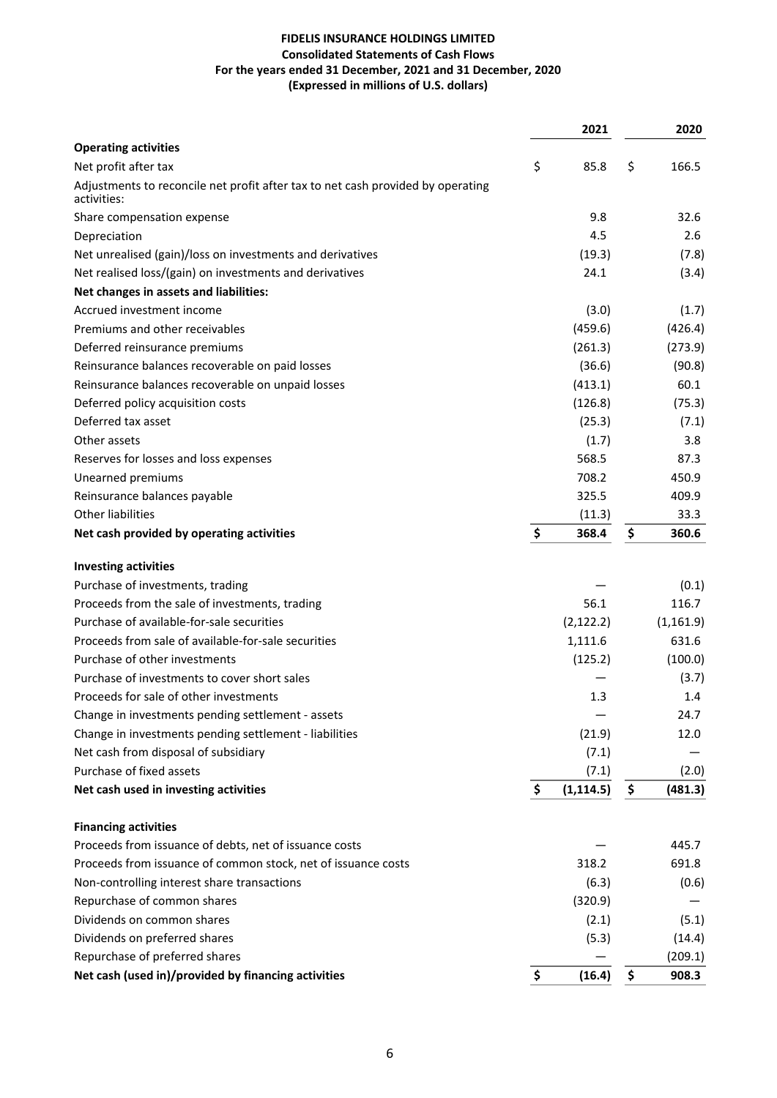## **FIDELIS INSURANCE HOLDINGS LIMITED Consolidated Statements of Cash Flows** For the years ended 31 December, 2021 and 31 December, 2020 **(Expressed in millions of U.S. dollars)**

|                                                                                                | 2021             | 2020          |
|------------------------------------------------------------------------------------------------|------------------|---------------|
| <b>Operating activities</b>                                                                    |                  |               |
| Net profit after tax                                                                           | \$<br>85.8       | \$<br>166.5   |
| Adjustments to reconcile net profit after tax to net cash provided by operating<br>activities: |                  |               |
| Share compensation expense                                                                     | 9.8              | 32.6          |
| Depreciation                                                                                   | 4.5              | 2.6           |
| Net unrealised (gain)/loss on investments and derivatives                                      | (19.3)           | (7.8)         |
| Net realised loss/(gain) on investments and derivatives                                        | 24.1             | (3.4)         |
| Net changes in assets and liabilities:                                                         |                  |               |
| Accrued investment income                                                                      | (3.0)            | (1.7)         |
| Premiums and other receivables                                                                 | (459.6)          | (426.4)       |
| Deferred reinsurance premiums                                                                  | (261.3)          | (273.9)       |
| Reinsurance balances recoverable on paid losses                                                | (36.6)           | (90.8)        |
| Reinsurance balances recoverable on unpaid losses                                              | (413.1)          | 60.1          |
| Deferred policy acquisition costs                                                              | (126.8)          | (75.3)        |
| Deferred tax asset                                                                             | (25.3)           | (7.1)         |
| Other assets                                                                                   | (1.7)            | 3.8           |
| Reserves for losses and loss expenses                                                          | 568.5            | 87.3          |
| Unearned premiums                                                                              | 708.2            | 450.9         |
| Reinsurance balances payable                                                                   | 325.5            | 409.9         |
| <b>Other liabilities</b>                                                                       | (11.3)           | 33.3          |
| Net cash provided by operating activities                                                      | \$<br>368.4      | \$<br>360.6   |
| <b>Investing activities</b>                                                                    |                  |               |
| Purchase of investments, trading                                                               |                  | (0.1)         |
| Proceeds from the sale of investments, trading                                                 | 56.1             | 116.7         |
| Purchase of available-for-sale securities                                                      | (2, 122.2)       | (1, 161.9)    |
| Proceeds from sale of available-for-sale securities                                            | 1,111.6          | 631.6         |
| Purchase of other investments                                                                  | (125.2)          | (100.0)       |
| Purchase of investments to cover short sales                                                   |                  | (3.7)         |
| Proceeds for sale of other investments                                                         | 1.3              | 1.4           |
| Change in investments pending settlement - assets                                              |                  | 24.7          |
| Change in investments pending settlement - liabilities                                         | (21.9)           | 12.0          |
| Net cash from disposal of subsidiary                                                           | (7.1)            |               |
| Purchase of fixed assets                                                                       | (7.1)            | (2.0)         |
| Net cash used in investing activities                                                          | \$<br>(1, 114.5) | \$<br>(481.3) |
| <b>Financing activities</b>                                                                    |                  |               |
| Proceeds from issuance of debts, net of issuance costs                                         |                  | 445.7         |
| Proceeds from issuance of common stock, net of issuance costs                                  | 318.2            | 691.8         |
| Non-controlling interest share transactions                                                    | (6.3)            | (0.6)         |
| Repurchase of common shares                                                                    | (320.9)          |               |
| Dividends on common shares                                                                     | (2.1)            | (5.1)         |
| Dividends on preferred shares                                                                  | (5.3)            | (14.4)        |
| Repurchase of preferred shares                                                                 |                  | (209.1)       |
| Net cash (used in)/provided by financing activities                                            | \$<br>(16.4)     | \$<br>908.3   |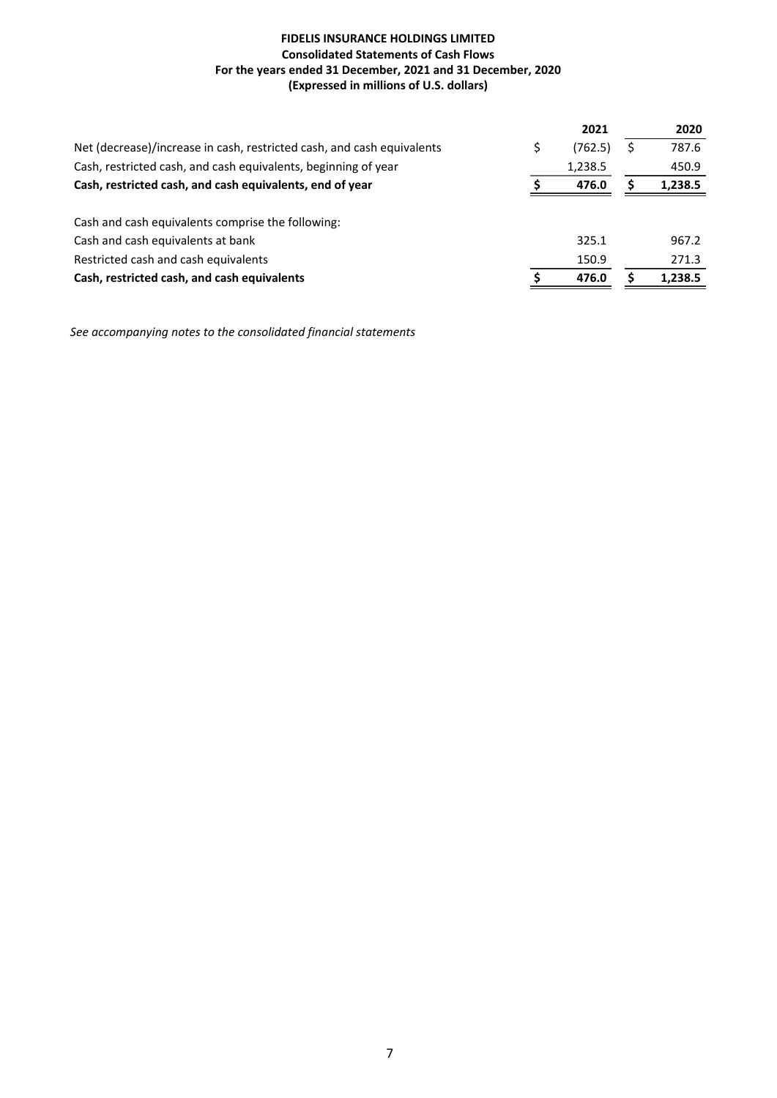## **FIDELIS INSURANCE HOLDINGS LIMITED Consolidated Statements of Cash Flows** For the years ended 31 December, 2021 and 31 December, 2020 **(Expressed in millions of U.S. dollars)**

|                                                                        | 2021    |    | 2020    |
|------------------------------------------------------------------------|---------|----|---------|
| Net (decrease)/increase in cash, restricted cash, and cash equivalents | (762.5) | \$ | 787.6   |
| Cash, restricted cash, and cash equivalents, beginning of year         | 1,238.5 |    | 450.9   |
| Cash, restricted cash, and cash equivalents, end of year               | 476.0   | s  | 1,238.5 |
|                                                                        |         |    |         |
| Cash and cash equivalents comprise the following:                      |         |    |         |
| Cash and cash equivalents at bank                                      | 325.1   |    | 967.2   |
| Restricted cash and cash equivalents                                   | 150.9   |    | 271.3   |
| Cash, restricted cash, and cash equivalents                            | 476.0   |    | 1,238.5 |
|                                                                        |         |    |         |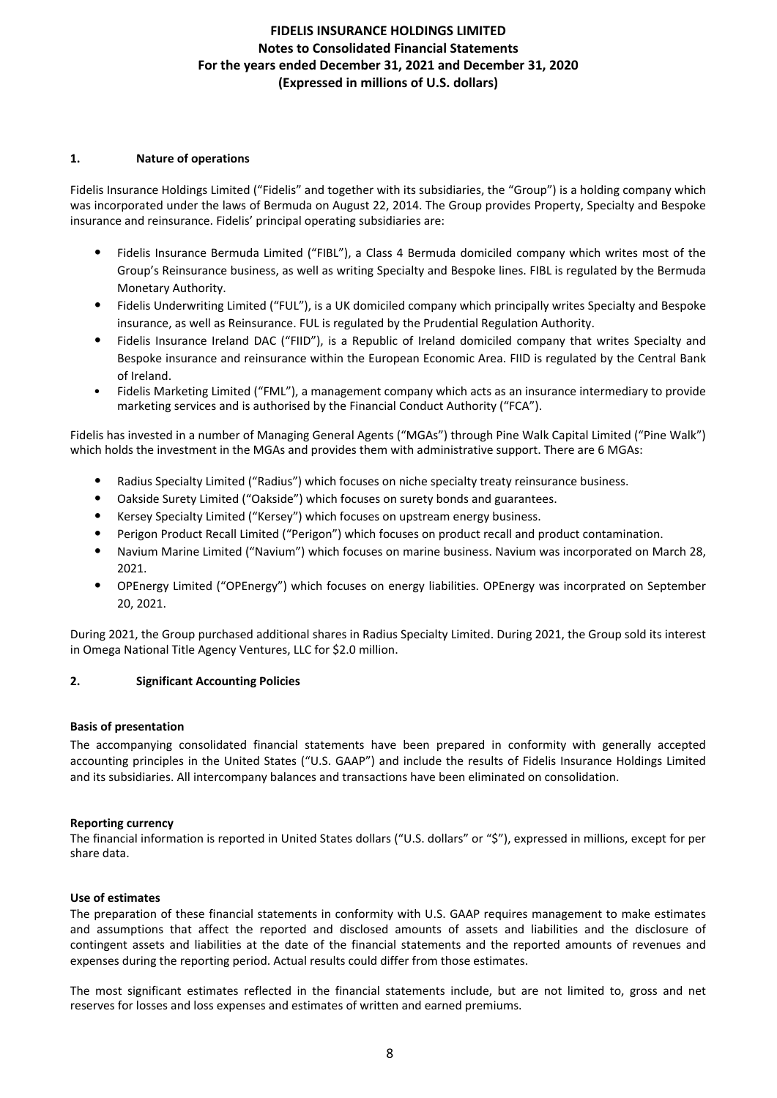### **1. Nature of operations**

Fidelis Insurance Holdings Limited ("Fidelis" and together with its subsidiaries, the "Group") is a holding company which was incorporated under the laws of Bermuda on August 22, 2014. The Group provides Property, Specialty and Bespoke insurance and reinsurance. Fidelis' principal operating subsidiaries are:

- Fidelis Insurance Bermuda Limited ("FIBL"), a Class 4 Bermuda domiciled company which writes most of the Group's Reinsurance business, as well as writing Specialty and Bespoke lines. FIBL is regulated by the Bermuda Monetary Authority.
- Fidelis Underwriting Limited ("FUL"), is a UK domiciled company which principally writes Specialty and Bespoke insurance, as well as Reinsurance. FUL is regulated by the Prudential Regulation Authority.
- Fidelis Insurance Ireland DAC ("FIID"), is a Republic of Ireland domiciled company that writes Specialty and Bespoke insurance and reinsurance within the European Economic Area. FIID is regulated by the Central Bank of Ireland.
- Fidelis Marketing Limited ("FML"), a management company which acts as an insurance intermediary to provide marketing services and is authorised by the Financial Conduct Authority ("FCA").

Fidelis has invested in a number of Managing General Agents ("MGAs") through Pine Walk Capital Limited ("Pine Walk") which holds the investment in the MGAs and provides them with administrative support. There are 6 MGAs:

- Radius Specialty Limited ("Radius") which focuses on niche specialty treaty reinsurance business.
- Oakside Surety Limited ("Oakside") which focuses on surety bonds and guarantees.
- Kersey Specialty Limited ("Kersey") which focuses on upstream energy business.
- Perigon Product Recall Limited ("Perigon") which focuses on product recall and product contamination.
- Navium Marine Limited ("Navium") which focuses on marine business. Navium was incorporated on March 28, 2021.
- OPEnergy Limited ("OPEnergy") which focuses on energy liabilities. OPEnergy was incorprated on September 20, 2021.

During 2021, the Group purchased additional shares in Radius Specialty Limited. During 2021, the Group sold its interest in Omega National Title Agency Ventures, LLC for \$2.0 million.

## **2. Significant Accounting Policies**

### **Basis of presentation**

The accompanying consolidated financial statements have been prepared in conformity with generally accepted accounting principles in the United States ("U.S. GAAP") and include the results of Fidelis Insurance Holdings Limited and its subsidiaries. All intercompany balances and transactions have been eliminated on consolidation.

### **Reporting currency**

The financial information is reported in United States dollars ("U.S. dollars" or "\$"), expressed in millions, except for per share data.

### **Use of estimates**

The preparation of these financial statements in conformity with U.S. GAAP requires management to make estimates and assumptions that affect the reported and disclosed amounts of assets and liabilities and the disclosure of contingent assets and liabilities at the date of the financial statements and the reported amounts of revenues and expenses during the reporting period. Actual results could differ from those estimates.

The most significant estimates reflected in the financial statements include, but are not limited to, gross and net reserves for losses and loss expenses and estimates of written and earned premiums.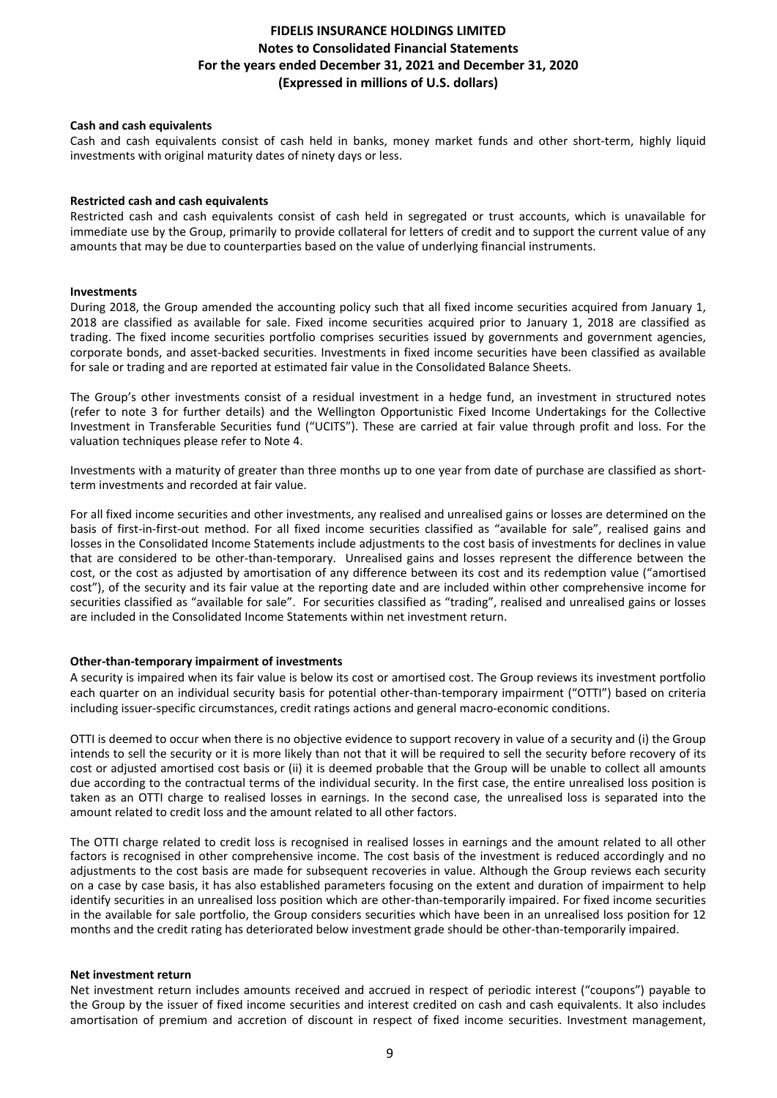### **Cash and cash equivalents**

Cash and cash equivalents consist of cash held in banks, money market funds and other short-term, highly liquid investments with original maturity dates of ninety days or less.

### **Restricted cash and cash equivalents**

Restricted cash and cash equivalents consist of cash held in segregated or trust accounts, which is unavailable for immediate use by the Group, primarily to provide collateral for letters of credit and to support the current value of any amounts that may be due to counterparties based on the value of underlying financial instruments.

#### **Investments**

During 2018, the Group amended the accounting policy such that all fixed income securities acquired from January 1, 2018 are classified as available for sale. Fixed income securities acquired prior to January 1, 2018 are classified as trading. The fixed income securities portfolio comprises securities issued by governments and government agencies, corporate bonds, and asset-backed securities. Investments in fixed income securities have been classified as available for sale or trading and are reported at estimated fair value in the Consolidated Balance Sheets.

The Group's other investments consist of a residual investment in a hedge fund, an investment in structured notes (refer to note 3 for further details) and the Wellington Opportunistic Fixed Income Undertakings for the Collective Investment in Transferable Securities fund ("UCITS"). These are carried at fair value through profit and loss. For the valuation techniques please refer to Note 4.

Investments with a maturity of greater than three months up to one year from date of purchase are classified as shortterm investments and recorded at fair value.

For all fixed income securities and other investments, any realised and unrealised gains or losses are determined on the basis of first-in-first-out method. For all fixed income securities classified as "available for sale", realised gains and losses in the Consolidated Income Statements include adjustments to the cost basis of investments for declines in value that are considered to be other-than-temporary. Unrealised gains and losses represent the difference between the cost, or the cost as adjusted by amortisation of any difference between its cost and its redemption value ("amortised cost"), of the security and its fair value at the reporting date and are included within other comprehensive income for securities classified as "available for sale". For securities classified as "trading", realised and unrealised gains or losses are included in the Consolidated Income Statements within net investment return.

#### **Other-than-temporary impairment of investments**

A security is impaired when its fair value is below its cost or amortised cost. The Group reviews its investment portfolio each quarter on an individual security basis for potential other-than-temporary impairment ("OTTI") based on criteria including issuer-specific circumstances, credit ratings actions and general macro-economic conditions.

OTTI is deemed to occur when there is no objective evidence to support recovery in value of a security and (i) the Group intends to sell the security or it is more likely than not that it will be required to sell the security before recovery of its cost or adjusted amortised cost basis or (ii) it is deemed probable that the Group will be unable to collect all amounts due according to the contractual terms of the individual security. In the first case, the entire unrealised loss position is taken as an OTTI charge to realised losses in earnings. In the second case, the unrealised loss is separated into the amount related to credit loss and the amount related to all other factors.

The OTTI charge related to credit loss is recognised in realised losses in earnings and the amount related to all other factors is recognised in other comprehensive income. The cost basis of the investment is reduced accordingly and no adjustments to the cost basis are made for subsequent recoveries in value. Although the Group reviews each security on a case by case basis, it has also established parameters focusing on the extent and duration of impairment to help identify securities in an unrealised loss position which are other-than-temporarily impaired. For fixed income securities in the available for sale portfolio, the Group considers securities which have been in an unrealised loss position for 12 months and the credit rating has deteriorated below investment grade should be other-than-temporarily impaired.

#### **Net investment return**

Net investment return includes amounts received and accrued in respect of periodic interest ("coupons") payable to the Group by the issuer of fixed income securities and interest credited on cash and cash equivalents. It also includes amortisation of premium and accretion of discount in respect of fixed income securities. Investment management,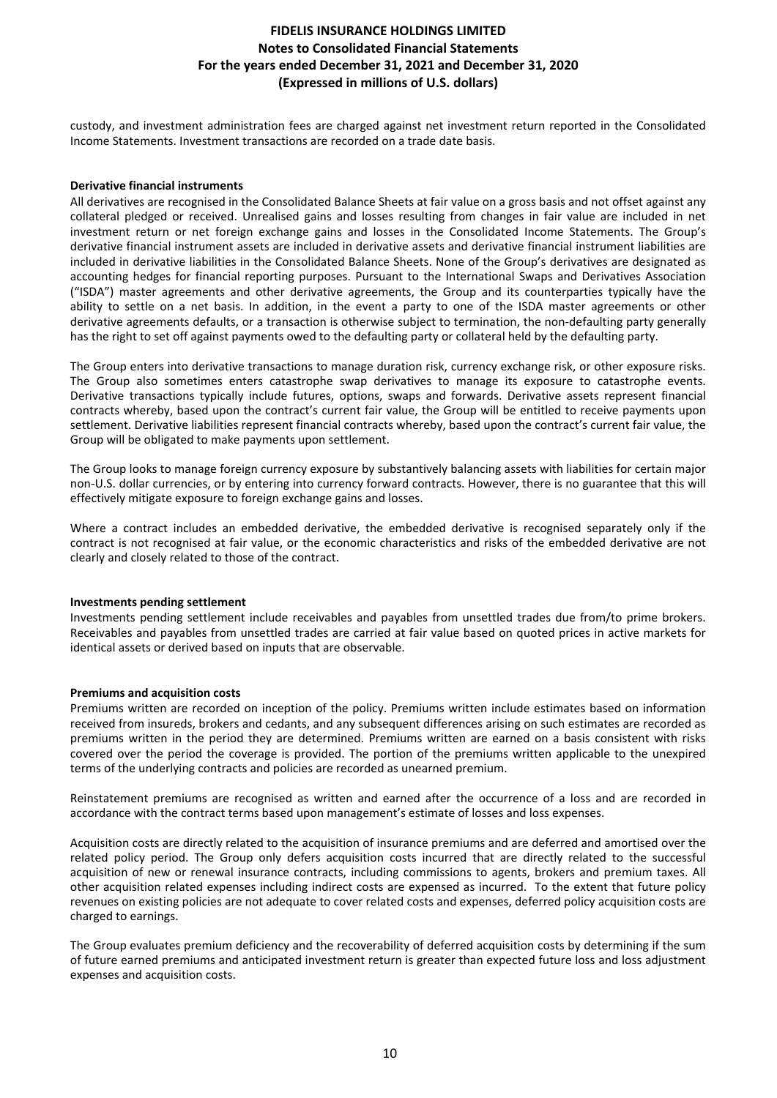custody, and investment administration fees are charged against net investment return reported in the Consolidated Income Statements. Investment transactions are recorded on a trade date basis.

#### **Derivative financial instruments**

All derivatives are recognised in the Consolidated Balance Sheets at fair value on a gross basis and not offset against any collateral pledged or received. Unrealised gains and losses resulting from changes in fair value are included in net investment return or net foreign exchange gains and losses in the Consolidated Income Statements. The Group's derivative financial instrument assets are included in derivative assets and derivative financial instrument liabilities are included in derivative liabilities in the Consolidated Balance Sheets. None of the Group's derivatives are designated as accounting hedges for financial reporting purposes. Pursuant to the International Swaps and Derivatives Association ("ISDA") master agreements and other derivative agreements, the Group and its counterparties typically have the ability to settle on a net basis. In addition, in the event a party to one of the ISDA master agreements or other derivative agreements defaults, or a transaction is otherwise subject to termination, the non-defaulting party generally has the right to set off against payments owed to the defaulting party or collateral held by the defaulting party.

The Group enters into derivative transactions to manage duration risk, currency exchange risk, or other exposure risks. The Group also sometimes enters catastrophe swap derivatives to manage its exposure to catastrophe events. Derivative transactions typically include futures, options, swaps and forwards. Derivative assets represent financial contracts whereby, based upon the contract's current fair value, the Group will be entitled to receive payments upon settlement. Derivative liabilities represent financial contracts whereby, based upon the contract's current fair value, the Group will be obligated to make payments upon settlement.

The Group looks to manage foreign currency exposure by substantively balancing assets with liabilities for certain major non-U.S. dollar currencies, or by entering into currency forward contracts. However, there is no guarantee that this will effectively mitigate exposure to foreign exchange gains and losses.

Where a contract includes an embedded derivative, the embedded derivative is recognised separately only if the contract is not recognised at fair value, or the economic characteristics and risks of the embedded derivative are not clearly and closely related to those of the contract.

#### **Investments pending settlement**

Investments pending settlement include receivables and payables from unsettled trades due from/to prime brokers. Receivables and payables from unsettled trades are carried at fair value based on quoted prices in active markets for identical assets or derived based on inputs that are observable.

#### **Premiums and acquisition costs**

Premiums written are recorded on inception of the policy. Premiums written include estimates based on information received from insureds, brokers and cedants, and any subsequent differences arising on such estimates are recorded as premiums written in the period they are determined. Premiums written are earned on a basis consistent with risks covered over the period the coverage is provided. The portion of the premiums written applicable to the unexpired terms of the underlying contracts and policies are recorded as unearned premium.

Reinstatement premiums are recognised as written and earned after the occurrence of a loss and are recorded in accordance with the contract terms based upon management's estimate of losses and loss expenses.

Acquisition costs are directly related to the acquisition of insurance premiums and are deferred and amortised over the related policy period. The Group only defers acquisition costs incurred that are directly related to the successful acquisition of new or renewal insurance contracts, including commissions to agents, brokers and premium taxes. All other acquisition related expenses including indirect costs are expensed as incurred. To the extent that future policy revenues on existing policies are not adequate to cover related costs and expenses, deferred policy acquisition costs are charged to earnings.

The Group evaluates premium deficiency and the recoverability of deferred acquisition costs by determining if the sum of future earned premiums and anticipated investment return is greater than expected future loss and loss adjustment expenses and acquisition costs.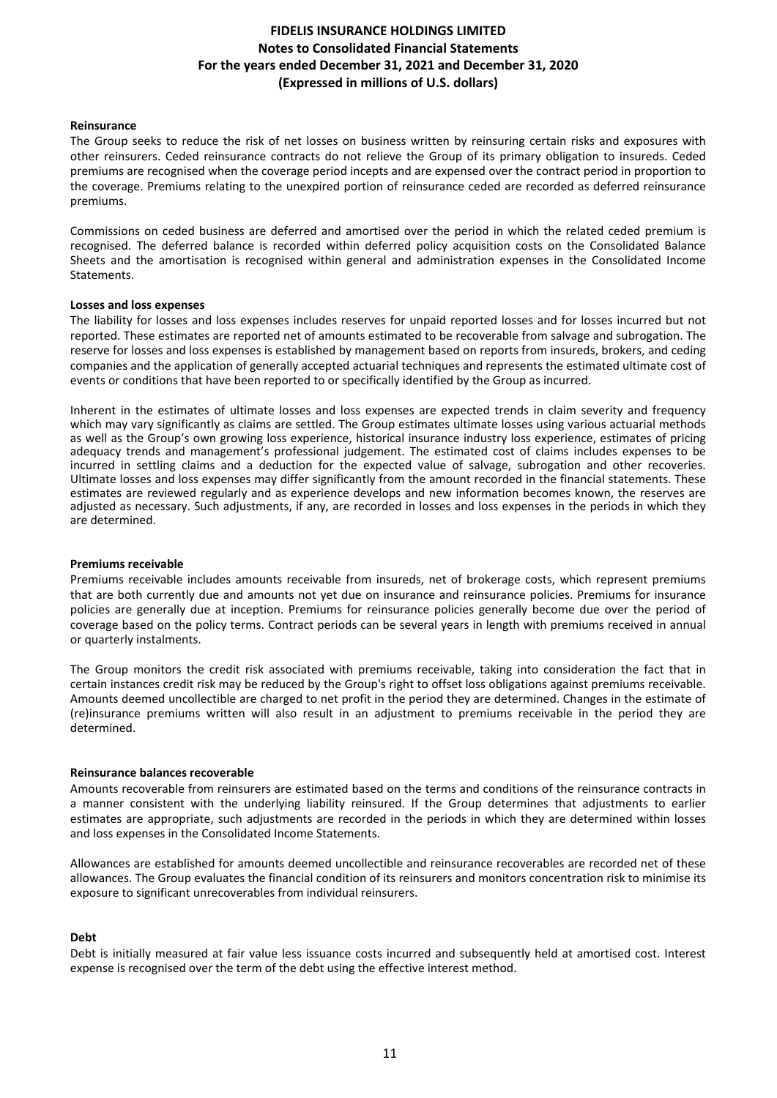### **Reinsurance**

The Group seeks to reduce the risk of net losses on business written by reinsuring certain risks and exposures with other reinsurers. Ceded reinsurance contracts do not relieve the Group of its primary obligation to insureds. Ceded premiums are recognised when the coverage period incepts and are expensed over the contract period in proportion to the coverage. Premiums relating to the unexpired portion of reinsurance ceded are recorded as deferred reinsurance premiums. 

Commissions on ceded business are deferred and amortised over the period in which the related ceded premium is recognised. The deferred balance is recorded within deferred policy acquisition costs on the Consolidated Balance Sheets and the amortisation is recognised within general and administration expenses in the Consolidated Income Statements.

### Losses and loss expenses

The liability for losses and loss expenses includes reserves for unpaid reported losses and for losses incurred but not reported. These estimates are reported net of amounts estimated to be recoverable from salvage and subrogation. The reserve for losses and loss expenses is established by management based on reports from insureds, brokers, and ceding companies and the application of generally accepted actuarial techniques and represents the estimated ultimate cost of events or conditions that have been reported to or specifically identified by the Group as incurred.

Inherent in the estimates of ultimate losses and loss expenses are expected trends in claim severity and frequency which may vary significantly as claims are settled. The Group estimates ultimate losses using various actuarial methods as well as the Group's own growing loss experience, historical insurance industry loss experience, estimates of pricing adequacy trends and management's professional judgement. The estimated cost of claims includes expenses to be incurred in settling claims and a deduction for the expected value of salvage, subrogation and other recoveries. Ultimate losses and loss expenses may differ significantly from the amount recorded in the financial statements. These estimates are reviewed regularly and as experience develops and new information becomes known, the reserves are adjusted as necessary. Such adjustments, if any, are recorded in losses and loss expenses in the periods in which they are determined.

#### **Premiums receivable**

Premiums receivable includes amounts receivable from insureds, net of brokerage costs, which represent premiums that are both currently due and amounts not yet due on insurance and reinsurance policies. Premiums for insurance policies are generally due at inception. Premiums for reinsurance policies generally become due over the period of coverage based on the policy terms. Contract periods can be several years in length with premiums received in annual or quarterly instalments.

The Group monitors the credit risk associated with premiums receivable, taking into consideration the fact that in certain instances credit risk may be reduced by the Group's right to offset loss obligations against premiums receivable. Amounts deemed uncollectible are charged to net profit in the period they are determined. Changes in the estimate of (re)insurance premiums written will also result in an adjustment to premiums receivable in the period they are determined.

#### **Reinsurance balances recoverable**

Amounts recoverable from reinsurers are estimated based on the terms and conditions of the reinsurance contracts in a manner consistent with the underlying liability reinsured. If the Group determines that adjustments to earlier estimates are appropriate, such adjustments are recorded in the periods in which they are determined within losses and loss expenses in the Consolidated Income Statements.

Allowances are established for amounts deemed uncollectible and reinsurance recoverables are recorded net of these allowances. The Group evaluates the financial condition of its reinsurers and monitors concentration risk to minimise its exposure to significant unrecoverables from individual reinsurers.

### **Debt**

Debt is initially measured at fair value less issuance costs incurred and subsequently held at amortised cost. Interest expense is recognised over the term of the debt using the effective interest method.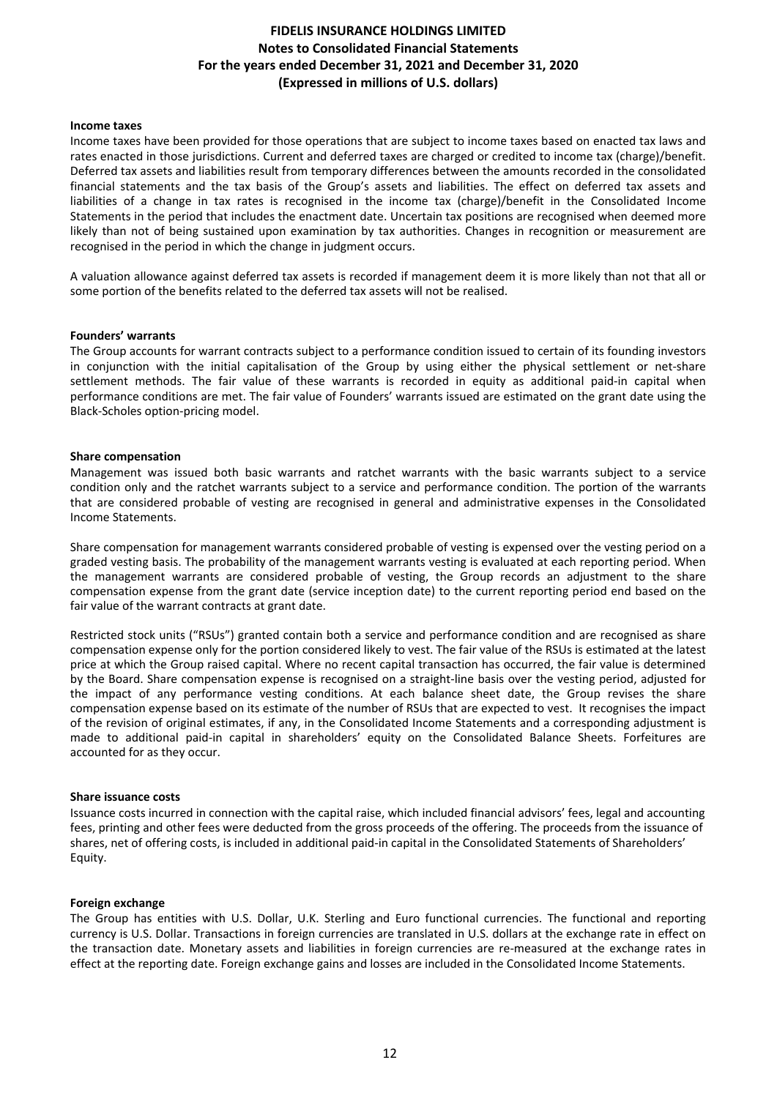#### **Income taxes**

Income taxes have been provided for those operations that are subject to income taxes based on enacted tax laws and rates enacted in those jurisdictions. Current and deferred taxes are charged or credited to income tax (charge)/benefit. Deferred tax assets and liabilities result from temporary differences between the amounts recorded in the consolidated financial statements and the tax basis of the Group's assets and liabilities. The effect on deferred tax assets and liabilities of a change in tax rates is recognised in the income tax (charge)/benefit in the Consolidated Income Statements in the period that includes the enactment date. Uncertain tax positions are recognised when deemed more likely than not of being sustained upon examination by tax authorities. Changes in recognition or measurement are recognised in the period in which the change in judgment occurs.

A valuation allowance against deferred tax assets is recorded if management deem it is more likely than not that all or some portion of the benefits related to the deferred tax assets will not be realised.

#### **Founders' warrants**

The Group accounts for warrant contracts subject to a performance condition issued to certain of its founding investors in conjunction with the initial capitalisation of the Group by using either the physical settlement or net-share settlement methods. The fair value of these warrants is recorded in equity as additional paid-in capital when performance conditions are met. The fair value of Founders' warrants issued are estimated on the grant date using the Black-Scholes option-pricing model.

#### **Share compensation**

Management was issued both basic warrants and ratchet warrants with the basic warrants subject to a service condition only and the ratchet warrants subject to a service and performance condition. The portion of the warrants that are considered probable of vesting are recognised in general and administrative expenses in the Consolidated Income Statements. 

Share compensation for management warrants considered probable of vesting is expensed over the vesting period on a graded vesting basis. The probability of the management warrants vesting is evaluated at each reporting period. When the management warrants are considered probable of vesting, the Group records an adjustment to the share compensation expense from the grant date (service inception date) to the current reporting period end based on the fair value of the warrant contracts at grant date.

Restricted stock units ("RSUs") granted contain both a service and performance condition and are recognised as share compensation expense only for the portion considered likely to vest. The fair value of the RSUs is estimated at the latest price at which the Group raised capital. Where no recent capital transaction has occurred, the fair value is determined by the Board. Share compensation expense is recognised on a straight-line basis over the vesting period, adjusted for the impact of any performance vesting conditions. At each balance sheet date, the Group revises the share compensation expense based on its estimate of the number of RSUs that are expected to vest. It recognises the impact of the revision of original estimates, if any, in the Consolidated Income Statements and a corresponding adjustment is made to additional paid-in capital in shareholders' equity on the Consolidated Balance Sheets. Forfeitures are accounted for as they occur.

#### **Share issuance costs**

Issuance costs incurred in connection with the capital raise, which included financial advisors' fees, legal and accounting fees, printing and other fees were deducted from the gross proceeds of the offering. The proceeds from the issuance of shares, net of offering costs, is included in additional paid-in capital in the Consolidated Statements of Shareholders' Equity.

#### **Foreign exchange**

The Group has entities with U.S. Dollar, U.K. Sterling and Euro functional currencies. The functional and reporting currency is U.S. Dollar. Transactions in foreign currencies are translated in U.S. dollars at the exchange rate in effect on the transaction date. Monetary assets and liabilities in foreign currencies are re-measured at the exchange rates in effect at the reporting date. Foreign exchange gains and losses are included in the Consolidated Income Statements.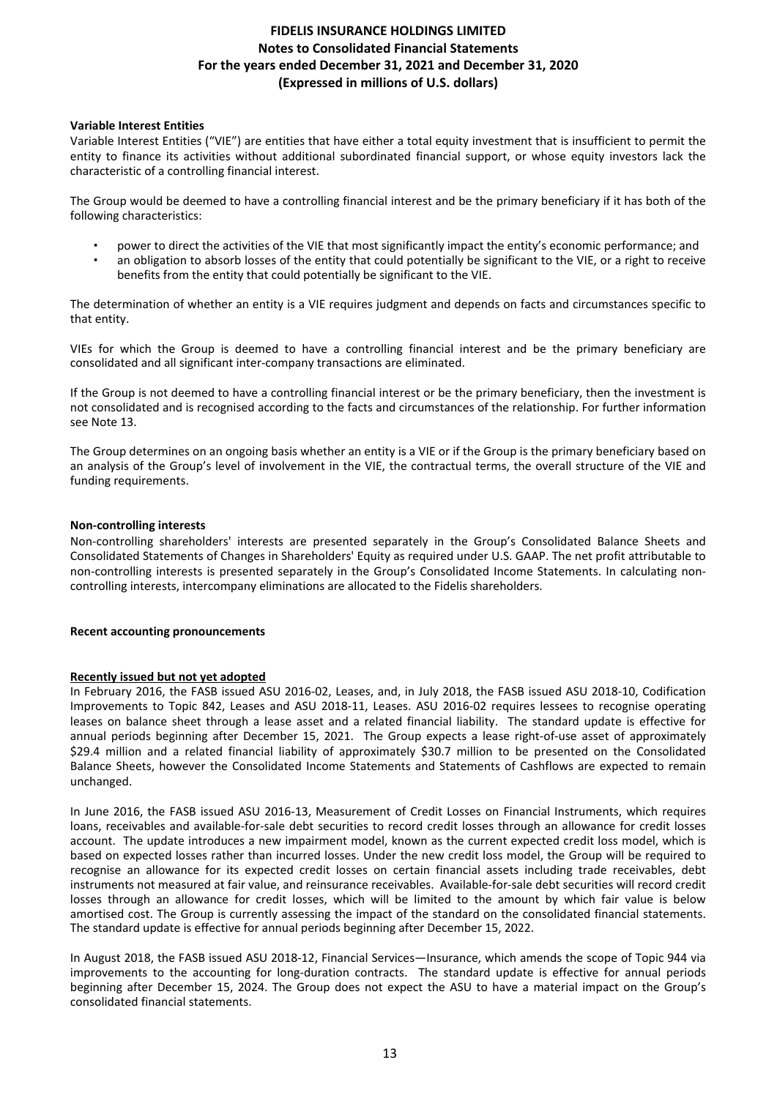### **Variable Interest Entities**

Variable Interest Entities ("VIE") are entities that have either a total equity investment that is insufficient to permit the entity to finance its activities without additional subordinated financial support, or whose equity investors lack the characteristic of a controlling financial interest.

The Group would be deemed to have a controlling financial interest and be the primary beneficiary if it has both of the following characteristics:

- power to direct the activities of the VIE that most significantly impact the entity's economic performance; and
- an obligation to absorb losses of the entity that could potentially be significant to the VIE, or a right to receive benefits from the entity that could potentially be significant to the VIE.

The determination of whether an entity is a VIE requires judgment and depends on facts and circumstances specific to that entity.

VIEs for which the Group is deemed to have a controlling financial interest and be the primary beneficiary are consolidated and all significant inter-company transactions are eliminated.

If the Group is not deemed to have a controlling financial interest or be the primary beneficiary, then the investment is not consolidated and is recognised according to the facts and circumstances of the relationship. For further information see Note 13.

The Group determines on an ongoing basis whether an entity is a VIE or if the Group is the primary beneficiary based on an analysis of the Group's level of involvement in the VIE, the contractual terms, the overall structure of the VIE and funding requirements.

### **Non-controlling interests**

Non-controlling shareholders' interests are presented separately in the Group's Consolidated Balance Sheets and Consolidated Statements of Changes in Shareholders' Equity as required under U.S. GAAP. The net profit attributable to non-controlling interests is presented separately in the Group's Consolidated Income Statements. In calculating noncontrolling interests, intercompany eliminations are allocated to the Fidelis shareholders.

#### **Recent accounting pronouncements**

### **Recently issued but not yet adopted**

In February 2016, the FASB issued ASU 2016-02, Leases, and, in July 2018, the FASB issued ASU 2018-10, Codification Improvements to Topic 842, Leases and ASU 2018-11, Leases. ASU 2016-02 requires lessees to recognise operating leases on balance sheet through a lease asset and a related financial liability. The standard update is effective for annual periods beginning after December 15, 2021. The Group expects a lease right-of-use asset of approximately \$29.4 million and a related financial liability of approximately \$30.7 million to be presented on the Consolidated Balance Sheets, however the Consolidated Income Statements and Statements of Cashflows are expected to remain unchanged. 

In June 2016, the FASB issued ASU 2016-13, Measurement of Credit Losses on Financial Instruments, which requires loans, receivables and available-for-sale debt securities to record credit losses through an allowance for credit losses account. The update introduces a new impairment model, known as the current expected credit loss model, which is based on expected losses rather than incurred losses. Under the new credit loss model, the Group will be required to recognise an allowance for its expected credit losses on certain financial assets including trade receivables, debt instruments not measured at fair value, and reinsurance receivables. Available-for-sale debt securities will record credit losses through an allowance for credit losses, which will be limited to the amount by which fair value is below amortised cost. The Group is currently assessing the impact of the standard on the consolidated financial statements. The standard update is effective for annual periods beginning after December 15, 2022.

In August 2018, the FASB issued ASU 2018-12, Financial Services—Insurance, which amends the scope of Topic 944 via improvements to the accounting for long-duration contracts. The standard update is effective for annual periods beginning after December 15, 2024. The Group does not expect the ASU to have a material impact on the Group's consolidated financial statements.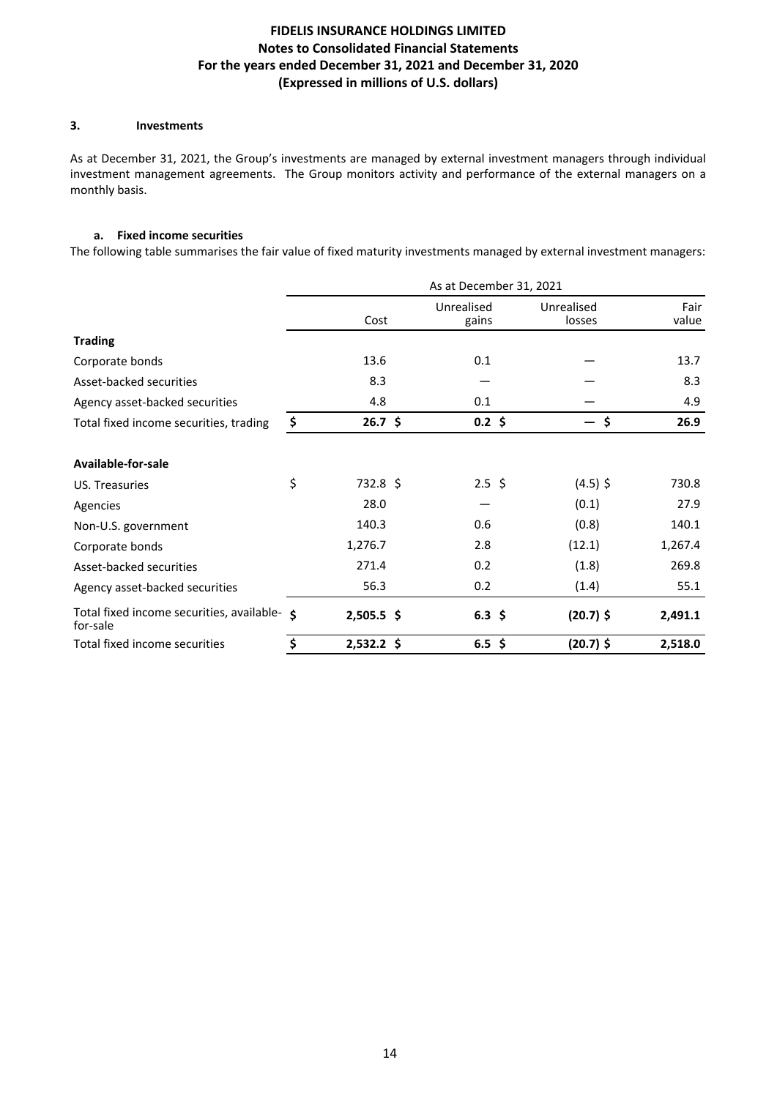## **3.** Investments

As at December 31, 2021, the Group's investments are managed by external investment managers through individual investment management agreements. The Group monitors activity and performance of the external managers on a monthly basis.

### **a. Fixed income securities**

The following table summarises the fair value of fixed maturity investments managed by external investment managers:

|                                                          | As at December 31, 2021 |                     |                                |               |  |  |
|----------------------------------------------------------|-------------------------|---------------------|--------------------------------|---------------|--|--|
|                                                          | Cost                    | Unrealised<br>gains | Unrealised<br>losses           | Fair<br>value |  |  |
| <b>Trading</b>                                           |                         |                     |                                |               |  |  |
| Corporate bonds                                          | 13.6                    | 0.1                 |                                | 13.7          |  |  |
| Asset-backed securities                                  | 8.3                     |                     |                                | 8.3           |  |  |
| Agency asset-backed securities                           | 4.8                     | 0.1                 |                                | 4.9           |  |  |
| Total fixed income securities, trading                   | \$<br>$26.7 \;$ \$      | $0.2 \; \text{S}$   | \$<br>$\overline{\phantom{0}}$ | 26.9          |  |  |
| Available-for-sale                                       |                         |                     |                                |               |  |  |
| US. Treasuries                                           | \$<br>$732.8$ \$        | $2.5 \; \simeq$     | $(4.5)$ \$                     | 730.8         |  |  |
| Agencies                                                 | 28.0                    |                     | (0.1)                          | 27.9          |  |  |
| Non-U.S. government                                      | 140.3                   | 0.6                 | (0.8)                          | 140.1         |  |  |
| Corporate bonds                                          | 1,276.7                 | 2.8                 | (12.1)                         | 1,267.4       |  |  |
| Asset-backed securities                                  | 271.4                   | 0.2                 | (1.8)                          | 269.8         |  |  |
| Agency asset-backed securities                           | 56.3                    | 0.2                 | (1.4)                          | 55.1          |  |  |
| Total fixed income securities, available- \$<br>for-sale | $2,505.5$ \$            | $6.3 \; \text{S}$   | $(20.7)$ \$                    | 2,491.1       |  |  |
| Total fixed income securities                            | \$<br>$2,532.2$ \$      | $6.5$ \$            | (20.7) \$                      | 2,518.0       |  |  |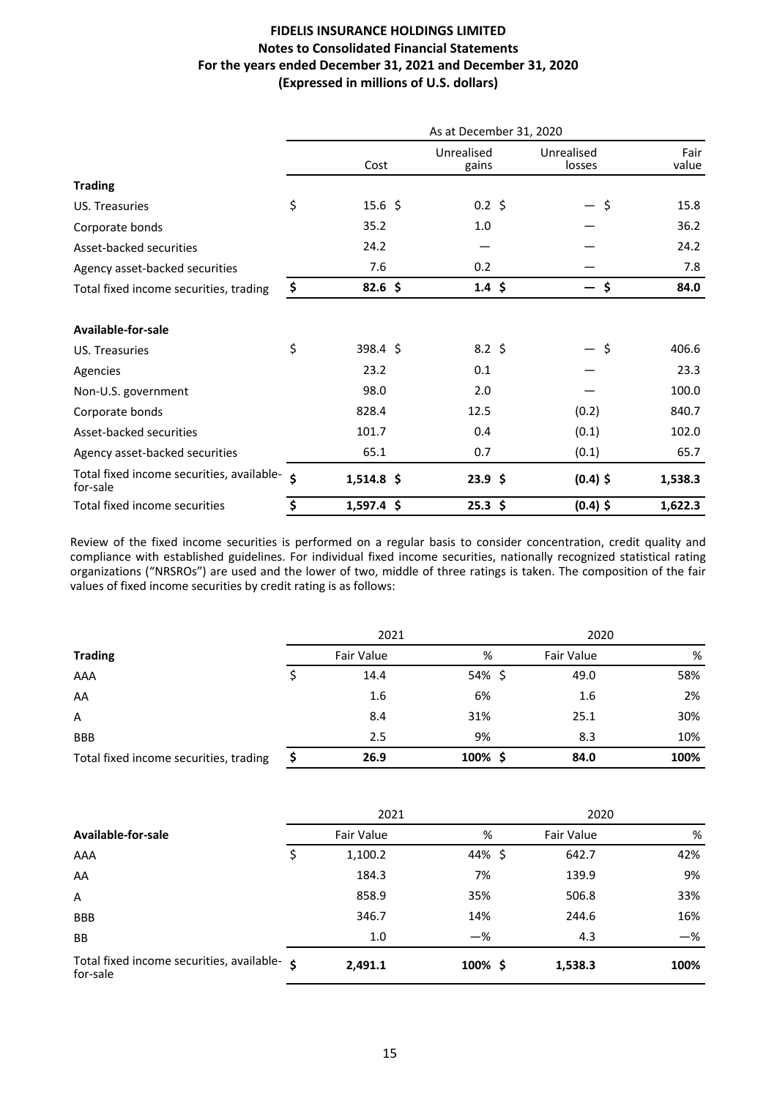|                                                          | As at December 31, 2020 |                    |                     |                      |               |  |
|----------------------------------------------------------|-------------------------|--------------------|---------------------|----------------------|---------------|--|
|                                                          |                         | Cost               | Unrealised<br>gains | Unrealised<br>losses | Fair<br>value |  |
| <b>Trading</b>                                           |                         |                    |                     |                      |               |  |
| US. Treasuries                                           | \$                      | $15.6 \; \text{S}$ | $0.2 \; \text{S}$   | \$<br>$-$            | 15.8          |  |
| Corporate bonds                                          |                         | 35.2               | 1.0                 |                      | 36.2          |  |
| Asset-backed securities                                  |                         | 24.2               |                     |                      | 24.2          |  |
| Agency asset-backed securities                           |                         | 7.6                | 0.2                 |                      | 7.8           |  |
| Total fixed income securities, trading                   | \$                      | $82.6$ \$          | $1.4 \; \text{S}$   | \$                   | 84.0          |  |
| Available-for-sale                                       |                         |                    |                     |                      |               |  |
| US. Treasuries                                           | \$                      | 398.4 \$           | $8.2 \; \text{S}$   | — \$                 | 406.6         |  |
| Agencies                                                 |                         | 23.2               | 0.1                 |                      | 23.3          |  |
| Non-U.S. government                                      |                         | 98.0               | 2.0                 |                      | 100.0         |  |
| Corporate bonds                                          |                         | 828.4              | 12.5                | (0.2)                | 840.7         |  |
| Asset-backed securities                                  |                         | 101.7              | 0.4                 | (0.1)                | 102.0         |  |
| Agency asset-backed securities                           |                         | 65.1               | 0.7                 | (0.1)                | 65.7          |  |
| Total fixed income securities, available- \$<br>for-sale |                         | $1,514.8$ \$       | 23.9 <sup>5</sup>   | $(0.4)$ \$           | 1,538.3       |  |
| Total fixed income securities                            | \$                      | $1,597.4$ \$       | $25.3$ \$           | $(0.4)$ \$           | 1,622.3       |  |

Review of the fixed income securities is performed on a regular basis to consider concentration, credit quality and compliance with established guidelines. For individual fixed income securities, nationally recognized statistical rating organizations ("NRSROs") are used and the lower of two, middle of three ratings is taken. The composition of the fair values of fixed income securities by credit rating is as follows:

|                                        |  | 2021       |            |  | 2020       |      |  |
|----------------------------------------|--|------------|------------|--|------------|------|--|
| <b>Trading</b>                         |  | Fair Value | %          |  | Fair Value | %    |  |
| AAA                                    |  | 14.4       | 54% \$     |  | 49.0       | 58%  |  |
| AA                                     |  | 1.6        | 6%         |  | 1.6        | 2%   |  |
| A                                      |  | 8.4        | 31%        |  | 25.1       | 30%  |  |
| <b>BBB</b>                             |  | 2.5        | 9%         |  | 8.3        | 10%  |  |
| Total fixed income securities, trading |  | 26.9       | $100\%$ \$ |  | 84.0       | 100% |  |

|                                                       | 2021 |            |            | 2020       |       |  |
|-------------------------------------------------------|------|------------|------------|------------|-------|--|
| Available-for-sale                                    |      | Fair Value | %          | Fair Value | %     |  |
| AAA                                                   |      | 1,100.2    | 44% \$     | 642.7      | 42%   |  |
| AA                                                    |      | 184.3      | 7%         | 139.9      | 9%    |  |
| A                                                     |      | 858.9      | 35%        | 506.8      | 33%   |  |
| <b>BBB</b>                                            |      | 346.7      | 14%        | 244.6      | 16%   |  |
| <b>BB</b>                                             |      | 1.0        | $-\%$      | 4.3        | $-$ % |  |
| Total fixed income securities, available-<br>for-sale |      | 2,491.1    | $100\%$ \$ | 1,538.3    | 100%  |  |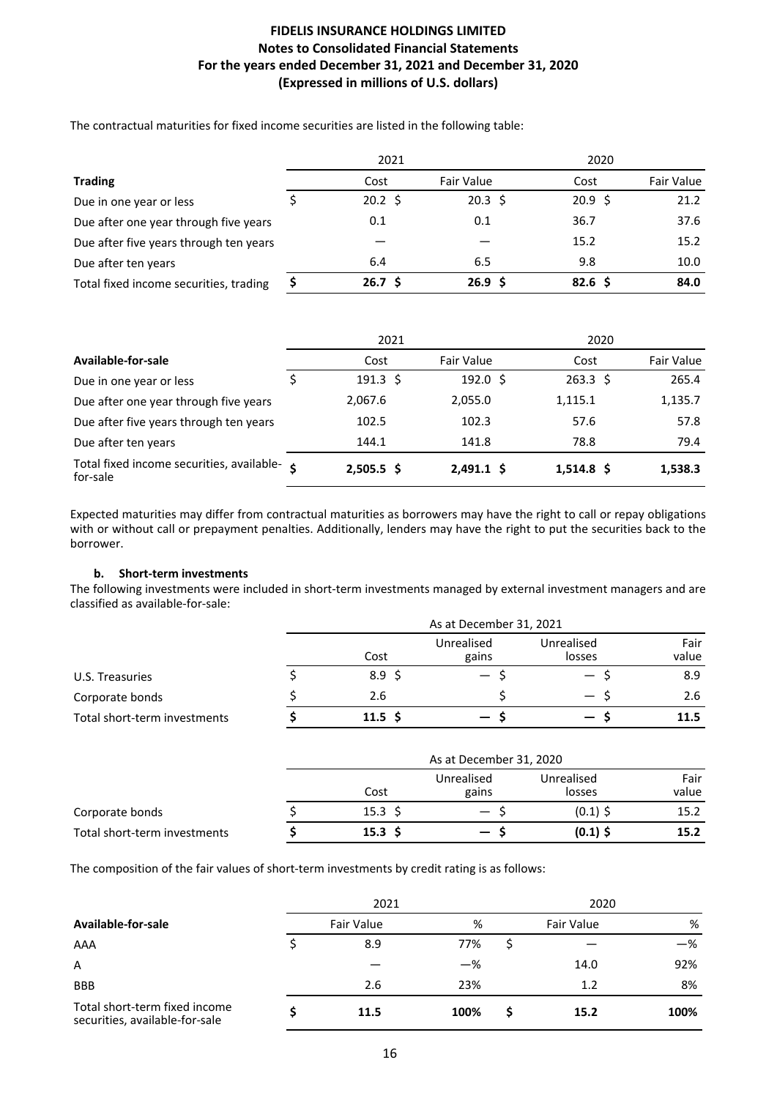The contractual maturities for fixed income securities are listed in the following table:

| <b>Trading</b>                         | 2021 |                    |                   | 2020              |            |  |
|----------------------------------------|------|--------------------|-------------------|-------------------|------------|--|
|                                        |      | Cost               | Fair Value        | Cost              | Fair Value |  |
| Due in one year or less                |      | $20.2 \; \text{S}$ | $20.3 \; \xi$     | $20.9 \;$ \$      | 21.2       |  |
| Due after one year through five years  |      | 0.1                | 0.1               | 36.7              | 37.6       |  |
| Due after five years through ten years |      |                    |                   | 15.2              | 15.2       |  |
| Due after ten years                    |      | 6.4                | 6.5               | 9.8               | 10.0       |  |
| Total fixed income securities, trading |      | 26.7 <sup>5</sup>  | 26.9 <sup>5</sup> | 82.6 <sup>5</sup> | 84.0       |  |

|                                                       | 2021                |                     | 2020              |            |
|-------------------------------------------------------|---------------------|---------------------|-------------------|------------|
| Available-for-sale                                    | Cost                | Fair Value          | Cost              | Fair Value |
| Due in one year or less                               | $191.3 \; \text{S}$ | $192.0 \; \text{S}$ | $263.3 \; \simeq$ | 265.4      |
| Due after one year through five years                 | 2,067.6             | 2,055.0             | 1,115.1           | 1,135.7    |
| Due after five years through ten years                | 102.5               | 102.3               | 57.6              | 57.8       |
| Due after ten years                                   | 144.1               | 141.8               | 78.8              | 79.4       |
| Total fixed income securities, available-<br>for-sale | $2,505.5$ \$        | $2,491.1$ \$        | $1,514.8$ \$      | 1,538.3    |

Expected maturities may differ from contractual maturities as borrowers may have the right to call or repay obligations with or without call or prepayment penalties. Additionally, lenders may have the right to put the securities back to the borrower. 

### **b.** Short-term investments

The following investments were included in short-term investments managed by external investment managers and are classified as available-for-sale:

|                              | As at December 31, 2021 |                 |                     |                          |               |
|------------------------------|-------------------------|-----------------|---------------------|--------------------------|---------------|
|                              |                         | Cost            | Unrealised<br>gains | Unrealised<br>losses     | Fair<br>value |
| U.S. Treasuries              |                         | $8.9 \; \zeta$  | $-$ 5               | $\overline{\phantom{0}}$ | 8.9           |
| Corporate bonds              |                         | 2.6             |                     | $\qquad \qquad -$        | 2.6           |
| Total short-term investments |                         | $11.5 \text{ }$ | $-$ s               | $\overline{\phantom{0}}$ | 11.5          |

|                              | As at December 31, 2020 |                     |                      |               |  |  |
|------------------------------|-------------------------|---------------------|----------------------|---------------|--|--|
|                              | Cost                    | Unrealised<br>gains | Unrealised<br>losses | Fair<br>value |  |  |
| Corporate bonds              | $15.3 \;$ \$            | $\hspace{0.05cm}$   | $(0.1)$ \$           | 15.2          |  |  |
| Total short-term investments | 15.3 <sup>5</sup>       | $-5$                | $(0.1)$ \$           | 15.2          |  |  |

The composition of the fair values of short-term investments by credit rating is as follows:

|                                                                 | 2021       |       |                   | 2020 |      |  |  |
|-----------------------------------------------------------------|------------|-------|-------------------|------|------|--|--|
| Available-for-sale                                              | Fair Value |       | <b>Fair Value</b> |      | %    |  |  |
| AAA                                                             | 8.9        | 77%   |                   |      | —%   |  |  |
| A                                                               |            | $-\%$ |                   | 14.0 | 92%  |  |  |
| <b>BBB</b>                                                      | 2.6        | 23%   |                   | 1.2  | 8%   |  |  |
| Total short-term fixed income<br>securities, available-for-sale | 11.5       | 100%  |                   | 15.2 | 100% |  |  |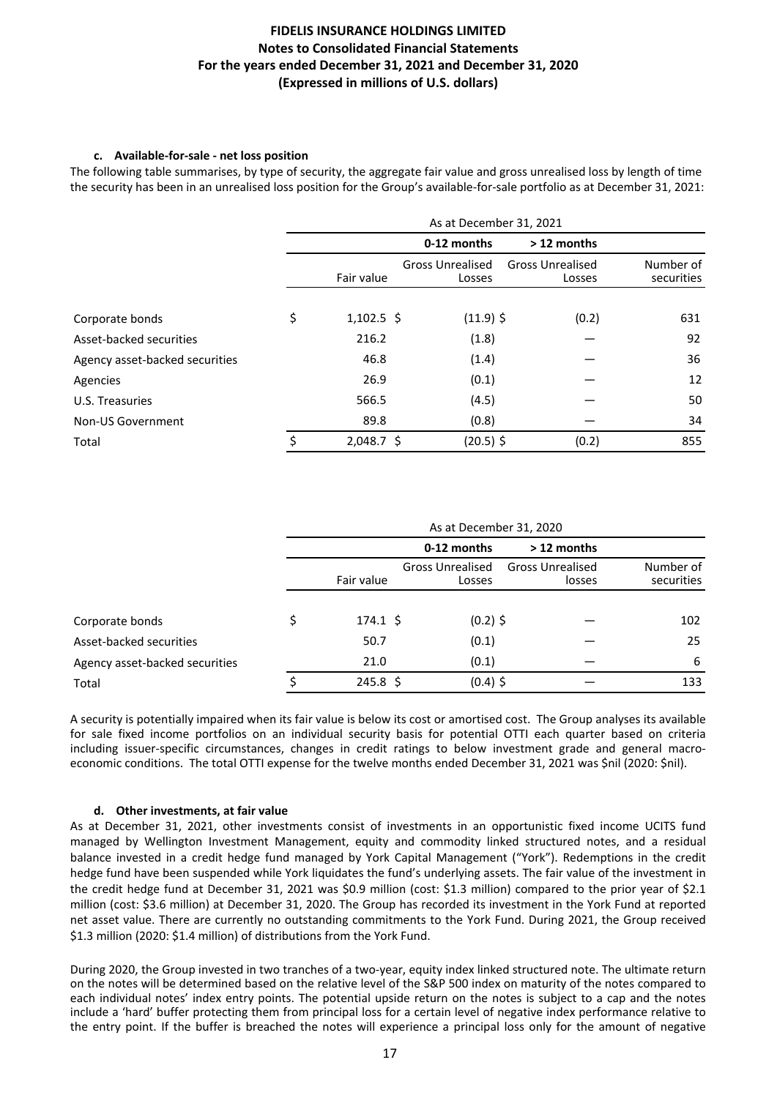### c. Available-for-sale - net loss position

The following table summarises, by type of security, the aggregate fair value and gross unrealised loss by length of time the security has been in an unrealised loss position for the Group's available-for-sale portfolio as at December 31, 2021:

|                                | As at December 31, 2021 |              |                                   |                                   |                         |  |
|--------------------------------|-------------------------|--------------|-----------------------------------|-----------------------------------|-------------------------|--|
|                                |                         |              | 0-12 months                       | > 12 months                       |                         |  |
|                                |                         | Fair value   | <b>Gross Unrealised</b><br>Losses | <b>Gross Unrealised</b><br>Losses | Number of<br>securities |  |
| Corporate bonds                | \$                      | $1,102.5$ \$ | $(11.9)$ \$                       | (0.2)                             | 631                     |  |
| Asset-backed securities        |                         | 216.2        | (1.8)                             |                                   | 92                      |  |
| Agency asset-backed securities |                         | 46.8         | (1.4)                             |                                   | 36                      |  |
| Agencies                       |                         | 26.9         | (0.1)                             |                                   | 12                      |  |
| U.S. Treasuries                |                         | 566.5        | (4.5)                             |                                   | 50                      |  |
| Non-US Government              |                         | 89.8         | (0.8)                             |                                   | 34                      |  |
| Total                          | \$                      | $2,048.7$ \$ | $(20.5)$ \$                       | (0.2)                             | 855                     |  |

|                                | As at December 31, 2020 |                   |                                   |                                   |                         |
|--------------------------------|-------------------------|-------------------|-----------------------------------|-----------------------------------|-------------------------|
|                                |                         |                   | 0-12 months                       | > 12 months                       |                         |
|                                |                         | Fair value        | <b>Gross Unrealised</b><br>Losses | <b>Gross Unrealised</b><br>losses | Number of<br>securities |
|                                |                         |                   |                                   |                                   |                         |
| Corporate bonds                | \$                      | $174.1 \;$ \$     | $(0.2)$ \$                        |                                   | 102                     |
| Asset-backed securities        |                         | 50.7              | (0.1)                             |                                   | 25                      |
| Agency asset-backed securities |                         | 21.0              | (0.1)                             |                                   | 6                       |
| Total                          |                         | $245.8 \; \simeq$ | $(0.4)$ \$                        |                                   | 133                     |

A security is potentially impaired when its fair value is below its cost or amortised cost. The Group analyses its available for sale fixed income portfolios on an individual security basis for potential OTTI each quarter based on criteria including issuer-specific circumstances, changes in credit ratings to below investment grade and general macroeconomic conditions. The total OTTI expense for the twelve months ended December 31, 2021 was \$nil (2020: \$nil).

## d. Other investments, at fair value

As at December 31, 2021, other investments consist of investments in an opportunistic fixed income UCITS fund managed by Wellington Investment Management, equity and commodity linked structured notes, and a residual balance invested in a credit hedge fund managed by York Capital Management ("York"). Redemptions in the credit hedge fund have been suspended while York liquidates the fund's underlying assets. The fair value of the investment in the credit hedge fund at December 31, 2021 was \$0.9 million (cost: \$1.3 million) compared to the prior year of \$2.1 million (cost: \$3.6 million) at December 31, 2020. The Group has recorded its investment in the York Fund at reported net asset value. There are currently no outstanding commitments to the York Fund. During 2021, the Group received \$1.3 million (2020: \$1.4 million) of distributions from the York Fund.

During 2020, the Group invested in two tranches of a two-year, equity index linked structured note. The ultimate return on the notes will be determined based on the relative level of the S&P 500 index on maturity of the notes compared to each individual notes' index entry points. The potential upside return on the notes is subject to a cap and the notes include a 'hard' buffer protecting them from principal loss for a certain level of negative index performance relative to the entry point. If the buffer is breached the notes will experience a principal loss only for the amount of negative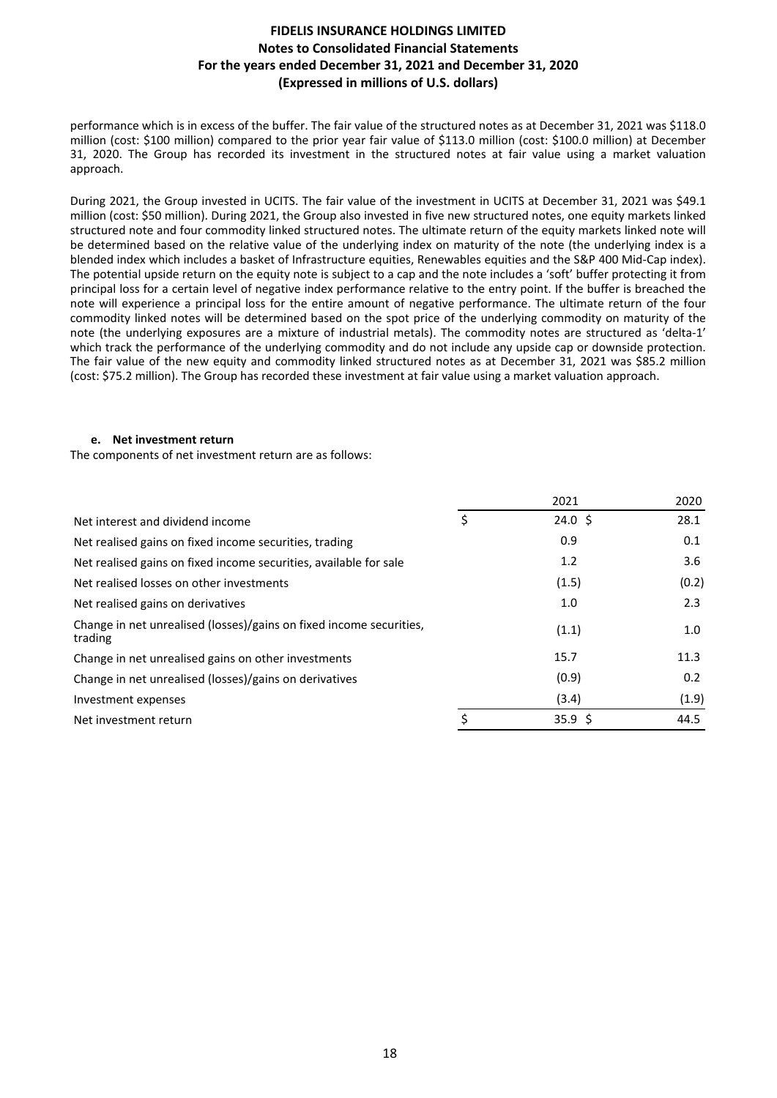performance which is in excess of the buffer. The fair value of the structured notes as at December 31, 2021 was \$118.0 million (cost: \$100 million) compared to the prior year fair value of \$113.0 million (cost: \$100.0 million) at December 31, 2020. The Group has recorded its investment in the structured notes at fair value using a market valuation approach.

During 2021, the Group invested in UCITS. The fair value of the investment in UCITS at December 31, 2021 was \$49.1 million (cost: \$50 million). During 2021, the Group also invested in five new structured notes, one equity markets linked structured note and four commodity linked structured notes. The ultimate return of the equity markets linked note will be determined based on the relative value of the underlying index on maturity of the note (the underlying index is a blended index which includes a basket of Infrastructure equities, Renewables equities and the S&P 400 Mid-Cap index). The potential upside return on the equity note is subject to a cap and the note includes a 'soft' buffer protecting it from principal loss for a certain level of negative index performance relative to the entry point. If the buffer is breached the note will experience a principal loss for the entire amount of negative performance. The ultimate return of the four commodity linked notes will be determined based on the spot price of the underlying commodity on maturity of the note (the underlying exposures are a mixture of industrial metals). The commodity notes are structured as 'delta-1' which track the performance of the underlying commodity and do not include any upside cap or downside protection. The fair value of the new equity and commodity linked structured notes as at December 31, 2021 was \$85.2 million (cost: \$75.2 million). The Group has recorded these investment at fair value using a market valuation approach.

### **e.** Net investment return

The components of net investment return are as follows:

|    | 2021            | 2020  |
|----|-----------------|-------|
| \$ | $24.0 \text{ }$ | 28.1  |
|    | 0.9             | 0.1   |
|    | 1.2             | 3.6   |
|    | (1.5)           | (0.2) |
|    | 1.0             | 2.3   |
|    | (1.1)           | 1.0   |
|    | 15.7            | 11.3  |
|    | (0.9)           | 0.2   |
|    | (3.4)           | (1.9) |
| ς  | 35.9 \$         | 44.5  |
|    |                 |       |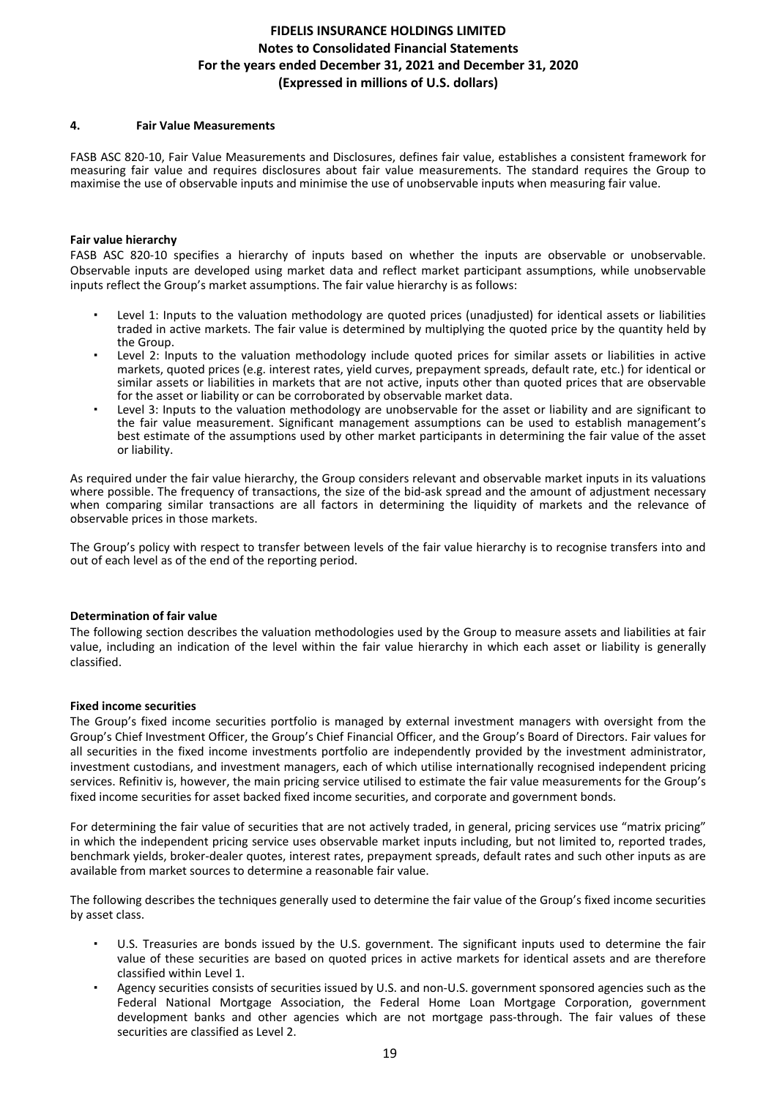### **4. Fair Value Measurements**

FASB ASC 820-10, Fair Value Measurements and Disclosures, defines fair value, establishes a consistent framework for measuring fair value and requires disclosures about fair value measurements. The standard requires the Group to maximise the use of observable inputs and minimise the use of unobservable inputs when measuring fair value.

### **Fair value hierarchy**

FASB ASC 820-10 specifies a hierarchy of inputs based on whether the inputs are observable or unobservable. Observable inputs are developed using market data and reflect market participant assumptions, while unobservable inputs reflect the Group's market assumptions. The fair value hierarchy is as follows:

- Level 1: Inputs to the valuation methodology are quoted prices (unadjusted) for identical assets or liabilities traded in active markets. The fair value is determined by multiplying the quoted price by the quantity held by the Group.
- Level 2: Inputs to the valuation methodology include quoted prices for similar assets or liabilities in active markets, quoted prices (e.g. interest rates, yield curves, prepayment spreads, default rate, etc.) for identical or similar assets or liabilities in markets that are not active, inputs other than quoted prices that are observable for the asset or liability or can be corroborated by observable market data.
- Level 3: Inputs to the valuation methodology are unobservable for the asset or liability and are significant to the fair value measurement. Significant management assumptions can be used to establish management's best estimate of the assumptions used by other market participants in determining the fair value of the asset or liability.

As required under the fair value hierarchy, the Group considers relevant and observable market inputs in its valuations where possible. The frequency of transactions, the size of the bid-ask spread and the amount of adjustment necessary when comparing similar transactions are all factors in determining the liquidity of markets and the relevance of observable prices in those markets.

The Group's policy with respect to transfer between levels of the fair value hierarchy is to recognise transfers into and out of each level as of the end of the reporting period.

#### **Determination of fair value**

The following section describes the valuation methodologies used by the Group to measure assets and liabilities at fair value, including an indication of the level within the fair value hierarchy in which each asset or liability is generally classified.

#### **Fixed income securities**

The Group's fixed income securities portfolio is managed by external investment managers with oversight from the Group's Chief Investment Officer, the Group's Chief Financial Officer, and the Group's Board of Directors. Fair values for all securities in the fixed income investments portfolio are independently provided by the investment administrator, investment custodians, and investment managers, each of which utilise internationally recognised independent pricing services. Refinitiv is, however, the main pricing service utilised to estimate the fair value measurements for the Group's fixed income securities for asset backed fixed income securities, and corporate and government bonds.

For determining the fair value of securities that are not actively traded, in general, pricing services use "matrix pricing" in which the independent pricing service uses observable market inputs including, but not limited to, reported trades, benchmark yields, broker-dealer quotes, interest rates, prepayment spreads, default rates and such other inputs as are available from market sources to determine a reasonable fair value.

The following describes the techniques generally used to determine the fair value of the Group's fixed income securities by asset class.

- U.S. Treasuries are bonds issued by the U.S. government. The significant inputs used to determine the fair value of these securities are based on quoted prices in active markets for identical assets and are therefore classified within Level 1.
- Agency securities consists of securities issued by U.S. and non-U.S. government sponsored agencies such as the Federal National Mortgage Association, the Federal Home Loan Mortgage Corporation, government development banks and other agencies which are not mortgage pass-through. The fair values of these securities are classified as Level 2.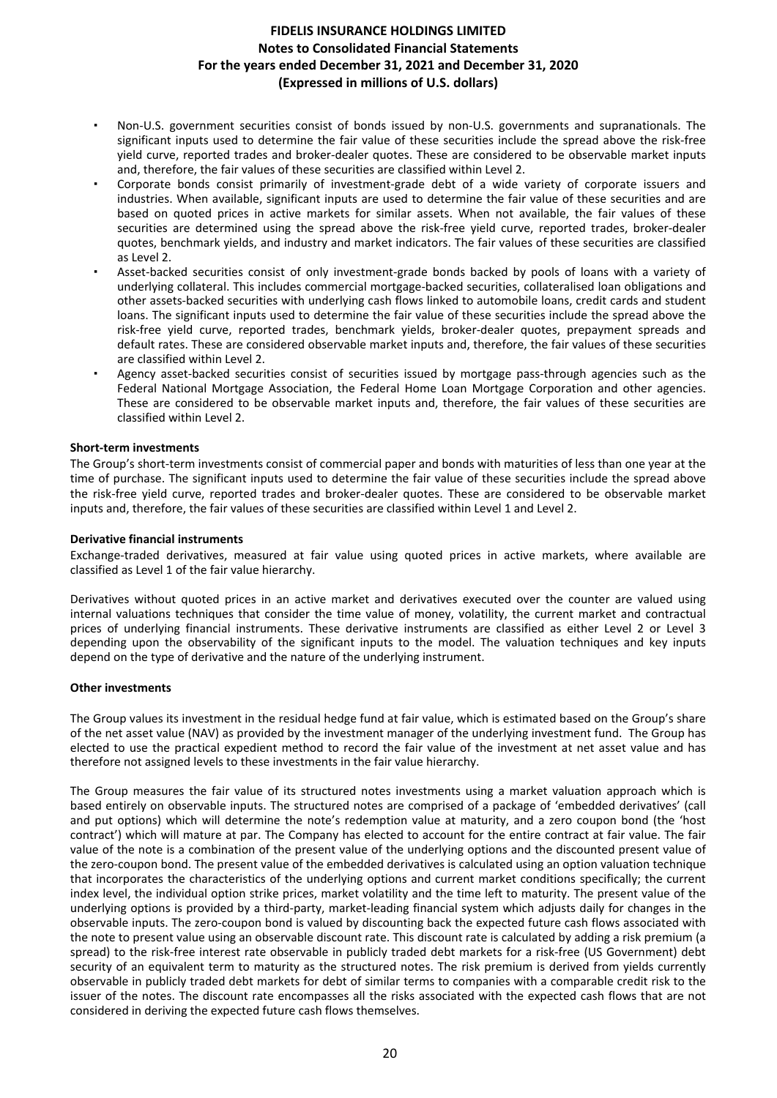- Non-U.S. government securities consist of bonds issued by non-U.S. governments and supranationals. The significant inputs used to determine the fair value of these securities include the spread above the risk-free yield curve, reported trades and broker-dealer quotes. These are considered to be observable market inputs and, therefore, the fair values of these securities are classified within Level 2.
- Corporate bonds consist primarily of investment-grade debt of a wide variety of corporate issuers and industries. When available, significant inputs are used to determine the fair value of these securities and are based on quoted prices in active markets for similar assets. When not available, the fair values of these securities are determined using the spread above the risk-free yield curve, reported trades, broker-dealer quotes, benchmark yields, and industry and market indicators. The fair values of these securities are classified as Level 2.
- Asset-backed securities consist of only investment-grade bonds backed by pools of loans with a variety of underlying collateral. This includes commercial mortgage-backed securities, collateralised loan obligations and other assets-backed securities with underlying cash flows linked to automobile loans, credit cards and student loans. The significant inputs used to determine the fair value of these securities include the spread above the risk-free vield curve, reported trades, benchmark yields, broker-dealer quotes, prepayment spreads and default rates. These are considered observable market inputs and, therefore, the fair values of these securities are classified within Level 2.
- Agency asset-backed securities consist of securities issued by mortgage pass-through agencies such as the Federal National Mortgage Association, the Federal Home Loan Mortgage Corporation and other agencies. These are considered to be observable market inputs and, therefore, the fair values of these securities are classified within Level 2.

### **Short-term investments**

The Group's short-term investments consist of commercial paper and bonds with maturities of less than one year at the time of purchase. The significant inputs used to determine the fair value of these securities include the spread above the risk-free vield curve, reported trades and broker-dealer quotes. These are considered to be observable market inputs and, therefore, the fair values of these securities are classified within Level 1 and Level 2.

### **Derivative financial instruments**

Exchange-traded derivatives, measured at fair value using quoted prices in active markets, where available are classified as Level 1 of the fair value hierarchy.

Derivatives without quoted prices in an active market and derivatives executed over the counter are valued using internal valuations techniques that consider the time value of money, volatility, the current market and contractual prices of underlying financial instruments. These derivative instruments are classified as either Level 2 or Level 3 depending upon the observability of the significant inputs to the model. The valuation techniques and key inputs depend on the type of derivative and the nature of the underlying instrument.

#### **Other investments**

The Group values its investment in the residual hedge fund at fair value, which is estimated based on the Group's share of the net asset value (NAV) as provided by the investment manager of the underlying investment fund. The Group has elected to use the practical expedient method to record the fair value of the investment at net asset value and has therefore not assigned levels to these investments in the fair value hierarchy.

The Group measures the fair value of its structured notes investments using a market valuation approach which is based entirely on observable inputs. The structured notes are comprised of a package of 'embedded derivatives' (call and put options) which will determine the note's redemption value at maturity, and a zero coupon bond (the 'host contract') which will mature at par. The Company has elected to account for the entire contract at fair value. The fair value of the note is a combination of the present value of the underlying options and the discounted present value of the zero-coupon bond. The present value of the embedded derivatives is calculated using an option valuation technique that incorporates the characteristics of the underlying options and current market conditions specifically; the current index level, the individual option strike prices, market volatility and the time left to maturity. The present value of the underlying options is provided by a third-party, market-leading financial system which adiusts daily for changes in the observable inputs. The zero-coupon bond is valued by discounting back the expected future cash flows associated with the note to present value using an observable discount rate. This discount rate is calculated by adding a risk premium (a spread) to the risk-free interest rate observable in publicly traded debt markets for a risk-free (US Government) debt security of an equivalent term to maturity as the structured notes. The risk premium is derived from yields currently observable in publicly traded debt markets for debt of similar terms to companies with a comparable credit risk to the issuer of the notes. The discount rate encompasses all the risks associated with the expected cash flows that are not considered in deriving the expected future cash flows themselves.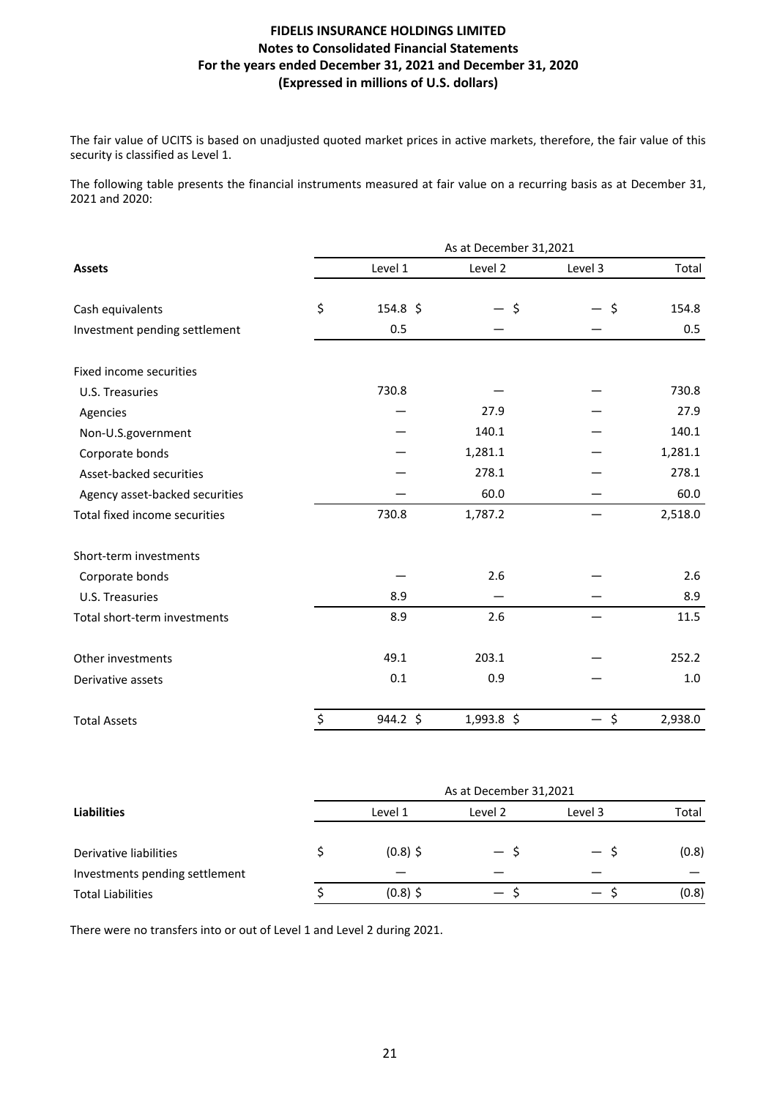The fair value of UCITS is based on unadjusted quoted market prices in active markets, therefore, the fair value of this security is classified as Level 1.

The following table presents the financial instruments measured at fair value on a recurring basis as at December 31, 2021 and 2020:

|                                | As at December 31,2021 |          |              |         |         |  |  |
|--------------------------------|------------------------|----------|--------------|---------|---------|--|--|
| <b>Assets</b>                  |                        | Level 1  | Level 2      | Level 3 | Total   |  |  |
| Cash equivalents               | \$                     | 154.8 \$ | - \$         | $\zeta$ | 154.8   |  |  |
| Investment pending settlement  |                        | 0.5      |              |         | 0.5     |  |  |
| Fixed income securities        |                        |          |              |         |         |  |  |
| U.S. Treasuries                |                        | 730.8    |              |         | 730.8   |  |  |
| Agencies                       |                        |          | 27.9         |         | 27.9    |  |  |
| Non-U.S.government             |                        |          | 140.1        |         | 140.1   |  |  |
| Corporate bonds                |                        |          | 1,281.1      |         | 1,281.1 |  |  |
| Asset-backed securities        |                        |          | 278.1        |         | 278.1   |  |  |
| Agency asset-backed securities |                        |          | 60.0         |         | 60.0    |  |  |
| Total fixed income securities  |                        | 730.8    | 1,787.2      |         | 2,518.0 |  |  |
| Short-term investments         |                        |          |              |         |         |  |  |
| Corporate bonds                |                        |          | 2.6          |         | 2.6     |  |  |
| U.S. Treasuries                |                        | 8.9      |              |         | 8.9     |  |  |
| Total short-term investments   |                        | 8.9      | 2.6          |         | 11.5    |  |  |
| Other investments              |                        | 49.1     | 203.1        |         | 252.2   |  |  |
| Derivative assets              |                        | 0.1      | 0.9          |         | 1.0     |  |  |
| <b>Total Assets</b>            | \$                     | 944.2 \$ | $1,993.8$ \$ | $-$ \$  | 2,938.0 |  |  |
|                                |                        |          |              |         |         |  |  |

|                                | As at December 31,2021 |            |                          |                          |       |  |  |
|--------------------------------|------------------------|------------|--------------------------|--------------------------|-------|--|--|
| <b>Liabilities</b>             |                        | Level 1    | Level 2                  | Level 3                  | Total |  |  |
| Derivative liabilities         |                        | $(0.8)$ \$ | — \$                     | — S                      | (0.8) |  |  |
| Investments pending settlement |                        |            |                          |                          |       |  |  |
| <b>Total Liabilities</b>       |                        | $(0.8)$ \$ | $\overline{\phantom{0}}$ | $\overline{\phantom{0}}$ | (0.8) |  |  |

There were no transfers into or out of Level 1 and Level 2 during 2021.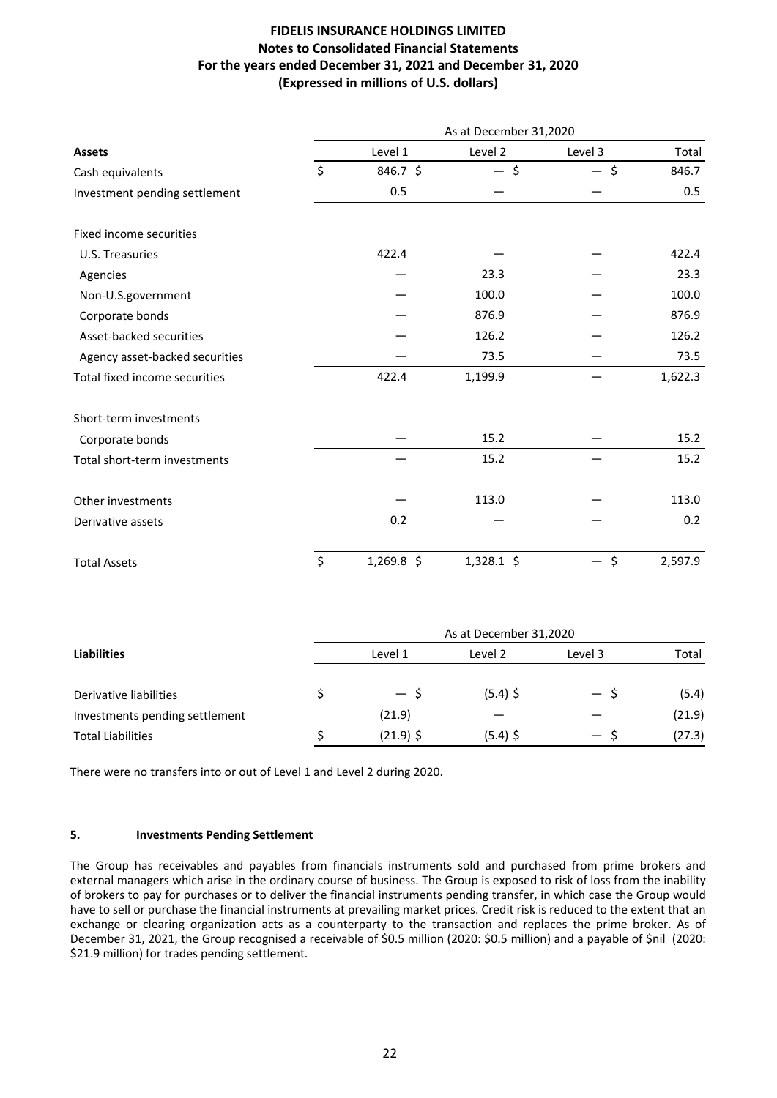|                                | As at December 31,2020 |              |         |               |  |  |  |
|--------------------------------|------------------------|--------------|---------|---------------|--|--|--|
| <b>Assets</b>                  | Level 1                | Level 2      | Level 3 | Total         |  |  |  |
| Cash equivalents               | $\zeta$<br>846.7 \$    | - \$         | - \$    | 846.7         |  |  |  |
| Investment pending settlement  | 0.5                    |              |         | 0.5           |  |  |  |
| Fixed income securities        |                        |              |         |               |  |  |  |
| U.S. Treasuries                | 422.4                  |              |         | 422.4         |  |  |  |
| Agencies                       |                        | 23.3         |         | 23.3          |  |  |  |
| Non-U.S.government             |                        | 100.0        |         | 100.0         |  |  |  |
| Corporate bonds                |                        | 876.9        |         | 876.9         |  |  |  |
| Asset-backed securities        |                        | 126.2        |         | 126.2         |  |  |  |
| Agency asset-backed securities |                        | 73.5         |         | 73.5          |  |  |  |
| Total fixed income securities  | 422.4                  | 1,199.9      |         | 1,622.3       |  |  |  |
| Short-term investments         |                        |              |         |               |  |  |  |
| Corporate bonds                |                        | 15.2         |         | 15.2          |  |  |  |
| Total short-term investments   |                        | 15.2         |         | 15.2          |  |  |  |
| Other investments              |                        | 113.0        |         | 113.0         |  |  |  |
| Derivative assets              | 0.2                    |              |         | 0.2           |  |  |  |
| <b>Total Assets</b>            | \$<br>$1,269.8$ \$     | $1,328.1$ \$ |         | \$<br>2,597.9 |  |  |  |

|                                | As at December 31,2020 |             |            |         |        |  |  |
|--------------------------------|------------------------|-------------|------------|---------|--------|--|--|
| <b>Liabilities</b>             |                        | Level 1     | Level 2    | Level 3 | Total  |  |  |
|                                |                        |             |            |         |        |  |  |
| Derivative liabilities         |                        | — S         | $(5.4)$ \$ | $-$ S   | (5.4)  |  |  |
| Investments pending settlement |                        | (21.9)      |            |         | (21.9) |  |  |
| <b>Total Liabilities</b>       |                        | $(21.9)$ \$ | $(5.4)$ \$ | — s     | (27.3) |  |  |

There were no transfers into or out of Level 1 and Level 2 during 2020.

### **5. Investments Pending Settlement**

The Group has receivables and payables from financials instruments sold and purchased from prime brokers and external managers which arise in the ordinary course of business. The Group is exposed to risk of loss from the inability of brokers to pay for purchases or to deliver the financial instruments pending transfer, in which case the Group would have to sell or purchase the financial instruments at prevailing market prices. Credit risk is reduced to the extent that an exchange or clearing organization acts as a counterparty to the transaction and replaces the prime broker. As of December 31, 2021, the Group recognised a receivable of \$0.5 million (2020: \$0.5 million) and a payable of \$nil (2020: \$21.9 million) for trades pending settlement.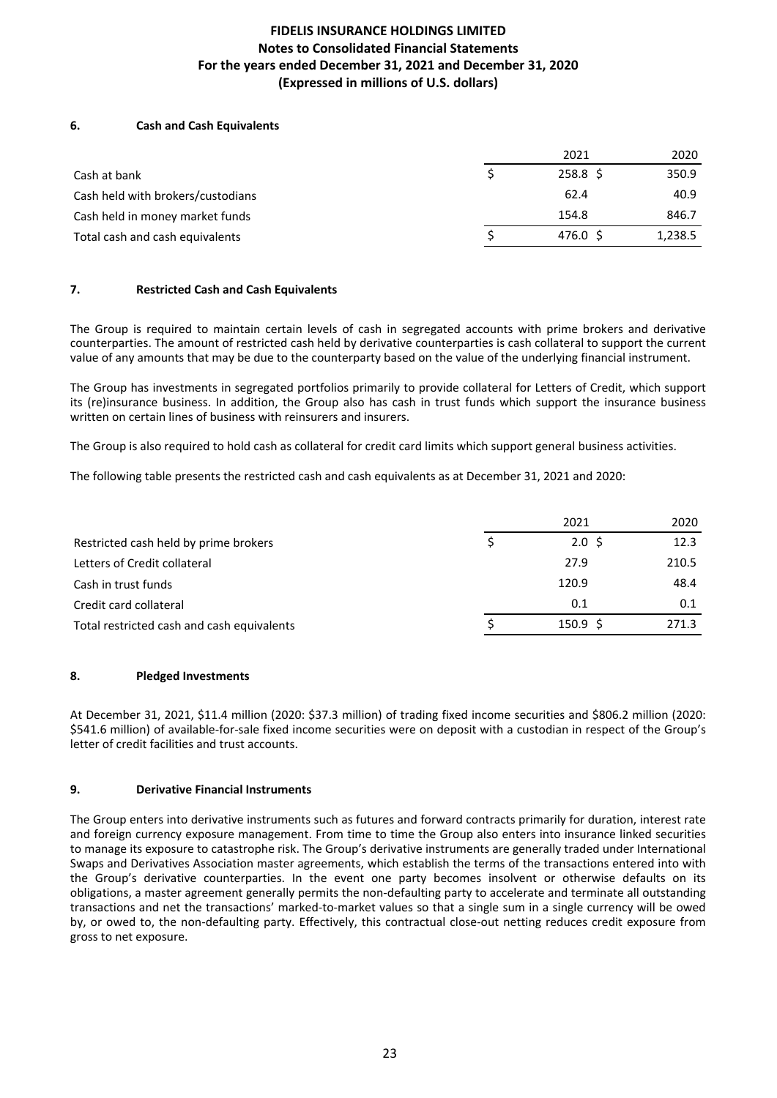## **6.** Cash and Cash Equivalents

|                                   | 2021               | 2020    |
|-----------------------------------|--------------------|---------|
| Cash at bank                      | $258.8\frac{1}{2}$ | 350.9   |
| Cash held with brokers/custodians | 62.4               | 40.9    |
| Cash held in money market funds   | 154.8              | 846.7   |
| Total cash and cash equivalents   | 476.0 \$           | 1,238.5 |

### **7.** Restricted Cash and Cash Equivalents

The Group is required to maintain certain levels of cash in segregated accounts with prime brokers and derivative counterparties. The amount of restricted cash held by derivative counterparties is cash collateral to support the current value of any amounts that may be due to the counterparty based on the value of the underlying financial instrument.

The Group has investments in segregated portfolios primarily to provide collateral for Letters of Credit, which support its (re)insurance business. In addition, the Group also has cash in trust funds which support the insurance business written on certain lines of business with reinsurers and insurers.

The Group is also required to hold cash as collateral for credit card limits which support general business activities.

The following table presents the restricted cash and cash equivalents as at December 31, 2021 and 2020:

|                                            | 2021                | 2020  |
|--------------------------------------------|---------------------|-------|
| Restricted cash held by prime brokers      | $2.0 \,$ \$         | 12.3  |
| Letters of Credit collateral               | 27.9                | 210.5 |
| Cash in trust funds                        | 120.9               | 48.4  |
| Credit card collateral                     | 0.1                 | 0.1   |
| Total restricted cash and cash equivalents | $150.9 \; \text{S}$ | 271.3 |

### **8.** Pledged Investments

At December 31, 2021, \$11.4 million (2020: \$37.3 million) of trading fixed income securities and \$806.2 million (2020: \$541.6 million) of available-for-sale fixed income securities were on deposit with a custodian in respect of the Group's letter of credit facilities and trust accounts.

### **9.** Derivative Financial Instruments

The Group enters into derivative instruments such as futures and forward contracts primarily for duration, interest rate and foreign currency exposure management. From time to time the Group also enters into insurance linked securities to manage its exposure to catastrophe risk. The Group's derivative instruments are generally traded under International Swaps and Derivatives Association master agreements, which establish the terms of the transactions entered into with the Group's derivative counterparties. In the event one party becomes insolvent or otherwise defaults on its obligations, a master agreement generally permits the non-defaulting party to accelerate and terminate all outstanding transactions and net the transactions' marked-to-market values so that a single sum in a single currency will be owed by, or owed to, the non-defaulting party. Effectively, this contractual close-out netting reduces credit exposure from gross to net exposure.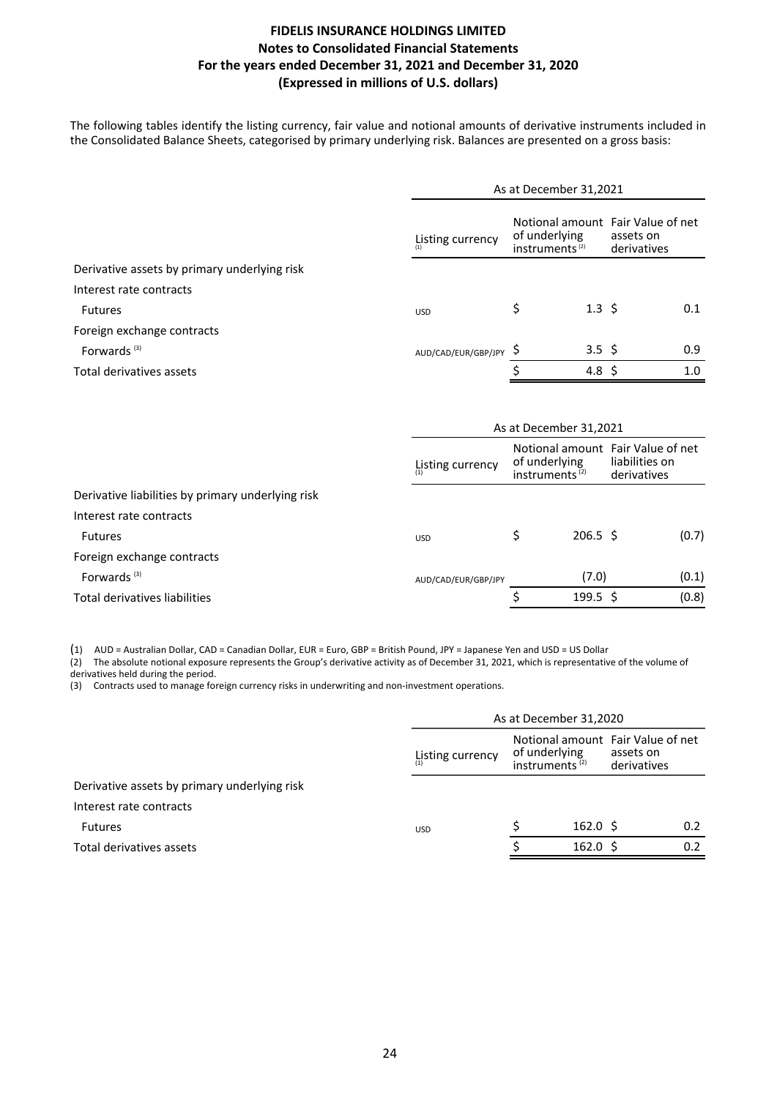The following tables identify the listing currency, fair value and notional amounts of derivative instruments included in the Consolidated Balance Sheets, categorised by primary underlying risk. Balances are presented on a gross basis:

|                                              | As at December 31,2021                                          |    |                   |                                                               |     |  |
|----------------------------------------------|-----------------------------------------------------------------|----|-------------------|---------------------------------------------------------------|-----|--|
|                                              | of underlying<br>Listing currency<br>instruments <sup>(2)</sup> |    |                   | Notional amount Fair Value of net<br>assets on<br>derivatives |     |  |
| Derivative assets by primary underlying risk |                                                                 |    |                   |                                                               |     |  |
| Interest rate contracts                      |                                                                 |    |                   |                                                               |     |  |
| <b>Futures</b>                               | <b>USD</b>                                                      | \$ | $1.3 \; \text{S}$ |                                                               | 0.1 |  |
| Foreign exchange contracts                   |                                                                 |    |                   |                                                               |     |  |
| Forwards <sup>(3)</sup>                      | AUD/CAD/EUR/GBP/JPY S                                           |    | 3.5 \$            |                                                               | 0.9 |  |
| Total derivatives assets                     |                                                                 |    | 4.8 \$            |                                                               | 1.0 |  |

|                                                   |                     | As at December 31,2021 |                                                                                  |             |                |  |  |  |  |  |  |
|---------------------------------------------------|---------------------|------------------------|----------------------------------------------------------------------------------|-------------|----------------|--|--|--|--|--|--|
|                                                   | Listing currency    |                        | Notional amount Fair Value of net<br>of underlying<br>instruments <sup>(2)</sup> | derivatives | liabilities on |  |  |  |  |  |  |
| Derivative liabilities by primary underlying risk |                     |                        |                                                                                  |             |                |  |  |  |  |  |  |
| Interest rate contracts                           |                     |                        |                                                                                  |             |                |  |  |  |  |  |  |
| <b>Futures</b>                                    | <b>USD</b>          | \$                     | $206.5 \; \;$ \$                                                                 |             | (0.7)          |  |  |  |  |  |  |
| Foreign exchange contracts                        |                     |                        |                                                                                  |             |                |  |  |  |  |  |  |
| Forwards <sup>(3)</sup>                           | AUD/CAD/EUR/GBP/JPY |                        | (7.0)                                                                            |             | (0.1)          |  |  |  |  |  |  |
| Total derivatives liabilities                     |                     |                        | $199.5 \text{ }$                                                                 |             | (0.8)          |  |  |  |  |  |  |

(1) AUD = Australian Dollar, CAD = Canadian Dollar, EUR = Euro, GBP = British Pound, JPY = Japanese Yen and USD = US Dollar

(2) The absolute notional exposure represents the Group's derivative activity as of December 31, 2021, which is representative of the volume of derivatives held during the period.

(3) Contracts used to manage foreign currency risks in underwriting and non-investment operations.

|                                              |                  | As at December 31,2020             |                     |                                                               |     |
|----------------------------------------------|------------------|------------------------------------|---------------------|---------------------------------------------------------------|-----|
|                                              | Listing currency | of underlying<br>instruments $(2)$ |                     | Notional amount Fair Value of net<br>assets on<br>derivatives |     |
| Derivative assets by primary underlying risk |                  |                                    |                     |                                                               |     |
| Interest rate contracts                      |                  |                                    |                     |                                                               |     |
| <b>Futures</b>                               | <b>USD</b>       |                                    | $162.0 \; \text{S}$ |                                                               | 0.2 |
| Total derivatives assets                     |                  |                                    | $162.0 \; \text{S}$ |                                                               | 0.2 |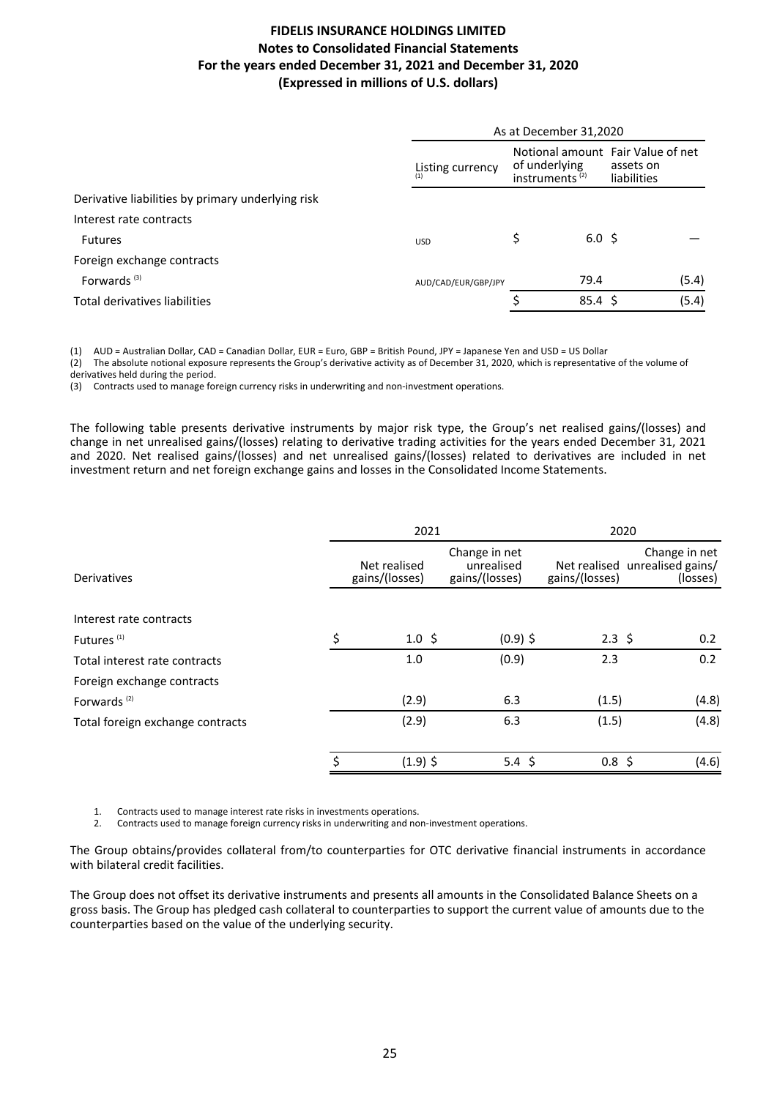|                                                   | As at December 31,2020<br>Notional amount Fair Value of net<br>of underlying<br>assets on<br>Listing currency<br>instruments <sup>(2)</sup><br>liabilities<br>$6.0 \;$ \$<br>\$<br><b>USD</b> |  |              |  |       |  |  |  |  |
|---------------------------------------------------|-----------------------------------------------------------------------------------------------------------------------------------------------------------------------------------------------|--|--------------|--|-------|--|--|--|--|
|                                                   |                                                                                                                                                                                               |  |              |  |       |  |  |  |  |
| Derivative liabilities by primary underlying risk |                                                                                                                                                                                               |  |              |  |       |  |  |  |  |
| Interest rate contracts                           |                                                                                                                                                                                               |  |              |  |       |  |  |  |  |
| <b>Futures</b>                                    |                                                                                                                                                                                               |  |              |  |       |  |  |  |  |
| Foreign exchange contracts                        |                                                                                                                                                                                               |  |              |  |       |  |  |  |  |
| Forwards <sup>(3)</sup>                           | AUD/CAD/EUR/GBP/JPY                                                                                                                                                                           |  | 79.4         |  | (5.4) |  |  |  |  |
| Total derivatives liabilities                     |                                                                                                                                                                                               |  | $85.4 \;$ \$ |  | (5.4) |  |  |  |  |

(1) AUD = Australian Dollar, CAD = Canadian Dollar, EUR = Euro, GBP = British Pound, JPY = Japanese Yen and USD = US Dollar

(2) The absolute notional exposure represents the Group's derivative activity as of December 31, 2020, which is representative of the volume of derivatives held during the period.

(3) Contracts used to manage foreign currency risks in underwriting and non-investment operations.

The following table presents derivative instruments by major risk type, the Group's net realised gains/(losses) and change in net unrealised gains/(losses) relating to derivative trading activities for the years ended December 31, 2021 and 2020. Net realised gains/(losses) and net unrealised gains/(losses) related to derivatives are included in net investment return and net foreign exchange gains and losses in the Consolidated Income Statements.

|                                  | 2021                           |                                               |                                | 2020                                           |
|----------------------------------|--------------------------------|-----------------------------------------------|--------------------------------|------------------------------------------------|
| Derivatives                      | Net realised<br>gains/(losses) | Change in net<br>unrealised<br>gains/(losses) | Net realised<br>gains/(losses) | Change in net<br>unrealised gains/<br>(losses) |
|                                  |                                |                                               |                                |                                                |
| Interest rate contracts          |                                |                                               |                                |                                                |
| Futures <sup>(1)</sup>           | \$<br>$1.0 \; \text{S}$        | $(0.9)$ \$                                    | $2.3 \; \zeta$                 | 0.2                                            |
| Total interest rate contracts    | 1.0                            | (0.9)                                         | 2.3                            | 0.2                                            |
| Foreign exchange contracts       |                                |                                               |                                |                                                |
| Forwards <sup>(2)</sup>          | (2.9)                          | 6.3                                           | (1.5)                          | (4.8)                                          |
| Total foreign exchange contracts | (2.9)                          | 6.3                                           | (1.5)                          | (4.8)                                          |
|                                  | \$<br>$(1.9)$ \$               | 5.4 \$                                        | $0.8 \; \zeta$                 | (4.6)                                          |

1. Contracts used to manage interest rate risks in investments operations.<br>2. Contracts used to manage foreign currency risks in underwriting and no

Contracts used to manage foreign currency risks in underwriting and non-investment operations.

The Group obtains/provides collateral from/to counterparties for OTC derivative financial instruments in accordance with bilateral credit facilities.

The Group does not offset its derivative instruments and presents all amounts in the Consolidated Balance Sheets on a gross basis. The Group has pledged cash collateral to counterparties to support the current value of amounts due to the counterparties based on the value of the underlying security.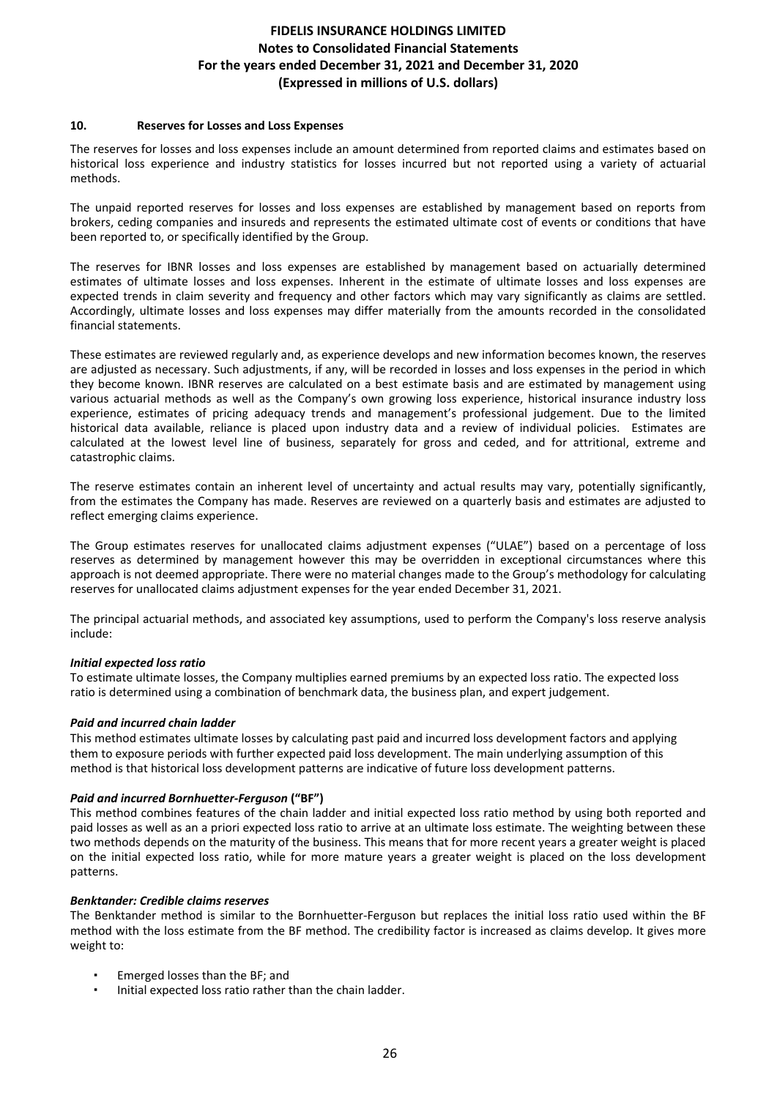### **10. Reserves for Losses and Loss Expenses**

The reserves for losses and loss expenses include an amount determined from reported claims and estimates based on historical loss experience and industry statistics for losses incurred but not reported using a variety of actuarial methods. 

The unpaid reported reserves for losses and loss expenses are established by management based on reports from brokers, ceding companies and insureds and represents the estimated ultimate cost of events or conditions that have been reported to, or specifically identified by the Group.

The reserves for IBNR losses and loss expenses are established by management based on actuarially determined estimates of ultimate losses and loss expenses. Inherent in the estimate of ultimate losses and loss expenses are expected trends in claim severity and frequency and other factors which may vary significantly as claims are settled. Accordingly, ultimate losses and loss expenses may differ materially from the amounts recorded in the consolidated financial statements.

These estimates are reviewed regularly and, as experience develops and new information becomes known, the reserves are adjusted as necessary. Such adjustments, if any, will be recorded in losses and loss expenses in the period in which they become known. IBNR reserves are calculated on a best estimate basis and are estimated by management using various actuarial methods as well as the Company's own growing loss experience, historical insurance industry loss experience, estimates of pricing adequacy trends and management's professional judgement. Due to the limited historical data available, reliance is placed upon industry data and a review of individual policies. Estimates are calculated at the lowest level line of business, separately for gross and ceded, and for attritional, extreme and catastrophic claims.

The reserve estimates contain an inherent level of uncertainty and actual results may vary, potentially significantly, from the estimates the Company has made. Reserves are reviewed on a quarterly basis and estimates are adjusted to reflect emerging claims experience.

The Group estimates reserves for unallocated claims adjustment expenses ("ULAE") based on a percentage of loss reserves as determined by management however this may be overridden in exceptional circumstances where this approach is not deemed appropriate. There were no material changes made to the Group's methodology for calculating reserves for unallocated claims adjustment expenses for the year ended December 31, 2021.

The principal actuarial methods, and associated key assumptions, used to perform the Company's loss reserve analysis include:

### *Initial expected loss ratio*

To estimate ultimate losses, the Company multiplies earned premiums by an expected loss ratio. The expected loss ratio is determined using a combination of benchmark data, the business plan, and expert judgement.

## *Paid and incurred chain ladder*

This method estimates ultimate losses by calculating past paid and incurred loss development factors and applying them to exposure periods with further expected paid loss development. The main underlying assumption of this method is that historical loss development patterns are indicative of future loss development patterns.

### *Paid and incurred Bornhuetter-Ferguson* **("BF")**

This method combines features of the chain ladder and initial expected loss ratio method by using both reported and paid losses as well as an a priori expected loss ratio to arrive at an ultimate loss estimate. The weighting between these two methods depends on the maturity of the business. This means that for more recent years a greater weight is placed on the initial expected loss ratio, while for more mature years a greater weight is placed on the loss development patterns. 

### *Benktander: Credible claims reserves*

The Benktander method is similar to the Bornhuetter-Ferguson but replaces the initial loss ratio used within the BF method with the loss estimate from the BF method. The credibility factor is increased as claims develop. It gives more weight to:

- Emerged losses than the BF; and
- Initial expected loss ratio rather than the chain ladder.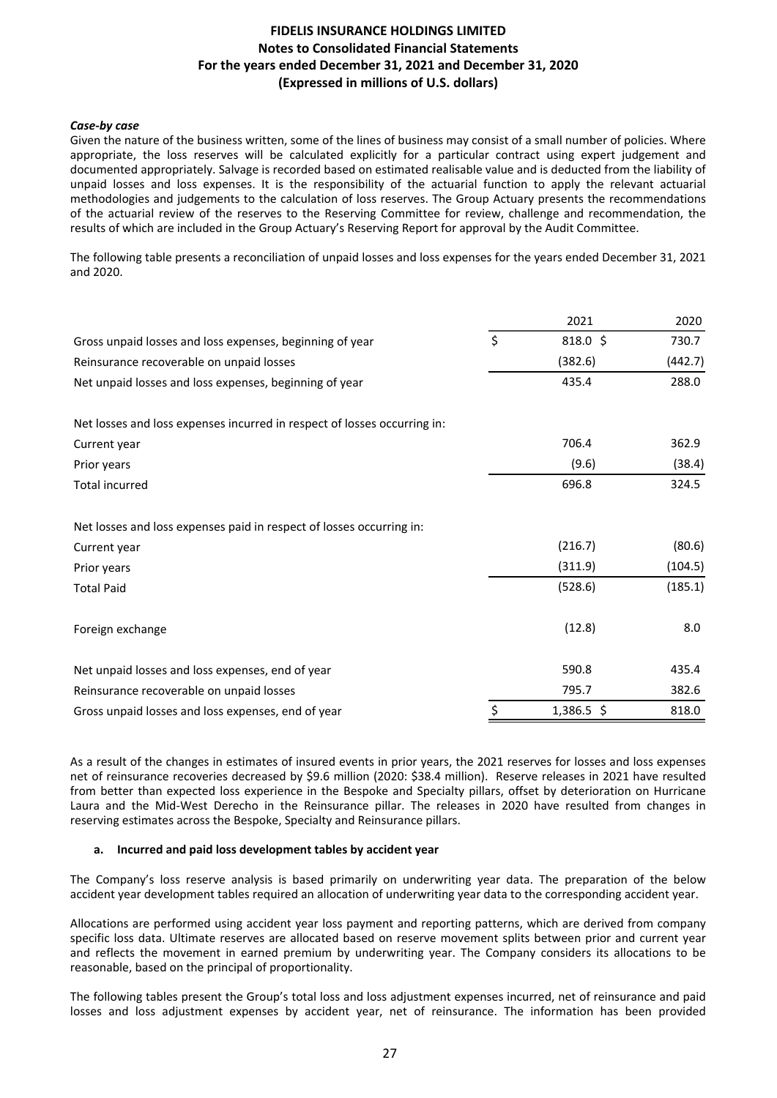### *Case-by case*

Given the nature of the business written, some of the lines of business may consist of a small number of policies. Where appropriate, the loss reserves will be calculated explicitly for a particular contract using expert judgement and documented appropriately. Salvage is recorded based on estimated realisable value and is deducted from the liability of unpaid losses and loss expenses. It is the responsibility of the actuarial function to apply the relevant actuarial methodologies and judgements to the calculation of loss reserves. The Group Actuary presents the recommendations of the actuarial review of the reserves to the Reserving Committee for review, challenge and recommendation, the results of which are included in the Group Actuary's Reserving Report for approval by the Audit Committee.

The following table presents a reconciliation of unpaid losses and loss expenses for the years ended December 31, 2021 and 2020. 

|                                                                          | 2021             | 2020    |
|--------------------------------------------------------------------------|------------------|---------|
| Gross unpaid losses and loss expenses, beginning of year                 | \$<br>818.0 \$   | 730.7   |
| Reinsurance recoverable on unpaid losses                                 | (382.6)          | (442.7) |
| Net unpaid losses and loss expenses, beginning of year                   | 435.4            | 288.0   |
| Net losses and loss expenses incurred in respect of losses occurring in: |                  |         |
| Current year                                                             | 706.4            | 362.9   |
| Prior years                                                              | (9.6)            | (38.4)  |
| <b>Total incurred</b>                                                    | 696.8            | 324.5   |
| Net losses and loss expenses paid in respect of losses occurring in:     |                  |         |
| Current year                                                             | (216.7)          | (80.6)  |
| Prior years                                                              | (311.9)          | (104.5) |
| <b>Total Paid</b>                                                        | (528.6)          | (185.1) |
| Foreign exchange                                                         | (12.8)           | 8.0     |
| Net unpaid losses and loss expenses, end of year                         | 590.8            | 435.4   |
| Reinsurance recoverable on unpaid losses                                 | 795.7            | 382.6   |
| Gross unpaid losses and loss expenses, end of year                       | \$<br>1,386.5 \$ | 818.0   |

As a result of the changes in estimates of insured events in prior years, the 2021 reserves for losses and loss expenses net of reinsurance recoveries decreased by \$9.6 million (2020: \$38.4 million). Reserve releases in 2021 have resulted from better than expected loss experience in the Bespoke and Specialty pillars, offset by deterioration on Hurricane Laura and the Mid-West Derecho in the Reinsurance pillar. The releases in 2020 have resulted from changes in reserving estimates across the Bespoke, Specialty and Reinsurance pillars.

### **a. Incurred and paid loss development tables by accident year**

The Company's loss reserve analysis is based primarily on underwriting year data. The preparation of the below accident year development tables required an allocation of underwriting year data to the corresponding accident year.

Allocations are performed using accident year loss payment and reporting patterns, which are derived from company specific loss data. Ultimate reserves are allocated based on reserve movement splits between prior and current year and reflects the movement in earned premium by underwriting year. The Company considers its allocations to be reasonable, based on the principal of proportionality.

The following tables present the Group's total loss and loss adjustment expenses incurred, net of reinsurance and paid losses and loss adjustment expenses by accident year, net of reinsurance. The information has been provided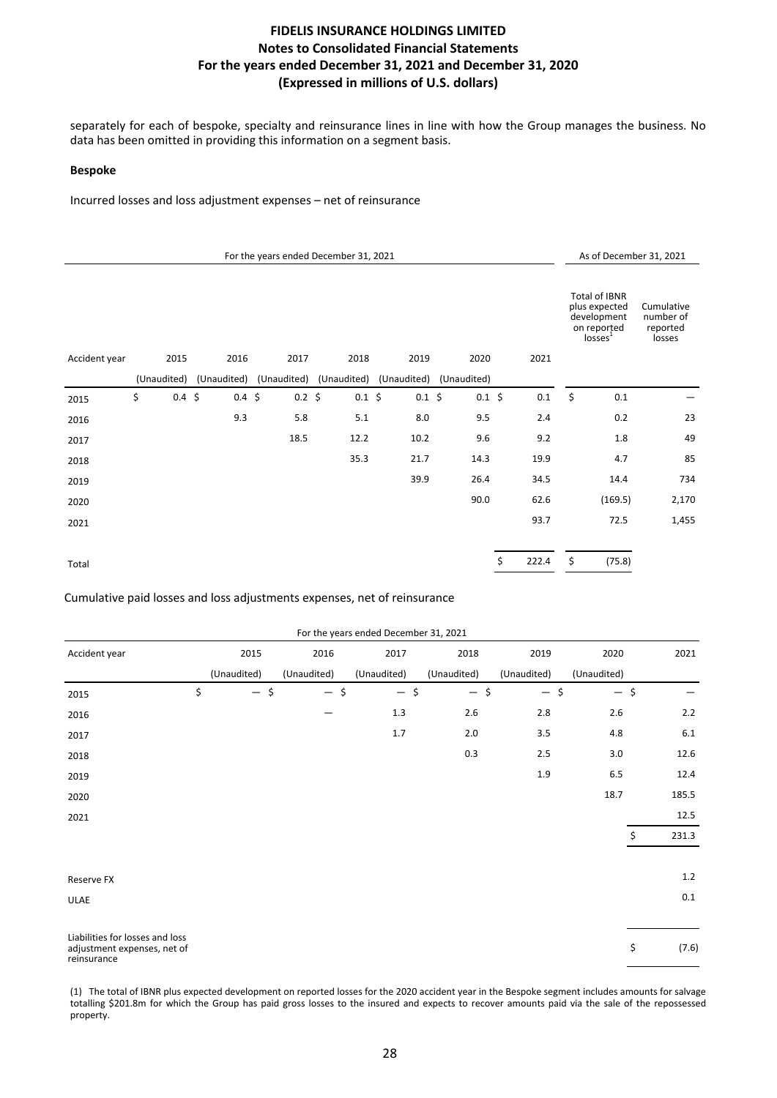separately for each of bespoke, specialty and reinsurance lines in line with how the Group manages the business. No data has been omitted in providing this information on a segment basis.

#### **Bespoke**

Incurred losses and loss adjustment expenses - net of reinsurance

|               |                   |                   |             | For the years ended December 31, 2021                       |             |             |             |                                                                                     | As of December 31, 2021                       |
|---------------|-------------------|-------------------|-------------|-------------------------------------------------------------|-------------|-------------|-------------|-------------------------------------------------------------------------------------|-----------------------------------------------|
|               |                   |                   |             |                                                             |             |             |             | Total of IBNR<br>plus expected<br>development<br>on reported<br>losses <sup>1</sup> | Cumulative<br>number of<br>reported<br>losses |
| Accident year | 2015              | 2016              | 2017        | 2018                                                        | 2019        | 2020        | 2021        |                                                                                     |                                               |
|               | (Unaudited)       |                   |             | (Unaudited) (Unaudited) (Unaudited) (Unaudited) (Unaudited) |             |             |             |                                                                                     |                                               |
| 2015          | \$<br>$0.4 \; \S$ | $0.4 \; \text{S}$ | $0.2 \; \S$ | $0.1 \; \S$                                                 | $0.1 \; \S$ | $0.1 \; \S$ | 0.1         | \$<br>0.1                                                                           |                                               |
| 2016          |                   | 9.3               | 5.8         | 5.1                                                         | 8.0         | 9.5         | 2.4         | 0.2                                                                                 | 23                                            |
| 2017          |                   |                   | 18.5        | 12.2                                                        | 10.2        | 9.6         | 9.2         | 1.8                                                                                 | 49                                            |
| 2018          |                   |                   |             | 35.3                                                        | 21.7        | 14.3        | 19.9        | 4.7                                                                                 | 85                                            |
| 2019          |                   |                   |             |                                                             | 39.9        | 26.4        | 34.5        | 14.4                                                                                | 734                                           |
| 2020          |                   |                   |             |                                                             |             | 90.0        | 62.6        | (169.5)                                                                             | 2,170                                         |
| 2021          |                   |                   |             |                                                             |             |             | 93.7        | 72.5                                                                                | 1,455                                         |
|               |                   |                   |             |                                                             |             |             |             |                                                                                     |                                               |
| Total         |                   |                   |             |                                                             |             |             | \$<br>222.4 | \$<br>(75.8)                                                                        |                                               |

Cumulative paid losses and loss adjustments expenses, net of reinsurance

|                                                                               |              |             | For the years ended December 31, 2021 |             |        |             |             |             |
|-------------------------------------------------------------------------------|--------------|-------------|---------------------------------------|-------------|--------|-------------|-------------|-------------|
| Accident year                                                                 | 2015         | 2016        | 2017                                  | 2018        |        | 2019        | 2020        | 2021        |
|                                                                               | (Unaudited)  | (Unaudited) | (Unaudited)                           | (Unaudited) |        | (Unaudited) | (Unaudited) |             |
| 2015                                                                          | \$<br>$-$ \$ | $-$ \$      | $-$ \$                                |             | $-$ \$ | $-$ \$      | $-$ \$      |             |
| 2016                                                                          |              |             | 1.3                                   | 2.6         |        | 2.8         | $2.6$       | 2.2         |
| 2017                                                                          |              |             | 1.7                                   | $2.0\,$     |        | 3.5         | $4.8\,$     | 6.1         |
| 2018                                                                          |              |             |                                       | 0.3         |        | 2.5         | 3.0         | 12.6        |
| 2019                                                                          |              |             |                                       |             |        | 1.9         | 6.5         | 12.4        |
| 2020                                                                          |              |             |                                       |             |        |             | 18.7        | 185.5       |
| 2021                                                                          |              |             |                                       |             |        |             |             | 12.5        |
|                                                                               |              |             |                                       |             |        |             |             | \$<br>231.3 |
|                                                                               |              |             |                                       |             |        |             |             |             |
| Reserve FX                                                                    |              |             |                                       |             |        |             |             | 1.2         |
| <b>ULAE</b>                                                                   |              |             |                                       |             |        |             |             | $0.1\,$     |
|                                                                               |              |             |                                       |             |        |             |             |             |
| Liabilities for losses and loss<br>adjustment expenses, net of<br>reinsurance |              |             |                                       |             |        |             |             | \$<br>(7.6) |

(1) The total of IBNR plus expected development on reported losses for the 2020 accident year in the Bespoke segment includes amounts for salvage totalling \$201.8m for which the Group has paid gross losses to the insured and expects to recover amounts paid via the sale of the repossessed property.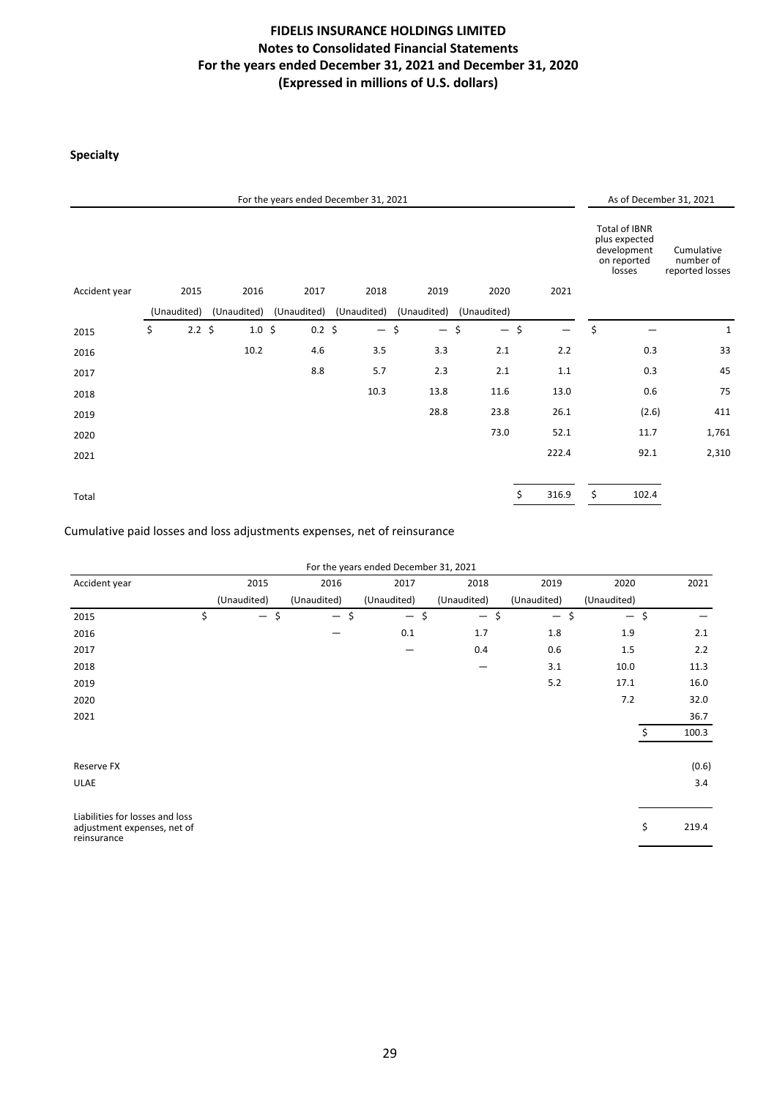## **Specialty**

|               |             |            |                   | For the years ended December 31, 2021 |             |             |             |        |       |                                                                        | As of December 31, 2021                    |
|---------------|-------------|------------|-------------------|---------------------------------------|-------------|-------------|-------------|--------|-------|------------------------------------------------------------------------|--------------------------------------------|
|               |             |            |                   |                                       |             |             |             |        |       | Total of IBNR<br>plus expected<br>development<br>on reported<br>losses | Cumulative<br>number of<br>reported losses |
| Accident year |             | 2015       | 2016              | 2017                                  | 2018        | 2019        | 2020        |        | 2021  |                                                                        |                                            |
|               | (Unaudited) |            | (Unaudited)       | (Unaudited)                           | (Unaudited) | (Unaudited) | (Unaudited) |        |       |                                                                        |                                            |
| 2015          | \$          | $2.2 \div$ | $1.0 \; \text{S}$ | $0.2 \; \S$                           | $-$ \$      | $-$ \$      |             | $-$ \$ |       | \$                                                                     | $\mathbf{1}$                               |
| 2016          |             |            | 10.2              | 4.6                                   | 3.5         | 3.3         | 2.1         |        | 2.2   | 0.3                                                                    | 33                                         |
| 2017          |             |            |                   | 8.8                                   | 5.7         | 2.3         | 2.1         |        | 1.1   | 0.3                                                                    | 45                                         |
| 2018          |             |            |                   |                                       | 10.3        | 13.8        | 11.6        |        | 13.0  | 0.6                                                                    | 75                                         |
| 2019          |             |            |                   |                                       |             | 28.8        | 23.8        |        | 26.1  | (2.6)                                                                  | 411                                        |
| 2020          |             |            |                   |                                       |             |             | 73.0        |        | 52.1  | 11.7                                                                   | 1,761                                      |
| 2021          |             |            |                   |                                       |             |             |             |        | 222.4 | 92.1                                                                   | 2,310                                      |
|               |             |            |                   |                                       |             |             |             |        |       |                                                                        |                                            |
| Total         |             |            |                   |                                       |             |             |             | \$     | 316.9 | \$<br>102.4                                                            |                                            |

Cumulative paid losses and loss adjustments expenses, net of reinsurance

| For the years ended December 31, 2021 |  |  |
|---------------------------------------|--|--|
|                                       |  |  |

| Accident year                                                                 | 2015         | 2016        | 2017        | 2018        | 2019        | 2020        | 2021        |
|-------------------------------------------------------------------------------|--------------|-------------|-------------|-------------|-------------|-------------|-------------|
|                                                                               | (Unaudited)  | (Unaudited) | (Unaudited) | (Unaudited) | (Unaudited) | (Unaudited) |             |
| 2015                                                                          | \$<br>$-$ \$ | $-$ \$      | $-$ \$      | $-$ \$      | $-$ \$      | $-$ \$      |             |
| 2016                                                                          |              |             | 0.1         | 1.7         | 1.8         | 1.9         | 2.1         |
| 2017                                                                          |              |             | —           | 0.4         | 0.6         | 1.5         | 2.2         |
| 2018                                                                          |              |             |             |             | 3.1         | 10.0        | 11.3        |
| 2019                                                                          |              |             |             |             | 5.2         | 17.1        | 16.0        |
| 2020                                                                          |              |             |             |             |             | 7.2         | 32.0        |
| 2021                                                                          |              |             |             |             |             |             | 36.7        |
|                                                                               |              |             |             |             |             |             | \$<br>100.3 |
|                                                                               |              |             |             |             |             |             |             |
| Reserve FX                                                                    |              |             |             |             |             |             | (0.6)       |
| <b>ULAE</b>                                                                   |              |             |             |             |             |             | 3.4         |
|                                                                               |              |             |             |             |             |             |             |
| Liabilities for losses and loss<br>adjustment expenses, net of<br>reinsurance |              |             |             |             |             |             | \$<br>219.4 |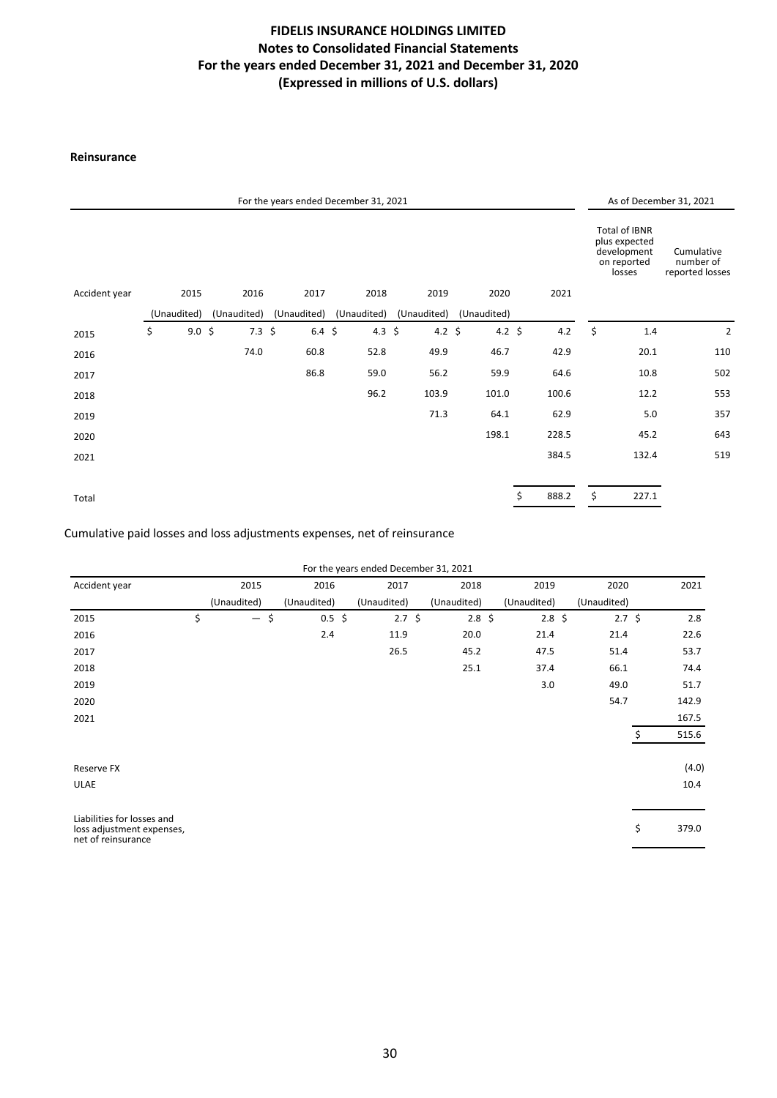### **Reinsurance**

|               |                         |             | For the years ended December 31, 2021 |        |                                     |       |        |       |                                                                        | As of December 31, 2021                    |
|---------------|-------------------------|-------------|---------------------------------------|--------|-------------------------------------|-------|--------|-------|------------------------------------------------------------------------|--------------------------------------------|
|               |                         |             |                                       |        |                                     |       |        |       | Total of IBNR<br>plus expected<br>development<br>on reported<br>losses | Cumulative<br>number of<br>reported losses |
| Accident year | 2015                    | 2016        | 2017                                  | 2018   | 2019                                | 2020  |        | 2021  |                                                                        |                                            |
|               | (Unaudited)             | (Unaudited) | (Unaudited)                           |        | (Unaudited) (Unaudited) (Unaudited) |       |        |       |                                                                        |                                            |
| 2015          | \$<br>$9.0 \; \text{S}$ | $7.3 \;$ \$ | $6.4 \;$ \$                           | 4.3 \$ | 4.2 \$                              |       | 4.2 \$ | 4.2   | \$<br>1.4                                                              | $\overline{2}$                             |
| 2016          |                         | 74.0        | 60.8                                  | 52.8   | 49.9                                | 46.7  |        | 42.9  | 20.1                                                                   | 110                                        |
| 2017          |                         |             | 86.8                                  | 59.0   | 56.2                                | 59.9  |        | 64.6  | 10.8                                                                   | 502                                        |
| 2018          |                         |             |                                       | 96.2   | 103.9                               | 101.0 |        | 100.6 | 12.2                                                                   | 553                                        |
| 2019          |                         |             |                                       |        | 71.3                                | 64.1  |        | 62.9  | 5.0                                                                    | 357                                        |
| 2020          |                         |             |                                       |        |                                     | 198.1 |        | 228.5 | 45.2                                                                   | 643                                        |
| 2021          |                         |             |                                       |        |                                     |       |        | 384.5 | 132.4                                                                  | 519                                        |
| Total         |                         |             |                                       |        |                                     |       | \$     | 888.2 | \$<br>227.1                                                            |                                            |

### Cumulative paid losses and loss adjustments expenses, net of reinsurance

| For the years ended December 31, 2021 |  |  |
|---------------------------------------|--|--|
|---------------------------------------|--|--|

| Accident year                                   | 2015                           | 2016              | 2017              | 2018            | 2019            | 2020        | 2021        |
|-------------------------------------------------|--------------------------------|-------------------|-------------------|-----------------|-----------------|-------------|-------------|
|                                                 | (Unaudited)                    | (Unaudited)       | (Unaudited)       | (Unaudited)     | (Unaudited)     | (Unaudited) |             |
| 2015                                            | \$<br>$\overline{\phantom{m}}$ | \$<br>$0.5 \;$ \$ | $2.7 \; \text{S}$ | $2.8 \; \simeq$ | $2.8 \; \simeq$ | $2.7 \;$ \$ | 2.8         |
| 2016                                            |                                | 2.4               | 11.9              | 20.0            | 21.4            | 21.4        | 22.6        |
| 2017                                            |                                |                   | 26.5              | 45.2            | 47.5            | 51.4        | 53.7        |
| 2018                                            |                                |                   |                   | 25.1            | 37.4            | 66.1        | 74.4        |
| 2019                                            |                                |                   |                   |                 | 3.0             | 49.0        | 51.7        |
| 2020                                            |                                |                   |                   |                 |                 | 54.7        | 142.9       |
| 2021                                            |                                |                   |                   |                 |                 |             | 167.5       |
|                                                 |                                |                   |                   |                 |                 |             | \$<br>515.6 |
| Reserve FX                                      |                                |                   |                   |                 |                 |             | (4.0)       |
| <b>ULAE</b>                                     |                                |                   |                   |                 |                 |             | 10.4        |
| Liabilities for losses and                      |                                |                   |                   |                 |                 |             |             |
| loss adjustment expenses,<br>net of reinsurance |                                |                   |                   |                 |                 |             | \$<br>379.0 |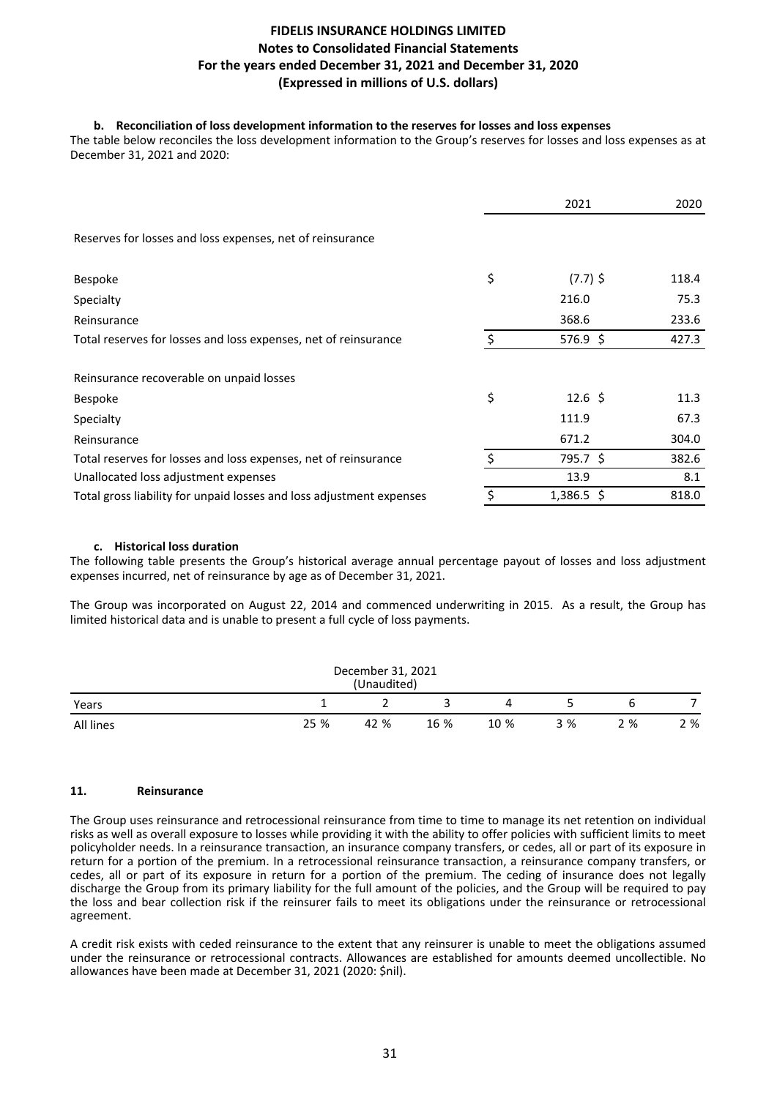### **b.** Reconciliation of loss development information to the reserves for losses and loss expenses

The table below reconciles the loss development information to the Group's reserves for losses and loss expenses as at December 31, 2021 and 2020:

|                                                                      |    | 2021               | 2020  |
|----------------------------------------------------------------------|----|--------------------|-------|
| Reserves for losses and loss expenses, net of reinsurance            |    |                    |       |
| Bespoke                                                              | \$ | $(7.7)$ \$         | 118.4 |
| Specialty                                                            |    | 216.0              | 75.3  |
| Reinsurance                                                          |    | 368.6              | 233.6 |
| Total reserves for losses and loss expenses, net of reinsurance      |    | $576.9$ \$         | 427.3 |
| Reinsurance recoverable on unpaid losses                             |    |                    |       |
| Bespoke                                                              | \$ | $12.6 \; \text{S}$ | 11.3  |
| Specialty                                                            |    | 111.9              | 67.3  |
| Reinsurance                                                          |    | 671.2              | 304.0 |
| Total reserves for losses and loss expenses, net of reinsurance      | Ś  | 795.7 \$           | 382.6 |
| Unallocated loss adjustment expenses                                 |    | 13.9               | 8.1   |
| Total gross liability for unpaid losses and loss adjustment expenses | Ś  | $1,386.5$ \$       | 818.0 |

### **c. Historical loss duration**

The following table presents the Group's historical average annual percentage payout of losses and loss adjustment expenses incurred, net of reinsurance by age as of December 31, 2021.

The Group was incorporated on August 22, 2014 and commenced underwriting in 2015. As a result, the Group has limited historical data and is unable to present a full cycle of loss payments.

| December 31, 2021<br>(Unaudited) |      |      |      |      |     |     |     |  |  |
|----------------------------------|------|------|------|------|-----|-----|-----|--|--|
| Years                            |      |      |      | 4    |     | h   |     |  |  |
| All lines                        | 25 % | 42 % | 16 % | 10 % | 3 % | 2 % | 2 % |  |  |

### **11. Reinsurance**

The Group uses reinsurance and retrocessional reinsurance from time to time to manage its net retention on individual risks as well as overall exposure to losses while providing it with the ability to offer policies with sufficient limits to meet policyholder needs. In a reinsurance transaction, an insurance company transfers, or cedes, all or part of its exposure in return for a portion of the premium. In a retrocessional reinsurance transaction, a reinsurance company transfers, or cedes, all or part of its exposure in return for a portion of the premium. The ceding of insurance does not legally discharge the Group from its primary liability for the full amount of the policies, and the Group will be required to pay the loss and bear collection risk if the reinsurer fails to meet its obligations under the reinsurance or retrocessional agreement.

A credit risk exists with ceded reinsurance to the extent that any reinsurer is unable to meet the obligations assumed under the reinsurance or retrocessional contracts. Allowances are established for amounts deemed uncollectible. No allowances have been made at December 31, 2021 (2020: \$nil).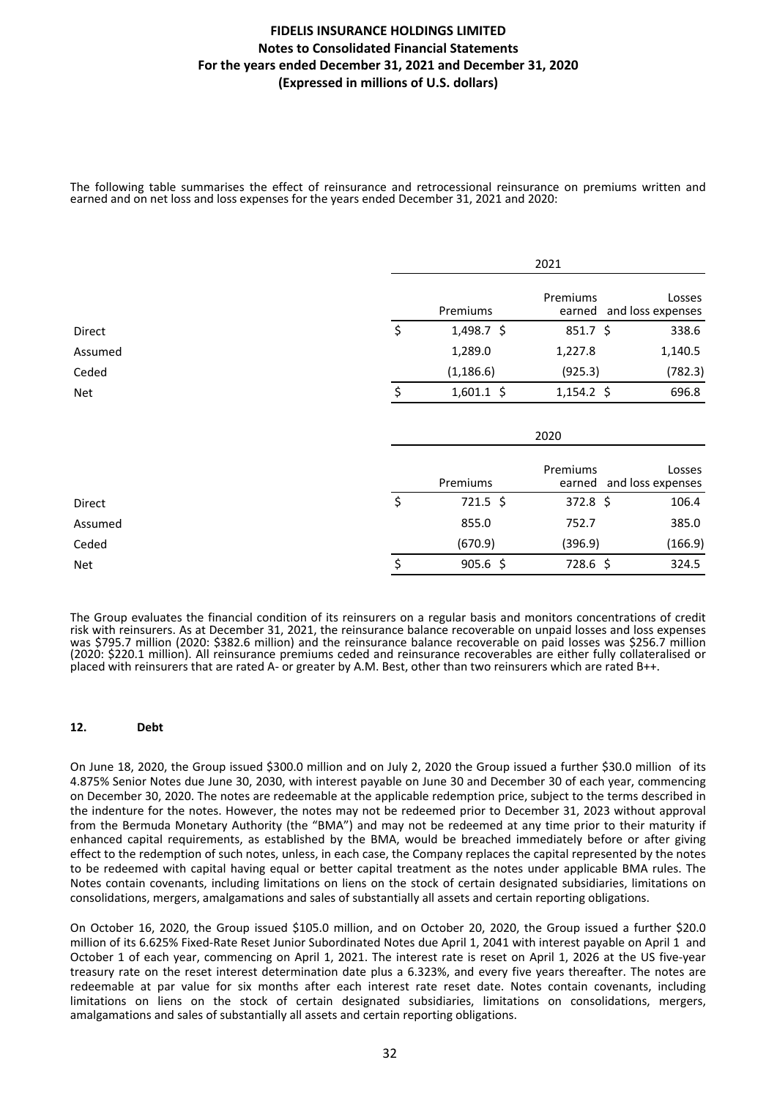The following table summarises the effect of reinsurance and retrocessional reinsurance on premiums written and earned and on net loss and loss expenses for the years ended December 31, 2021 and 2020:

|            |                    | 2021               |                             |
|------------|--------------------|--------------------|-----------------------------|
|            | Premiums           | Premiums<br>earned | Losses<br>and loss expenses |
| Direct     | \$<br>$1,498.7$ \$ | $851.7$ \$         | 338.6                       |
| Assumed    | 1,289.0            | 1,227.8            | 1,140.5                     |
| Ceded      | (1, 186.6)         | (925.3)            | (782.3)                     |
| Net        | \$<br>$1,601.1$ \$ | $1,154.2$ \$       | 696.8                       |
|            |                    | 2020               |                             |
|            | Premiums           | Premiums<br>earned | Losses<br>and loss expenses |
| Direct     | \$<br>$721.5$ \$   | 372.8 \$           | 106.4                       |
| Assumed    | 855.0              | 752.7              | 385.0                       |
| Ceded      | (670.9)            | (396.9)            | (166.9)                     |
| <b>Net</b> | \$<br>$905.6$ \$   | 728.6 \$           | 324.5                       |

The Group evaluates the financial condition of its reinsurers on a regular basis and monitors concentrations of credit risk with reinsurers. As at December 31, 2021, the reinsurance balance recoverable on unpaid losses and loss expenses was \$795.7 million (2020: \$382.6 million) and the reinsurance balance recoverable on paid losses was \$256.7 million (2020: \$220.1 million). All reinsurance premiums ceded and reinsurance recoverables are either fully collateralised or placed with reinsurers that are rated A- or greater by A.M. Best, other than two reinsurers which are rated B++.

#### 12. Debt

On June 18, 2020, the Group issued \$300.0 million and on July 2, 2020 the Group issued a further \$30.0 million of its 4.875% Senior Notes due June 30, 2030, with interest payable on June 30 and December 30 of each year, commencing on December 30, 2020. The notes are redeemable at the applicable redemption price, subject to the terms described in the indenture for the notes. However, the notes may not be redeemed prior to December 31, 2023 without approval from the Bermuda Monetary Authority (the "BMA") and may not be redeemed at any time prior to their maturity if enhanced capital requirements, as established by the BMA, would be breached immediately before or after giving effect to the redemption of such notes, unless, in each case, the Company replaces the capital represented by the notes to be redeemed with capital having equal or better capital treatment as the notes under applicable BMA rules. The Notes contain covenants, including limitations on liens on the stock of certain designated subsidiaries, limitations on consolidations, mergers, amalgamations and sales of substantially all assets and certain reporting obligations.

On October 16, 2020, the Group issued \$105.0 million, and on October 20, 2020, the Group issued a further \$20.0 million of its 6.625% Fixed-Rate Reset Junior Subordinated Notes due April 1, 2041 with interest payable on April 1 and October 1 of each year, commencing on April 1, 2021. The interest rate is reset on April 1, 2026 at the US five-year treasury rate on the reset interest determination date plus a 6.323%, and every five years thereafter. The notes are redeemable at par value for six months after each interest rate reset date. Notes contain covenants, including limitations on liens on the stock of certain designated subsidiaries, limitations on consolidations, mergers, amalgamations and sales of substantially all assets and certain reporting obligations.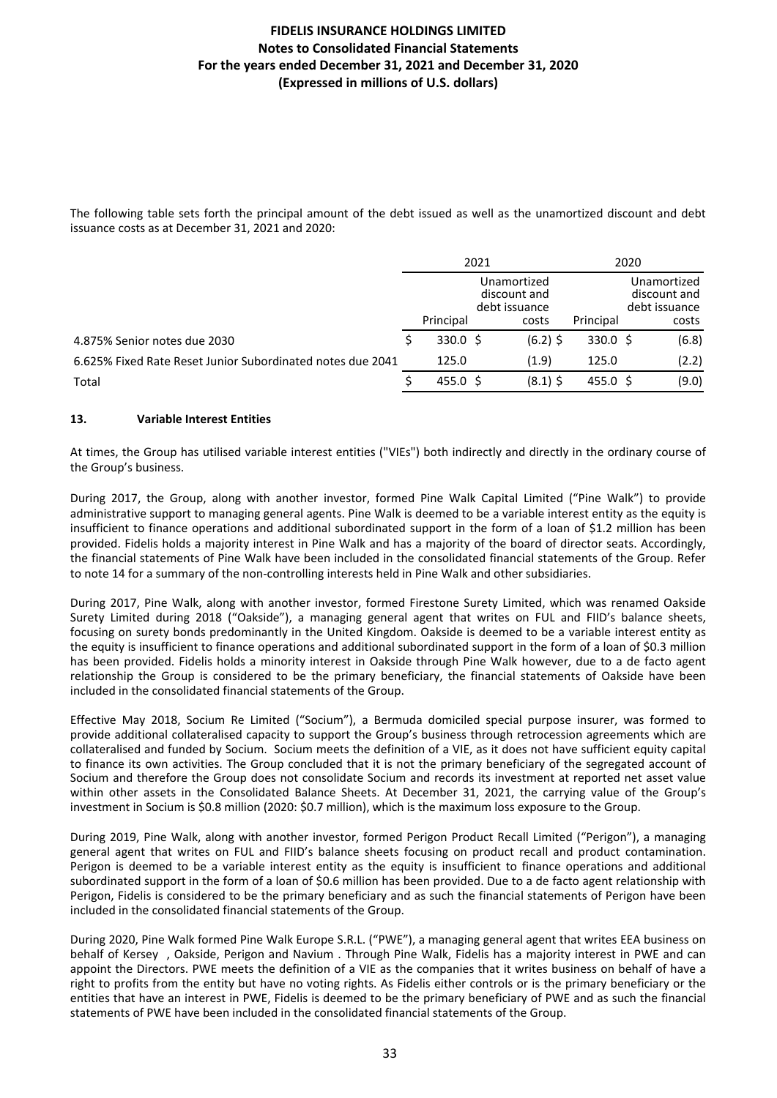The following table sets forth the principal amount of the debt issued as well as the unamortized discount and debt issuance costs as at December 31, 2021 and 2020:

|                                                            | 2021 |                   |                               | 2020          |  |                               |
|------------------------------------------------------------|------|-------------------|-------------------------------|---------------|--|-------------------------------|
|                                                            |      |                   | Unamortized                   |               |  |                               |
|                                                            |      |                   | discount and<br>debt issuance |               |  | discount and<br>debt issuance |
|                                                            |      | Principal         | costs                         | Principal     |  | costs                         |
| 4.875% Senior notes due 2030                               |      | $330.0 \text{ S}$ | $(6.2)$ \$                    | 330.0 \$      |  | (6.8)                         |
| 6.625% Fixed Rate Reset Junior Subordinated notes due 2041 |      | 125.0             | (1.9)                         | 125.0         |  | (2.2)                         |
| Total                                                      |      | $455.0 \;$ \$     | $(8.1)$ \$                    | $455.0 \;$ \$ |  | (9.0)                         |

### **13. Variable Interest Entities**

At times, the Group has utilised variable interest entities ("VIEs") both indirectly and directly in the ordinary course of the Group's business.

During 2017, the Group, along with another investor, formed Pine Walk Capital Limited ("Pine Walk") to provide administrative support to managing general agents. Pine Walk is deemed to be a variable interest entity as the equity is insufficient to finance operations and additional subordinated support in the form of a loan of \$1.2 million has been provided. Fidelis holds a majority interest in Pine Walk and has a majority of the board of director seats. Accordingly, the financial statements of Pine Walk have been included in the consolidated financial statements of the Group. Refer to note 14 for a summary of the non-controlling interests held in Pine Walk and other subsidiaries.

During 2017, Pine Walk, along with another investor, formed Firestone Surety Limited, which was renamed Oakside Surety Limited during 2018 ("Oakside"), a managing general agent that writes on FUL and FIID's balance sheets, focusing on surety bonds predominantly in the United Kingdom. Oakside is deemed to be a variable interest entity as the equity is insufficient to finance operations and additional subordinated support in the form of a loan of \$0.3 million has been provided. Fidelis holds a minority interest in Oakside through Pine Walk however, due to a de facto agent relationship the Group is considered to be the primary beneficiary, the financial statements of Oakside have been included in the consolidated financial statements of the Group.

Effective May 2018, Socium Re Limited ("Socium"), a Bermuda domiciled special purpose insurer, was formed to provide additional collateralised capacity to support the Group's business through retrocession agreements which are collateralised and funded by Socium. Socium meets the definition of a VIE, as it does not have sufficient equity capital to finance its own activities. The Group concluded that it is not the primary beneficiary of the segregated account of Socium and therefore the Group does not consolidate Socium and records its investment at reported net asset value within other assets in the Consolidated Balance Sheets. At December 31, 2021, the carrying value of the Group's investment in Socium is \$0.8 million (2020: \$0.7 million), which is the maximum loss exposure to the Group.

During 2019, Pine Walk, along with another investor, formed Perigon Product Recall Limited ("Perigon"), a managing general agent that writes on FUL and FIID's balance sheets focusing on product recall and product contamination. Perigon is deemed to be a variable interest entity as the equity is insufficient to finance operations and additional subordinated support in the form of a loan of \$0.6 million has been provided. Due to a de facto agent relationship with Perigon, Fidelis is considered to be the primary beneficiary and as such the financial statements of Perigon have been included in the consolidated financial statements of the Group.

During 2020, Pine Walk formed Pine Walk Europe S.R.L. ("PWE"), a managing general agent that writes EEA business on behalf of Kersey, Oakside, Perigon and Navium . Through Pine Walk, Fidelis has a majority interest in PWE and can appoint the Directors. PWE meets the definition of a VIE as the companies that it writes business on behalf of have a right to profits from the entity but have no voting rights. As Fidelis either controls or is the primary beneficiary or the entities that have an interest in PWE, Fidelis is deemed to be the primary beneficiary of PWE and as such the financial statements of PWE have been included in the consolidated financial statements of the Group.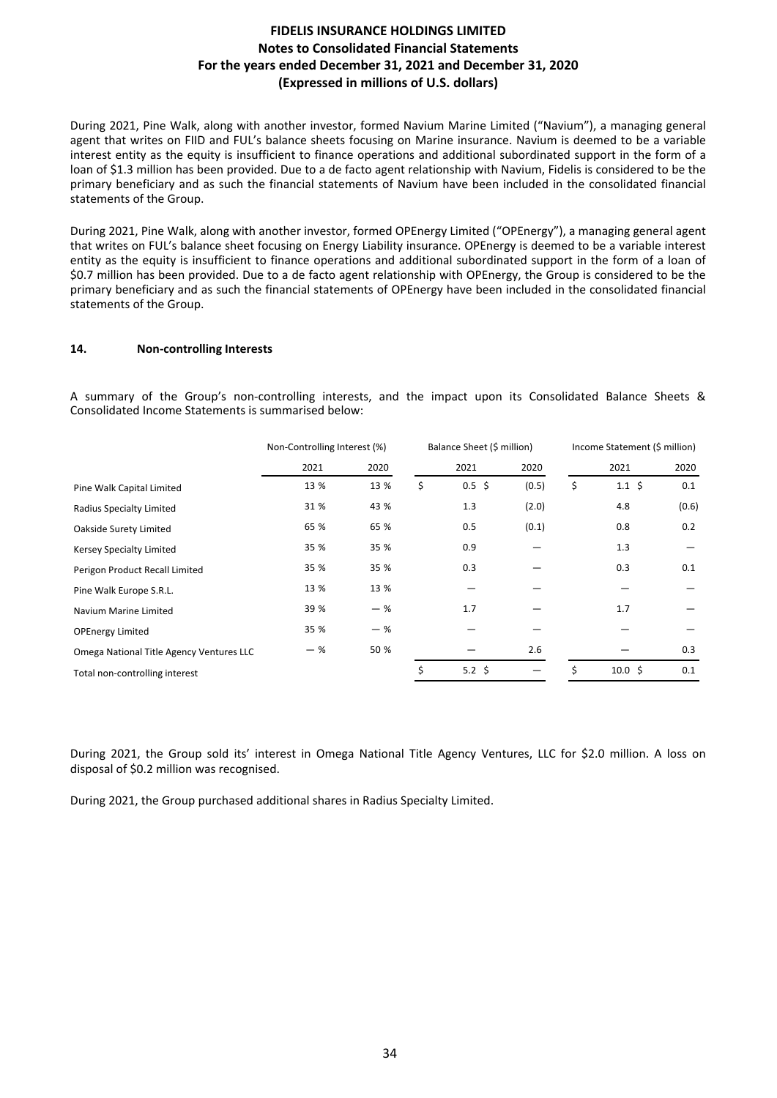During 2021, Pine Walk, along with another investor, formed Navium Marine Limited ("Navium"), a managing general agent that writes on FIID and FUL's balance sheets focusing on Marine insurance. Navium is deemed to be a variable interest entity as the equity is insufficient to finance operations and additional subordinated support in the form of a loan of \$1.3 million has been provided. Due to a de facto agent relationship with Navium, Fidelis is considered to be the primary beneficiary and as such the financial statements of Navium have been included in the consolidated financial statements of the Group.

During 2021, Pine Walk, along with another investor, formed OPEnergy Limited ("OPEnergy"), a managing general agent that writes on FUL's balance sheet focusing on Energy Liability insurance. OPEnergy is deemed to be a variable interest entity as the equity is insufficient to finance operations and additional subordinated support in the form of a loan of \$0.7 million has been provided. Due to a de facto agent relationship with OPEnergy, the Group is considered to be the primary beneficiary and as such the financial statements of OPEnergy have been included in the consolidated financial statements of the Group.

### 14. **Non-controlling Interests**

A summary of the Group's non-controlling interests, and the impact upon its Consolidated Balance Sheets & Consolidated Income Statements is summarised below:

|                                          | Non-Controlling Interest (%) | Balance Sheet (\$ million) |    |                   |       |    |                          | Income Statement (\$ million) |  |
|------------------------------------------|------------------------------|----------------------------|----|-------------------|-------|----|--------------------------|-------------------------------|--|
|                                          | 2021                         | 2020                       |    | 2021              | 2020  |    | 2021                     | 2020                          |  |
| Pine Walk Capital Limited                | 13 %                         | 13 %                       | \$ | $0.5$ \$          | (0.5) | \$ | $1.1 \; \text{S}$        | 0.1                           |  |
| Radius Specialty Limited                 | 31 %                         | 43 %                       |    | 1.3               | (2.0) |    | 4.8                      | (0.6)                         |  |
| Oakside Surety Limited                   | 65 %                         | 65 %                       |    | 0.5               | (0.1) |    | 0.8                      | 0.2                           |  |
| Kersey Specialty Limited                 | 35 %                         | 35 %                       |    | 0.9               |       |    | 1.3                      |                               |  |
| Perigon Product Recall Limited           | 35 %                         | 35 %                       |    | 0.3               |       |    | 0.3                      | 0.1                           |  |
| Pine Walk Europe S.R.L.                  | 13 %                         | 13 %                       |    |                   |       |    |                          |                               |  |
| Navium Marine Limited                    | 39 %                         | $-$ %                      |    | 1.7               |       |    | 1.7                      |                               |  |
| <b>OPEnergy Limited</b>                  | 35 %                         | $-$ %                      |    |                   |       |    |                          |                               |  |
| Omega National Title Agency Ventures LLC | - %                          | 50 %                       |    |                   | 2.6   |    |                          | 0.3                           |  |
| Total non-controlling interest           |                              |                            | \$ | $5.2 \; \text{S}$ |       | \$ | $10.0 \text{ } \text{S}$ | 0.1                           |  |

During 2021, the Group sold its' interest in Omega National Title Agency Ventures, LLC for \$2.0 million. A loss on disposal of \$0.2 million was recognised.

During 2021, the Group purchased additional shares in Radius Specialty Limited.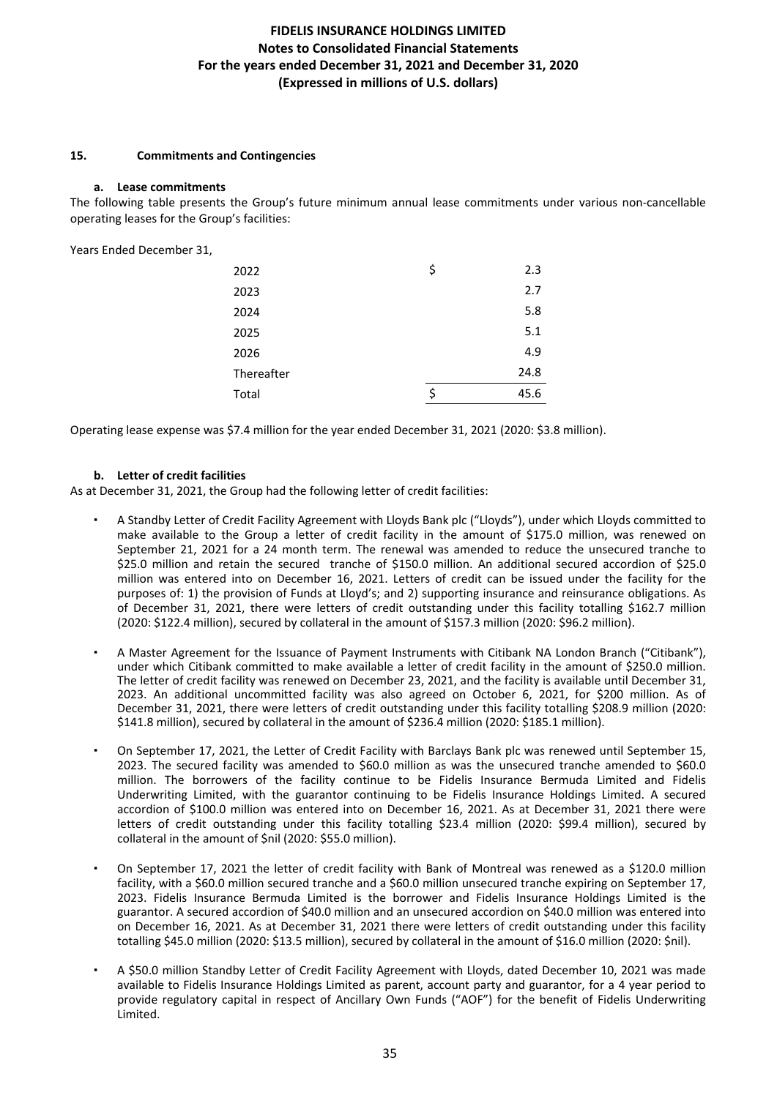### **15. Commitments and Contingencies**

#### **a. Lease commitments**

The following table presents the Group's future minimum annual lease commitments under various non-cancellable operating leases for the Group's facilities:

Years Ended December 31,

| 2022       | \$ | 2.3  |
|------------|----|------|
| 2023       |    | 2.7  |
| 2024       |    | 5.8  |
| 2025       |    | 5.1  |
| 2026       |    | 4.9  |
| Thereafter |    | 24.8 |
| Total      | Ś  | 45.6 |

Operating lease expense was \$7.4 million for the year ended December 31, 2021 (2020: \$3.8 million).

### **b. Letter of credit facilities**

As at December 31, 2021, the Group had the following letter of credit facilities:

- A Standby Letter of Credit Facility Agreement with Lloyds Bank plc ("Lloyds"), under which Lloyds committed to make available to the Group a letter of credit facility in the amount of \$175.0 million, was renewed on September 21, 2021 for a 24 month term. The renewal was amended to reduce the unsecured tranche to \$25.0 million and retain the secured tranche of \$150.0 million. An additional secured accordion of \$25.0 million was entered into on December 16, 2021. Letters of credit can be issued under the facility for the purposes of: 1) the provision of Funds at Lloyd's; and 2) supporting insurance and reinsurance obligations. As of December 31, 2021, there were letters of credit outstanding under this facility totalling \$162.7 million (2020: \$122.4 million), secured by collateral in the amount of \$157.3 million (2020: \$96.2 million).
- A Master Agreement for the Issuance of Payment Instruments with Citibank NA London Branch ("Citibank"), under which Citibank committed to make available a letter of credit facility in the amount of \$250.0 million. The letter of credit facility was renewed on December 23, 2021, and the facility is available until December 31, 2023. An additional uncommitted facility was also agreed on October 6, 2021, for \$200 million. As of December 31, 2021, there were letters of credit outstanding under this facility totalling \$208.9 million (2020: \$141.8 million), secured by collateral in the amount of \$236.4 million (2020: \$185.1 million).
- On September 17, 2021, the Letter of Credit Facility with Barclays Bank plc was renewed until September 15, 2023. The secured facility was amended to \$60.0 million as was the unsecured tranche amended to \$60.0 million. The borrowers of the facility continue to be Fidelis Insurance Bermuda Limited and Fidelis Underwriting Limited, with the guarantor continuing to be Fidelis Insurance Holdings Limited. A secured accordion of \$100.0 million was entered into on December 16, 2021. As at December 31, 2021 there were letters of credit outstanding under this facility totalling \$23.4 million (2020: \$99.4 million), secured by collateral in the amount of \$nil (2020: \$55.0 million).
- On September 17, 2021 the letter of credit facility with Bank of Montreal was renewed as a \$120.0 million facility, with a \$60.0 million secured tranche and a \$60.0 million unsecured tranche expiring on September 17, 2023. Fidelis Insurance Bermuda Limited is the borrower and Fidelis Insurance Holdings Limited is the guarantor. A secured accordion of \$40.0 million and an unsecured accordion on \$40.0 million was entered into on December 16, 2021. As at December 31, 2021 there were letters of credit outstanding under this facility totalling \$45.0 million (2020: \$13.5 million), secured by collateral in the amount of \$16.0 million (2020: \$nil).
- A \$50.0 million Standby Letter of Credit Facility Agreement with Lloyds, dated December 10, 2021 was made available to Fidelis Insurance Holdings Limited as parent, account party and guarantor, for a 4 year period to provide regulatory capital in respect of Ancillary Own Funds ("AOF") for the benefit of Fidelis Underwriting Limited.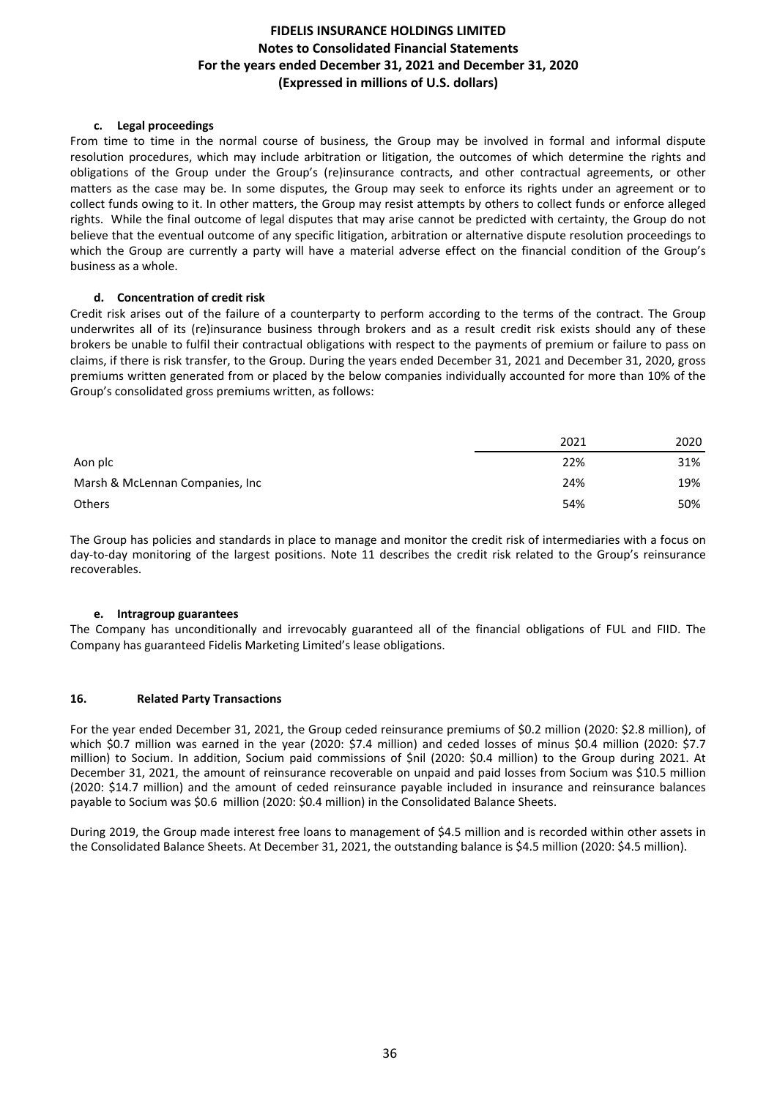### **c. Legal proceedings**

From time to time in the normal course of business, the Group may be involved in formal and informal dispute resolution procedures, which may include arbitration or litigation, the outcomes of which determine the rights and obligations of the Group under the Group's (re)insurance contracts, and other contractual agreements, or other matters as the case may be. In some disputes, the Group may seek to enforce its rights under an agreement or to collect funds owing to it. In other matters, the Group may resist attempts by others to collect funds or enforce alleged rights. While the final outcome of legal disputes that may arise cannot be predicted with certainty, the Group do not believe that the eventual outcome of any specific litigation, arbitration or alternative dispute resolution proceedings to which the Group are currently a party will have a material adverse effect on the financial condition of the Group's business as a whole.

### **d. Concentration of credit risk**

Credit risk arises out of the failure of a counterparty to perform according to the terms of the contract. The Group underwrites all of its (re)insurance business through brokers and as a result credit risk exists should any of these brokers be unable to fulfil their contractual obligations with respect to the payments of premium or failure to pass on claims, if there is risk transfer, to the Group. During the years ended December 31, 2021 and December 31, 2020, gross premiums written generated from or placed by the below companies individually accounted for more than 10% of the Group's consolidated gross premiums written, as follows:

|                                 | 2021 | 2020 |
|---------------------------------|------|------|
| Aon plc                         | 22%  | 31%  |
| Marsh & McLennan Companies, Inc | 24%  | 19%  |
| <b>Others</b>                   | 54%  | 50%  |

The Group has policies and standards in place to manage and monitor the credit risk of intermediaries with a focus on day-to-day monitoring of the largest positions. Note 11 describes the credit risk related to the Group's reinsurance recoverables.

### **e. Intragroup guarantees**

The Company has unconditionally and irrevocably guaranteed all of the financial obligations of FUL and FIID. The Company has guaranteed Fidelis Marketing Limited's lease obligations.

### **16. Related Party Transactions**

For the year ended December 31, 2021, the Group ceded reinsurance premiums of \$0.2 million (2020: \$2.8 million), of which \$0.7 million was earned in the year (2020: \$7.4 million) and ceded losses of minus \$0.4 million (2020: \$7.7 million) to Socium. In addition, Socium paid commissions of \$nil (2020: \$0.4 million) to the Group during 2021. At December 31, 2021, the amount of reinsurance recoverable on unpaid and paid losses from Socium was \$10.5 million (2020: \$14.7 million) and the amount of ceded reinsurance payable included in insurance and reinsurance balances payable to Socium was \$0.6 million (2020: \$0.4 million) in the Consolidated Balance Sheets.

During 2019, the Group made interest free loans to management of \$4.5 million and is recorded within other assets in the Consolidated Balance Sheets. At December 31, 2021, the outstanding balance is \$4.5 million (2020: \$4.5 million).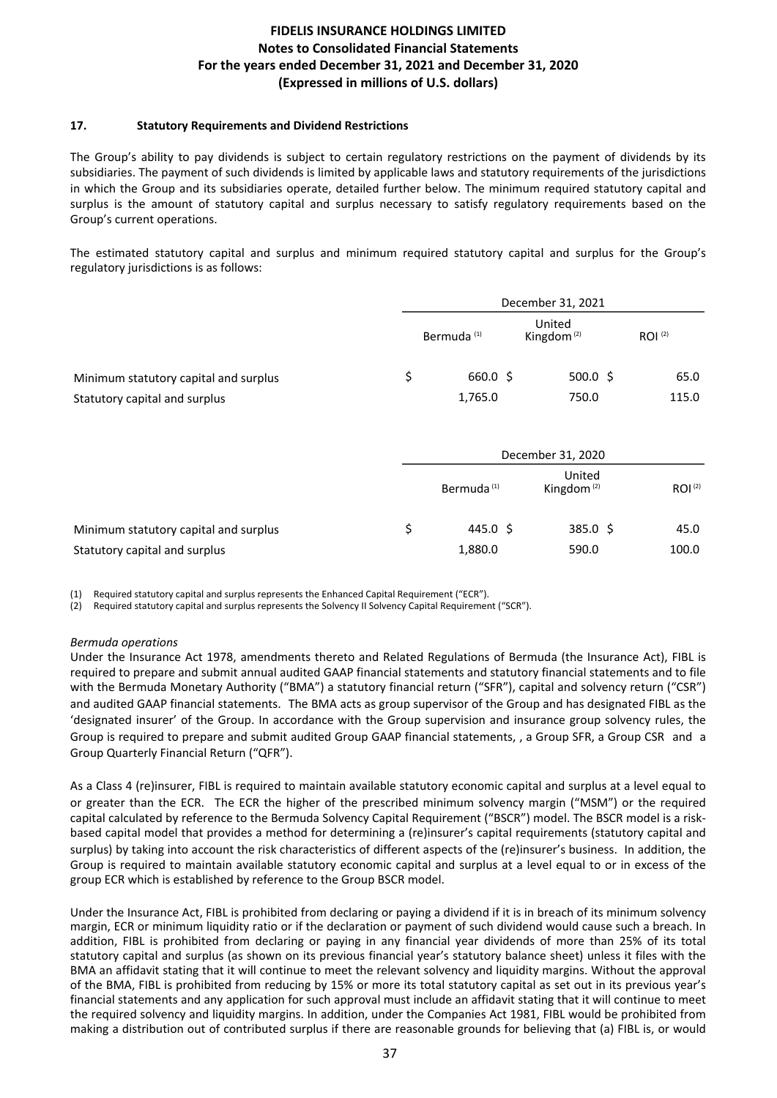### **17.** Statutory Requirements and Dividend Restrictions

The Group's ability to pay dividends is subject to certain regulatory restrictions on the payment of dividends by its subsidiaries. The payment of such dividends is limited by applicable laws and statutory requirements of the jurisdictions in which the Group and its subsidiaries operate, detailed further below. The minimum required statutory capital and surplus is the amount of statutory capital and surplus necessary to satisfy regulatory requirements based on the Group's current operations.

The estimated statutory capital and surplus and minimum required statutory capital and surplus for the Group's regulatory iurisdictions is as follows:

|                                       | December 31, 2021 |                        |  |                         |             |
|---------------------------------------|-------------------|------------------------|--|-------------------------|-------------|
|                                       |                   | Bermuda <sup>(1)</sup> |  | United<br>Kingdom $(2)$ | $ROI^{(2)}$ |
| Minimum statutory capital and surplus |                   | 660.0 \$               |  | $500.0 \; \text{S}$     | 65.0        |
| Statutory capital and surplus         |                   | 1,765.0                |  | 750.0                   | 115.0       |

|                                       | December 31, 2020      |                         |                    |  |  |
|---------------------------------------|------------------------|-------------------------|--------------------|--|--|
|                                       | Bermuda <sup>(1)</sup> | United<br>Kingdom $(2)$ | ROI <sup>(2)</sup> |  |  |
| Minimum statutory capital and surplus | 445.0 \$               | $385.0 \; \simeq$       | 45.0               |  |  |
| Statutory capital and surplus         | 1,880.0                | 590.0                   | 100.0              |  |  |

(1) Required statutory capital and surplus represents the Enhanced Capital Requirement ("ECR").

(2) Required statutory capital and surplus represents the Solvency II Solvency Capital Requirement ("SCR").

### *Bermuda operations*

Under the Insurance Act 1978, amendments thereto and Related Regulations of Bermuda (the Insurance Act), FIBL is required to prepare and submit annual audited GAAP financial statements and statutory financial statements and to file with the Bermuda Monetary Authority ("BMA") a statutory financial return ("SFR"), capital and solvency return ("CSR") and audited GAAP financial statements. The BMA acts as group supervisor of the Group and has designated FIBL as the 'designated insurer' of the Group. In accordance with the Group supervision and insurance group solvency rules, the Group is required to prepare and submit audited Group GAAP financial statements, , a Group SFR, a Group CSR and a Group Quarterly Financial Return ("QFR").

As a Class 4 (re)insurer, FIBL is required to maintain available statutory economic capital and surplus at a level equal to or greater than the ECR. The ECR the higher of the prescribed minimum solvency margin ("MSM") or the required capital calculated by reference to the Bermuda Solvency Capital Requirement ("BSCR") model. The BSCR model is a riskbased capital model that provides a method for determining a (re)insurer's capital requirements (statutory capital and surplus) by taking into account the risk characteristics of different aspects of the (re)insurer's business. In addition, the Group is required to maintain available statutory economic capital and surplus at a level equal to or in excess of the group ECR which is established by reference to the Group BSCR model.

Under the Insurance Act, FIBL is prohibited from declaring or paying a dividend if it is in breach of its minimum solvency margin, ECR or minimum liquidity ratio or if the declaration or payment of such dividend would cause such a breach. In addition, FIBL is prohibited from declaring or paying in any financial year dividends of more than 25% of its total statutory capital and surplus (as shown on its previous financial year's statutory balance sheet) unless it files with the BMA an affidavit stating that it will continue to meet the relevant solvency and liquidity margins. Without the approval of the BMA, FIBL is prohibited from reducing by 15% or more its total statutory capital as set out in its previous year's financial statements and any application for such approval must include an affidavit stating that it will continue to meet the required solvency and liquidity margins. In addition, under the Companies Act 1981, FIBL would be prohibited from making a distribution out of contributed surplus if there are reasonable grounds for believing that (a) FIBL is, or would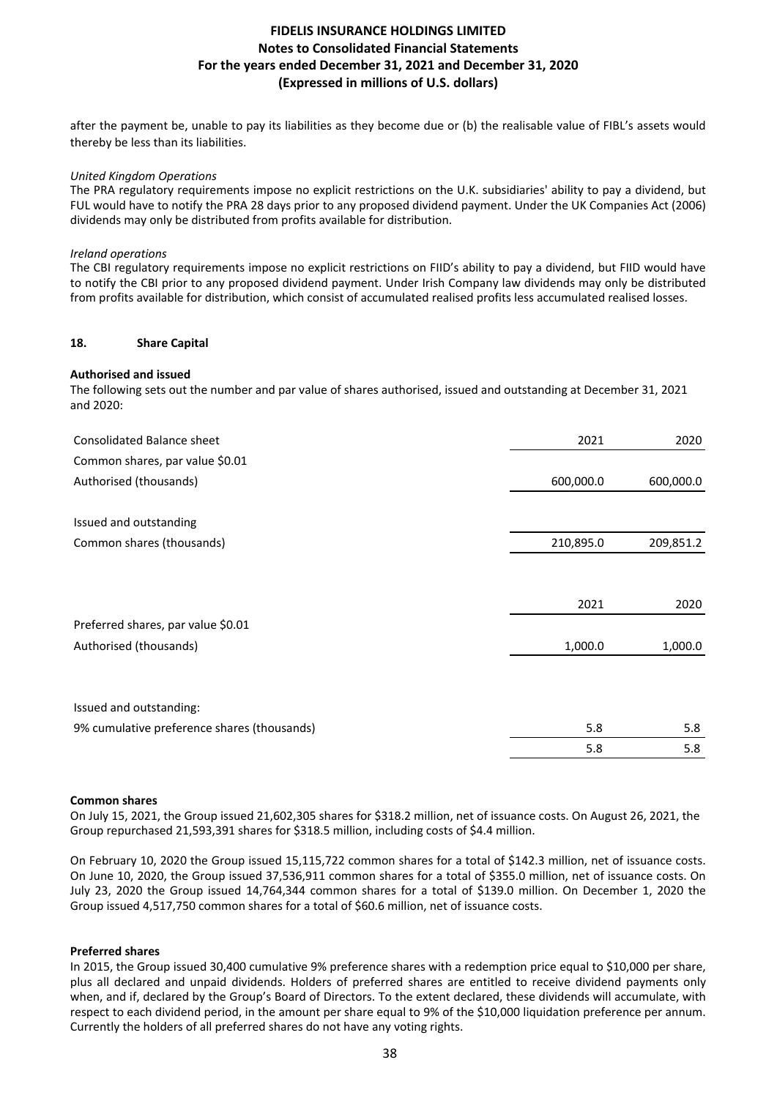after the payment be, unable to pay its liabilities as they become due or (b) the realisable value of FIBL's assets would thereby be less than its liabilities.

### *United Kingdom Operations*

The PRA regulatory requirements impose no explicit restrictions on the U.K. subsidiaries' ability to pay a dividend, but FUL would have to notify the PRA 28 days prior to any proposed dividend payment. Under the UK Companies Act (2006) dividends may only be distributed from profits available for distribution.

### *Ireland operations*

The CBI regulatory requirements impose no explicit restrictions on FIID's ability to pay a dividend, but FIID would have to notify the CBI prior to any proposed dividend payment. Under Irish Company law dividends may only be distributed from profits available for distribution, which consist of accumulated realised profits less accumulated realised losses.

### **18. Share Capital**

### **Authorised and issued**

The following sets out the number and par value of shares authorised, issued and outstanding at December 31, 2021 and 2020:

| <b>Consolidated Balance sheet</b>           | 2021      | 2020      |
|---------------------------------------------|-----------|-----------|
| Common shares, par value \$0.01             |           |           |
| Authorised (thousands)                      | 600,000.0 | 600,000.0 |
|                                             |           |           |
| Issued and outstanding                      |           |           |
| Common shares (thousands)                   | 210,895.0 | 209,851.2 |
|                                             |           |           |
|                                             |           |           |
|                                             | 2021      | 2020      |
| Preferred shares, par value \$0.01          |           |           |
| Authorised (thousands)                      | 1,000.0   | 1,000.0   |
|                                             |           |           |
| Issued and outstanding:                     |           |           |
| 9% cumulative preference shares (thousands) | 5.8       | 5.8       |
|                                             | 5.8       | 5.8       |

#### **Common shares**

On July 15, 2021, the Group issued 21,602,305 shares for \$318.2 million, net of issuance costs. On August 26, 2021, the Group repurchased 21,593,391 shares for \$318.5 million, including costs of \$4.4 million.

On February 10, 2020 the Group issued 15,115,722 common shares for a total of \$142.3 million, net of issuance costs. On June 10, 2020, the Group issued 37,536,911 common shares for a total of \$355.0 million, net of issuance costs. On July 23, 2020 the Group issued 14,764,344 common shares for a total of \$139.0 million. On December 1, 2020 the Group issued 4,517,750 common shares for a total of \$60.6 million, net of issuance costs.

#### **Preferred shares**

In 2015, the Group issued 30,400 cumulative 9% preference shares with a redemption price equal to \$10,000 per share, plus all declared and unpaid dividends. Holders of preferred shares are entitled to receive dividend payments only when, and if, declared by the Group's Board of Directors. To the extent declared, these dividends will accumulate, with respect to each dividend period, in the amount per share equal to 9% of the \$10,000 liquidation preference per annum. Currently the holders of all preferred shares do not have any voting rights.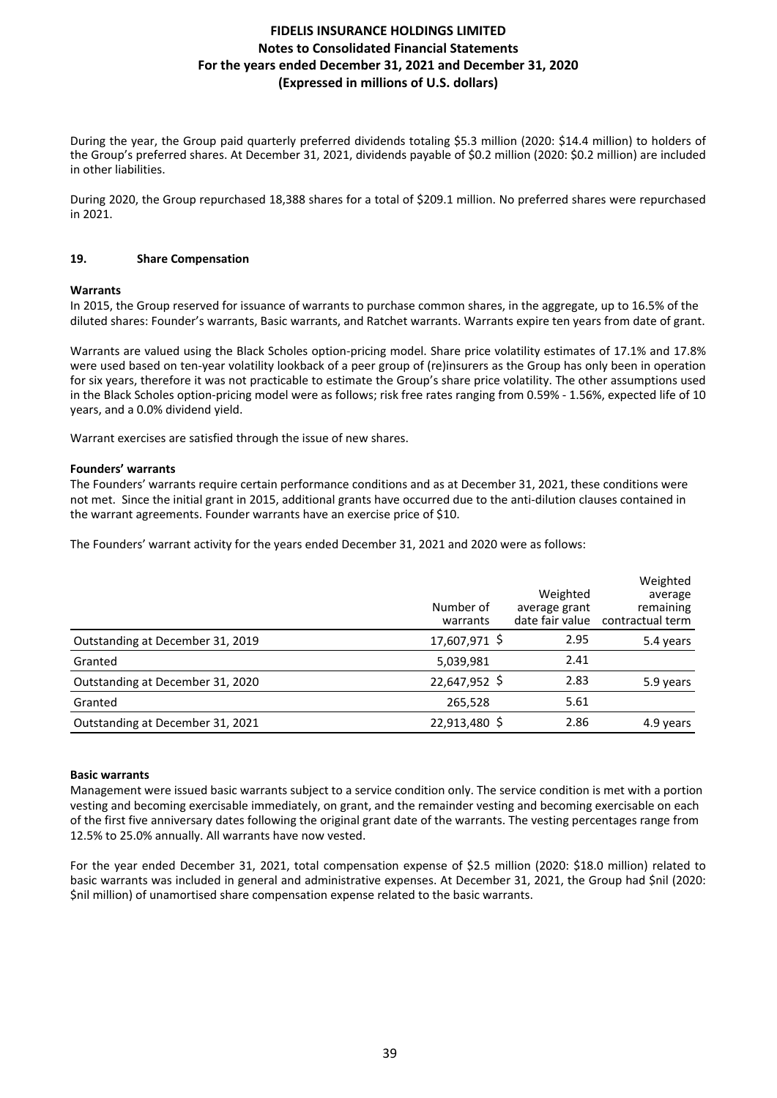During the year, the Group paid quarterly preferred dividends totaling \$5.3 million (2020: \$14.4 million) to holders of the Group's preferred shares. At December 31, 2021, dividends payable of \$0.2 million (2020: \$0.2 million) are included in other liabilities.

During 2020, the Group repurchased 18,388 shares for a total of \$209.1 million. No preferred shares were repurchased in 2021.

### **19.** Share Compensation

### **Warrants**

In 2015, the Group reserved for issuance of warrants to purchase common shares, in the aggregate, up to 16.5% of the diluted shares: Founder's warrants, Basic warrants, and Ratchet warrants. Warrants expire ten years from date of grant.

Warrants are valued using the Black Scholes option-pricing model. Share price volatility estimates of 17.1% and 17.8% were used based on ten-year volatility lookback of a peer group of (re)insurers as the Group has only been in operation for six years, therefore it was not practicable to estimate the Group's share price volatility. The other assumptions used in the Black Scholes option-pricing model were as follows; risk free rates ranging from 0.59% - 1.56%, expected life of 10 years, and a 0.0% dividend yield.

Warrant exercises are satisfied through the issue of new shares.

### **Founders' warrants**

The Founders' warrants require certain performance conditions and as at December 31, 2021, these conditions were not met. Since the initial grant in 2015, additional grants have occurred due to the anti-dilution clauses contained in the warrant agreements. Founder warrants have an exercise price of \$10.

The Founders' warrant activity for the years ended December 31, 2021 and 2020 were as follows:

|                                  | Number of<br>warrants | Weighted<br>average grant | Weighted<br>average<br>remaining<br>date fair value contractual term |
|----------------------------------|-----------------------|---------------------------|----------------------------------------------------------------------|
| Outstanding at December 31, 2019 | 17,607,971 \$         | 2.95                      | 5.4 years                                                            |
| Granted                          | 5,039,981             | 2.41                      |                                                                      |
| Outstanding at December 31, 2020 | 22,647,952 \$         | 2.83                      | 5.9 years                                                            |
| Granted                          | 265,528               | 5.61                      |                                                                      |
| Outstanding at December 31, 2021 | 22,913,480 \$         | 2.86                      | 4.9 years                                                            |

### **Basic warrants**

Management were issued basic warrants subject to a service condition only. The service condition is met with a portion vesting and becoming exercisable immediately, on grant, and the remainder vesting and becoming exercisable on each of the first five anniversary dates following the original grant date of the warrants. The vesting percentages range from 12.5% to 25.0% annually. All warrants have now vested.

For the vear ended December 31, 2021, total compensation expense of \$2.5 million (2020; \$18.0 million) related to basic warrants was included in general and administrative expenses. At December 31, 2021, the Group had Snil (2020: Snil million) of unamortised share compensation expense related to the basic warrants.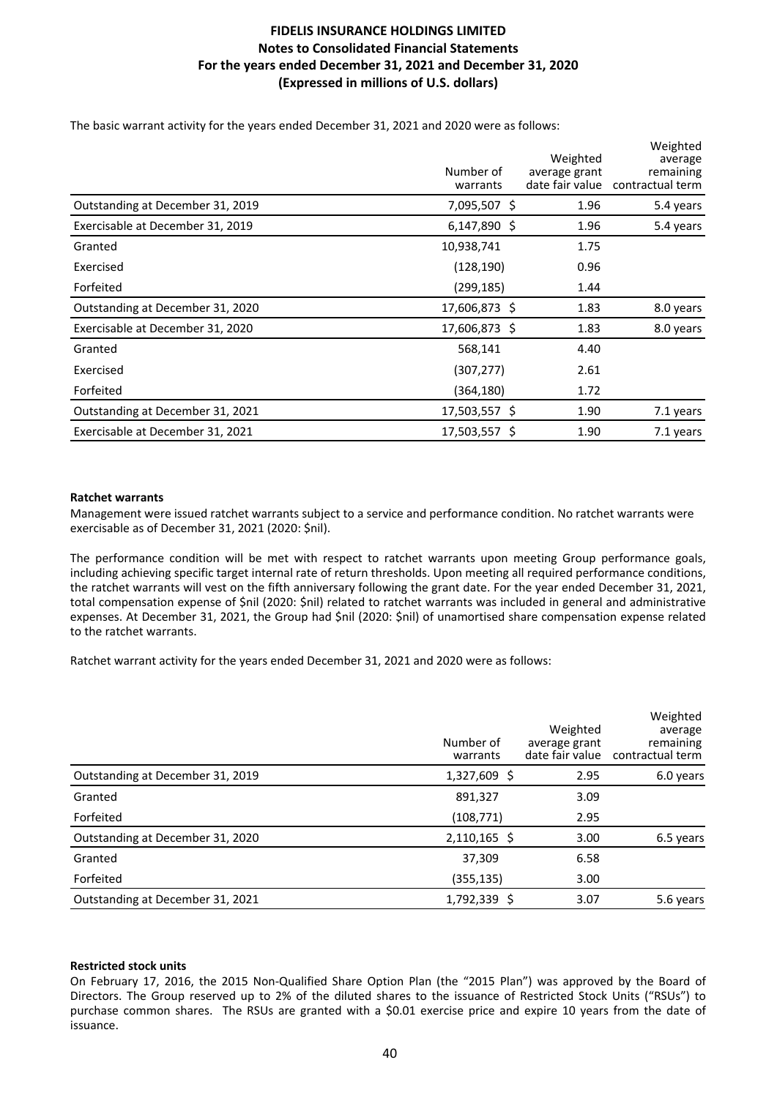The basic warrant activity for the years ended December 31, 2021 and 2020 were as follows:

|                                  | Number of<br>warrants | Weighted<br>average grant<br>date fair value | Weighted<br>average<br>remaining<br>contractual term |
|----------------------------------|-----------------------|----------------------------------------------|------------------------------------------------------|
| Outstanding at December 31, 2019 | 7,095,507 \$          | 1.96                                         | 5.4 years                                            |
| Exercisable at December 31, 2019 | 6,147,890 \$          | 1.96                                         | 5.4 years                                            |
| Granted                          | 10,938,741            | 1.75                                         |                                                      |
| Exercised                        | (128, 190)            | 0.96                                         |                                                      |
| Forfeited                        | (299,185)             | 1.44                                         |                                                      |
| Outstanding at December 31, 2020 | 17,606,873 \$         | 1.83                                         | 8.0 years                                            |
| Exercisable at December 31, 2020 | 17,606,873 \$         | 1.83                                         | 8.0 years                                            |
| Granted                          | 568,141               | 4.40                                         |                                                      |
| Exercised                        | (307, 277)            | 2.61                                         |                                                      |
| Forfeited                        | (364,180)             | 1.72                                         |                                                      |
| Outstanding at December 31, 2021 | 17,503,557 \$         | 1.90                                         | 7.1 years                                            |
| Exercisable at December 31, 2021 | 17,503,557 \$         | 1.90                                         | 7.1 years                                            |

### **Ratchet warrants**

Management were issued ratchet warrants subject to a service and performance condition. No ratchet warrants were exercisable as of December 31, 2021 (2020: \$nil).

The performance condition will be met with respect to ratchet warrants upon meeting Group performance goals, including achieving specific target internal rate of return thresholds. Upon meeting all required performance conditions, the ratchet warrants will vest on the fifth anniversary following the grant date. For the year ended December 31, 2021, total compensation expense of \$nil (2020: \$nil) related to ratchet warrants was included in general and administrative expenses. At December 31, 2021, the Group had \$nil (2020: \$nil) of unamortised share compensation expense related to the ratchet warrants.

Ratchet warrant activity for the years ended December 31, 2021 and 2020 were as follows:

|                                  | Number of<br>warrants | Weighted<br>average grant | Weighted<br>average<br>remaining<br>date fair value contractual term |
|----------------------------------|-----------------------|---------------------------|----------------------------------------------------------------------|
| Outstanding at December 31, 2019 | 1,327,609 \$          | 2.95                      | 6.0 years                                                            |
| Granted                          | 891,327               | 3.09                      |                                                                      |
| Forfeited                        | (108, 771)            | 2.95                      |                                                                      |
| Outstanding at December 31, 2020 | $2,110,165$ \$        | 3.00                      | 6.5 years                                                            |
| Granted                          | 37,309                | 6.58                      |                                                                      |
| Forfeited                        | (355, 135)            | 3.00                      |                                                                      |
| Outstanding at December 31, 2021 | 1,792,339 \$          | 3.07                      | 5.6 years                                                            |

### **Restricted stock units**

On February 17, 2016, the 2015 Non-Qualified Share Option Plan (the "2015 Plan") was approved by the Board of Directors. The Group reserved up to 2% of the diluted shares to the issuance of Restricted Stock Units ("RSUs") to purchase common shares. The RSUs are granted with a \$0.01 exercise price and expire 10 years from the date of issuance.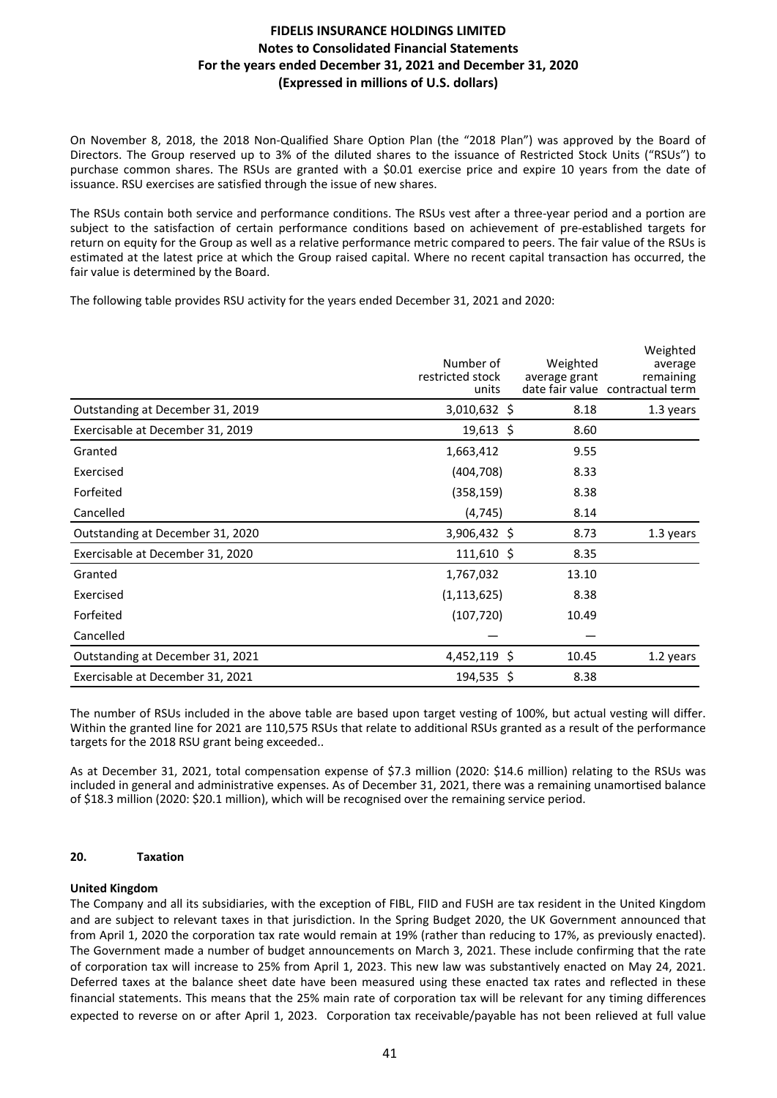On November 8, 2018, the 2018 Non-Qualified Share Option Plan (the "2018 Plan") was approved by the Board of Directors. The Group reserved up to 3% of the diluted shares to the issuance of Restricted Stock Units ("RSUs") to purchase common shares. The RSUs are granted with a \$0.01 exercise price and expire 10 years from the date of issuance. RSU exercises are satisfied through the issue of new shares.

The RSUs contain both service and performance conditions. The RSUs vest after a three-year period and a portion are subject to the satisfaction of certain performance conditions based on achievement of pre-established targets for return on equity for the Group as well as a relative performance metric compared to peers. The fair value of the RSUs is estimated at the latest price at which the Group raised capital. Where no recent capital transaction has occurred, the fair value is determined by the Board.

The following table provides RSU activity for the years ended December 31, 2021 and 2020:

|                                  | Number of<br>restricted stock<br>units | Weighted<br>average grant | Weighted<br>average<br>remaining<br>date fair value contractual term |
|----------------------------------|----------------------------------------|---------------------------|----------------------------------------------------------------------|
| Outstanding at December 31, 2019 | 3,010,632 \$                           | 8.18                      | 1.3 years                                                            |
| Exercisable at December 31, 2019 | $19,613$ \$                            | 8.60                      |                                                                      |
| Granted                          | 1,663,412                              | 9.55                      |                                                                      |
| Exercised                        | (404, 708)                             | 8.33                      |                                                                      |
| Forfeited                        | (358, 159)                             | 8.38                      |                                                                      |
| Cancelled                        | (4, 745)                               | 8.14                      |                                                                      |
| Outstanding at December 31, 2020 | 3,906,432 \$                           | 8.73                      | 1.3 years                                                            |
| Exercisable at December 31, 2020 | $111,610$ \$                           | 8.35                      |                                                                      |
| Granted                          | 1,767,032                              | 13.10                     |                                                                      |
| Exercised                        | (1, 113, 625)                          | 8.38                      |                                                                      |
| Forfeited                        | (107, 720)                             | 10.49                     |                                                                      |
| Cancelled                        |                                        |                           |                                                                      |
| Outstanding at December 31, 2021 | 4,452,119 \$                           | 10.45                     | 1.2 years                                                            |
| Exercisable at December 31, 2021 | 194,535 \$                             | 8.38                      |                                                                      |

The number of RSUs included in the above table are based upon target vesting of 100%, but actual vesting will differ. Within the granted line for 2021 are 110,575 RSUs that relate to additional RSUs granted as a result of the performance targets for the 2018 RSU grant being exceeded..

As at December 31, 2021, total compensation expense of \$7.3 million (2020: \$14.6 million) relating to the RSUs was included in general and administrative expenses. As of December 31, 2021, there was a remaining unamortised balance of \$18.3 million (2020: \$20.1 million), which will be recognised over the remaining service period.

### 20. **Taxation**

#### **United Kingdom**

The Company and all its subsidiaries, with the exception of FIBL, FIID and FUSH are tax resident in the United Kingdom and are subject to relevant taxes in that jurisdiction. In the Spring Budget 2020, the UK Government announced that from April 1, 2020 the corporation tax rate would remain at 19% (rather than reducing to 17%, as previously enacted). The Government made a number of budget announcements on March 3, 2021. These include confirming that the rate of corporation tax will increase to 25% from April 1, 2023. This new law was substantively enacted on May 24, 2021. Deferred taxes at the balance sheet date have been measured using these enacted tax rates and reflected in these financial statements. This means that the 25% main rate of corporation tax will be relevant for any timing differences expected to reverse on or after April 1, 2023. Corporation tax receivable/payable has not been relieved at full value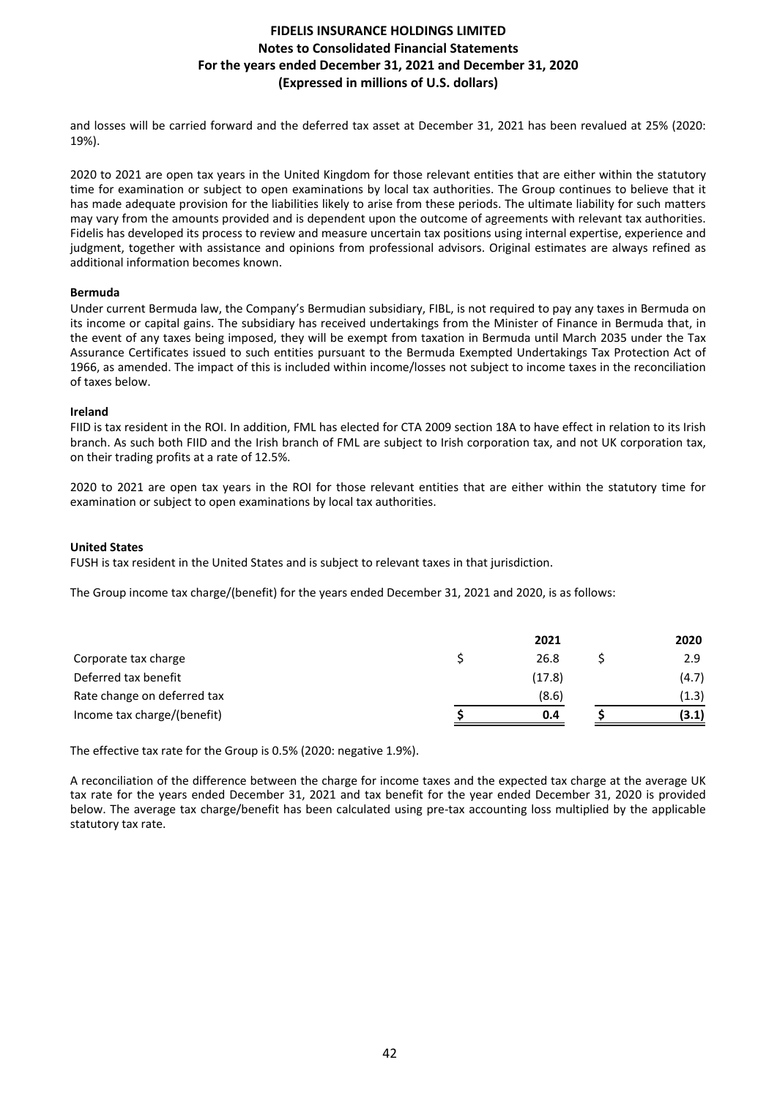and losses will be carried forward and the deferred tax asset at December 31, 2021 has been revalued at 25% (2020: 19%).

2020 to 2021 are open tax years in the United Kingdom for those relevant entities that are either within the statutory time for examination or subject to open examinations by local tax authorities. The Group continues to believe that it has made adequate provision for the liabilities likely to arise from these periods. The ultimate liability for such matters may vary from the amounts provided and is dependent upon the outcome of agreements with relevant tax authorities. Fidelis has developed its process to review and measure uncertain tax positions using internal expertise, experience and judgment, together with assistance and opinions from professional advisors. Original estimates are always refined as additional information becomes known.

### **Bermuda**

Under current Bermuda law, the Company's Bermudian subsidiary, FIBL, is not required to pay any taxes in Bermuda on its income or capital gains. The subsidiary has received undertakings from the Minister of Finance in Bermuda that, in the event of any taxes being imposed, they will be exempt from taxation in Bermuda until March 2035 under the Tax Assurance Certificates issued to such entities pursuant to the Bermuda Exempted Undertakings Tax Protection Act of 1966, as amended. The impact of this is included within income/losses not subject to income taxes in the reconciliation of taxes below.

### **Ireland**

FIID is tax resident in the ROI. In addition, FML has elected for CTA 2009 section 18A to have effect in relation to its Irish branch. As such both FIID and the Irish branch of FML are subject to Irish corporation tax, and not UK corporation tax, on their trading profits at a rate of 12.5%.

2020 to 2021 are open tax years in the ROI for those relevant entities that are either within the statutory time for examination or subject to open examinations by local tax authorities.

### **United States**

FUSH is tax resident in the United States and is subject to relevant taxes in that jurisdiction.

The Group income tax charge/(benefit) for the years ended December 31, 2021 and 2020, is as follows:

|                             | 2021   | 2020  |
|-----------------------------|--------|-------|
| Corporate tax charge        | 26.8   | 2.9   |
| Deferred tax benefit        | (17.8) | (4.7) |
| Rate change on deferred tax | (8.6)  | (1.3) |
| Income tax charge/(benefit) | 0.4    | (3.1) |

The effective tax rate for the Group is 0.5% (2020: negative 1.9%).

A reconciliation of the difference between the charge for income taxes and the expected tax charge at the average UK tax rate for the years ended December 31, 2021 and tax benefit for the year ended December 31, 2020 is provided below. The average tax charge/benefit has been calculated using pre-tax accounting loss multiplied by the applicable statutory tax rate.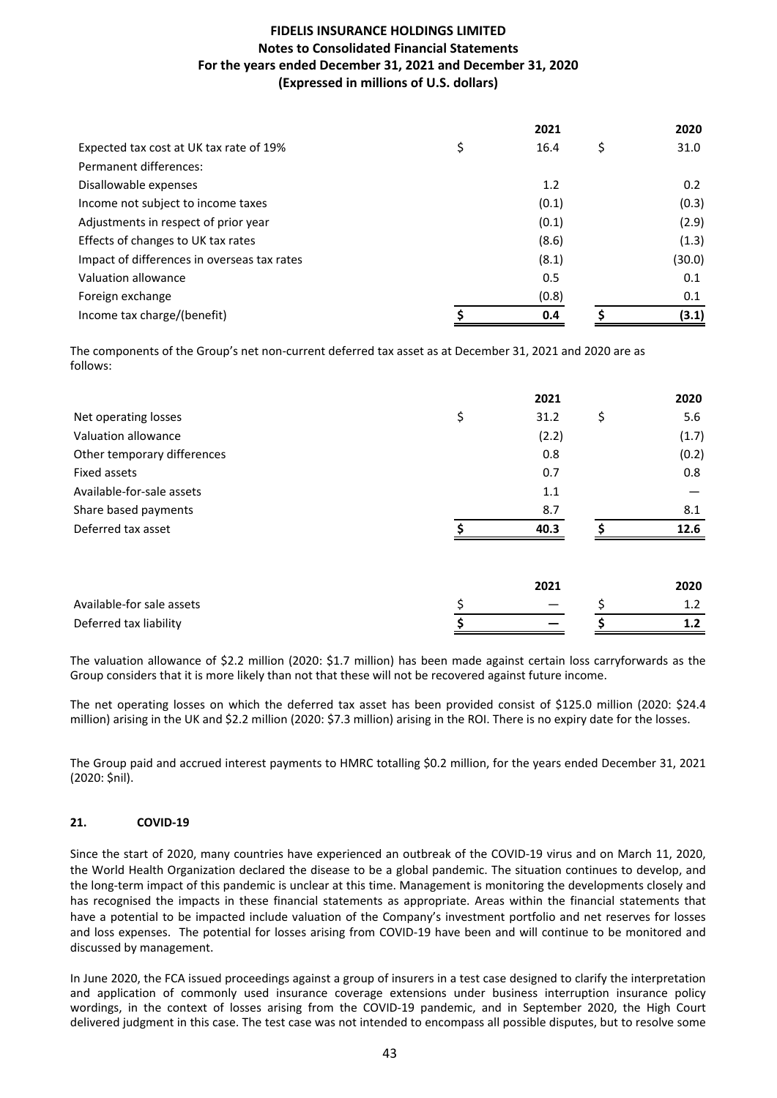|                                             | 2021       |   | 2020   |
|---------------------------------------------|------------|---|--------|
| Expected tax cost at UK tax rate of 19%     | \$<br>16.4 | S | 31.0   |
| Permanent differences:                      |            |   |        |
| Disallowable expenses                       | 1.2        |   | 0.2    |
| Income not subject to income taxes          | (0.1)      |   | (0.3)  |
| Adjustments in respect of prior year        | (0.1)      |   | (2.9)  |
| Effects of changes to UK tax rates          | (8.6)      |   | (1.3)  |
| Impact of differences in overseas tax rates | (8.1)      |   | (30.0) |
| Valuation allowance                         | 0.5        |   | 0.1    |
| Foreign exchange                            | (0.8)      |   | 0.1    |
| Income tax charge/(benefit)                 | 0.4        |   | (3.1)  |

The components of the Group's net non-current deferred tax asset as at December 31, 2021 and 2020 are as follows:

|                             | 2021       |    | 2020  |
|-----------------------------|------------|----|-------|
| Net operating losses        | \$<br>31.2 | \$ | 5.6   |
| Valuation allowance         | (2.2)      |    | (1.7) |
| Other temporary differences | 0.8        |    | (0.2) |
| Fixed assets                | 0.7        |    | 0.8   |
| Available-for-sale assets   | 1.1        |    |       |
| Share based payments        | 8.7        |    | 8.1   |
| Deferred tax asset          | 40.3       |    | 12.6  |
|                             |            |    |       |
|                             | 2021       |    | 2020  |
| Available-for sale assets   | \$         | Ś  | 1.2   |

The valuation allowance of \$2.2 million (2020: \$1.7 million) has been made against certain loss carryforwards as the Group considers that it is more likely than not that these will not be recovered against future income.

Deferred tax liability **b**  $\begin{array}{ccc} 1.2 \end{array}$  **h**  $\begin{array}{ccc} 5 \end{array}$  **1.2** 

The net operating losses on which the deferred tax asset has been provided consist of \$125.0 million (2020: \$24.4 million) arising in the UK and \$2.2 million (2020: \$7.3 million) arising in the ROI. There is no expiry date for the losses.

The Group paid and accrued interest payments to HMRC totalling \$0.2 million, for the years ended December 31, 2021 (2020: \$nil).

### **21. COVID-19**

Since the start of 2020, many countries have experienced an outbreak of the COVID-19 virus and on March 11, 2020, the World Health Organization declared the disease to be a global pandemic. The situation continues to develop, and the long-term impact of this pandemic is unclear at this time. Management is monitoring the developments closely and has recognised the impacts in these financial statements as appropriate. Areas within the financial statements that have a potential to be impacted include valuation of the Company's investment portfolio and net reserves for losses and loss expenses. The potential for losses arising from COVID-19 have been and will continue to be monitored and discussed by management.

In June 2020, the FCA issued proceedings against a group of insurers in a test case designed to clarify the interpretation and application of commonly used insurance coverage extensions under business interruption insurance policy wordings, in the context of losses arising from the COVID-19 pandemic, and in September 2020, the High Court delivered judgment in this case. The test case was not intended to encompass all possible disputes, but to resolve some